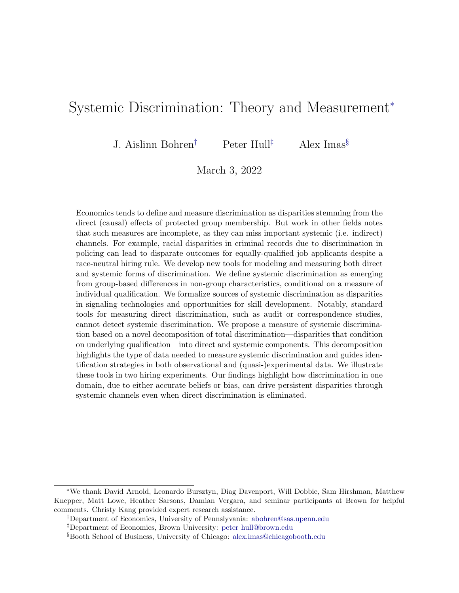# Systemic Discrimination: Theory and Measurement<sup>∗</sup>

J. Aislinn Bohren† Peter Hull‡ Alex Imas§

March 3, 2022

Economics tends to define and measure discrimination as disparities stemming from the direct (causal) effects of protected group membership. But work in other fields notes that such measures are incomplete, as they can miss important systemic (i.e. indirect) channels. For example, racial disparities in criminal records due to discrimination in policing can lead to disparate outcomes for equally-qualified job applicants despite a race-neutral hiring rule. We develop new tools for modeling and measuring both direct and systemic forms of discrimination. We define systemic discrimination as emerging from group-based differences in non-group characteristics, conditional on a measure of individual qualification. We formalize sources of systemic discrimination as disparities in signaling technologies and opportunities for skill development. Notably, standard tools for measuring direct discrimination, such as audit or correspondence studies, cannot detect systemic discrimination. We propose a measure of systemic discrimination based on a novel decomposition of total discrimination—disparities that condition on underlying qualification—into direct and systemic components. This decomposition highlights the type of data needed to measure systemic discrimination and guides identification strategies in both observational and (quasi-)experimental data. We illustrate these tools in two hiring experiments. Our findings highlight how discrimination in one domain, due to either accurate beliefs or bias, can drive persistent disparities through systemic channels even when direct discrimination is eliminated.

<sup>∗</sup>We thank David Arnold, Leonardo Bursztyn, Diag Davenport, Will Dobbie, Sam Hirshman, Matthew Knepper, Matt Lowe, Heather Sarsons, Damian Vergara, and seminar participants at Brown for helpful comments. Christy Kang provided expert research assistance.

<sup>†</sup>Department of Economics, University of Pennslyvania: [abohren@sas.upenn.edu](mailto:abohren@sas.upenn.edu)

<sup>‡</sup>Department of Economics, Brown University: peter [hull@brown.edu](mailto:peter\protect _hull@brown.edu)

<sup>§</sup>Booth School of Business, University of Chicago: [alex.imas@chicagobooth.edu](mailto:alex.imas@chicagobooth.edu)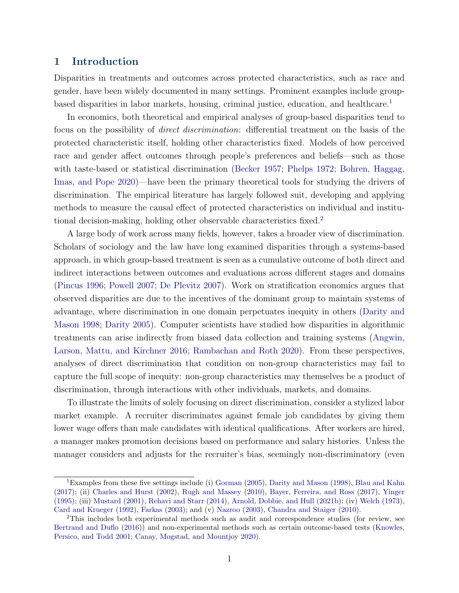# 1 Introduction

Disparities in treatments and outcomes across protected characteristics, such as race and gender, have been widely documented in many settings. Prominent examples include groupbased disparities in labor markets, housing, criminal justice, education, and healthcare.[1](#page-1-0)

In economics, both theoretical and empirical analyses of group-based disparities tend to focus on the possibility of direct discrimination: differential treatment on the basis of the protected characteristic itself, holding other characteristics fixed. Models of how perceived race and gender affect outcomes through people's preferences and beliefs—such as those with taste-based or statistical discrimination [\(Becker](#page-46-0) [1957;](#page-46-0) [Phelps](#page-50-0) [1972;](#page-50-0) [Bohren, Haggag,](#page-47-0) [Imas, and Pope](#page-47-0) [2020\)](#page-47-0)—have been the primary theoretical tools for studying the drivers of discrimination. The empirical literature has largely followed suit, developing and applying methods to measure the causal effect of protected characteristics on individual and institutional decision-making, holding other observable characteristics fixed.[2](#page-1-1)

A large body of work across many fields, however, takes a broader view of discrimination. Scholars of sociology and the law have long examined disparities through a systems-based approach, in which group-based treatment is seen as a cumulative outcome of both direct and indirect interactions between outcomes and evaluations across different stages and domains [\(Pincus](#page-50-1) [1996;](#page-50-1) [Powell](#page-50-2) [2007;](#page-50-2) [De Plevitz](#page-48-0) [2007\)](#page-48-0). Work on stratification economics argues that observed disparities are due to the incentives of the dominant group to maintain systems of advantage, where discrimination in one domain perpetuates inequity in others [\(Darity and](#page-48-1) [Mason](#page-48-1) [1998;](#page-48-1) [Darity](#page-48-2) [2005\)](#page-48-2). Computer scientists have studied how disparities in algorithmic treatments can arise indirectly from biased data collection and training systems [\(Angwin,](#page-46-1) [Larson, Mattu, and Kirchner](#page-46-1) [2016;](#page-46-1) [Rambachan and Roth](#page-50-3) [2020\)](#page-50-3). From these perspectives, analyses of direct discrimination that condition on non-group characteristics may fail to capture the full scope of inequity: non-group characteristics may themselves be a product of discrimination, through interactions with other individuals, markets, and domains.

To illustrate the limits of solely focusing on direct discrimination, consider a stylized labor market example. A recruiter discriminates against female job candidates by giving them lower wage offers than male candidates with identical qualifications. After workers are hired, a manager makes promotion decisions based on performance and salary histories. Unless the manager considers and adjusts for the recruiter's bias, seemingly non-discriminatory (even

<span id="page-1-0"></span><sup>&</sup>lt;sup>1</sup>Examples from these five settings include (i) [Gorman](#page-49-0) [\(2005\)](#page-49-0), [Darity and Mason](#page-48-1) [\(1998\)](#page-48-1), [Blau and Kahn](#page-47-1) [\(2017\)](#page-47-1); (ii) [Charles and Hurst](#page-47-2) [\(2002\)](#page-47-2), [Rugh and Massey](#page-51-0) [\(2010\)](#page-51-0), [Bayer, Ferreira, and Ross](#page-46-2) [\(2017\)](#page-46-2), [Yinger](#page-51-1) [\(1995\)](#page-51-1); (iii) [Mustard](#page-50-4) [\(2001\)](#page-50-4), [Rehavi and Starr](#page-50-5) [\(2014\)](#page-50-5), [Arnold, Dobbie, and Hull](#page-46-3) [\(2021b\)](#page-46-3); (iv) [Welch](#page-51-2) [\(1973\)](#page-51-2), [Card and Krueger](#page-47-3) [\(1992\)](#page-47-3), [Farkas](#page-48-3) [\(2003\)](#page-48-3); and (v) [Nazroo](#page-50-6) [\(2003\)](#page-50-6), [Chandra and Staiger](#page-47-4) [\(2010\)](#page-47-4).

<span id="page-1-1"></span><sup>2</sup>This includes both experimental methods such as audit and correspondence studies (for review, see [Bertrand and Duflo](#page-47-5) [\(2016\)](#page-47-5)) and non-experimental methods such as certain outcome-based tests [\(Knowles,](#page-49-1) [Persico, and Todd](#page-49-1) [2001;](#page-49-1) [Canay, Mogstad, and Mountjoy](#page-47-6) [2020\)](#page-47-6).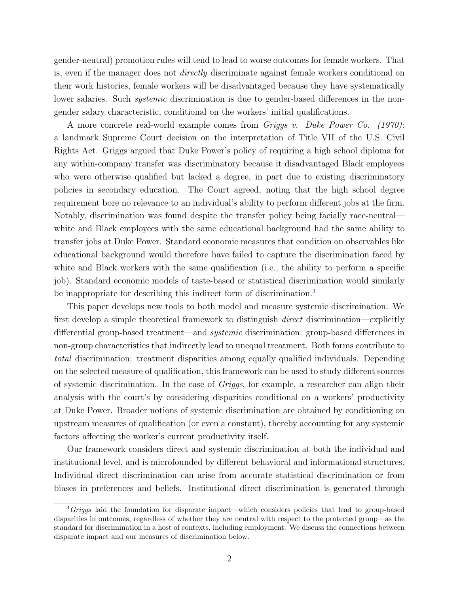gender-neutral) promotion rules will tend to lead to worse outcomes for female workers. That is, even if the manager does not directly discriminate against female workers conditional on their work histories, female workers will be disadvantaged because they have systematically lower salaries. Such *systemic* discrimination is due to gender-based differences in the nongender salary characteristic, conditional on the workers' initial qualifications.

A more concrete real-world example comes from Griggs v. Duke Power Co. (1970): a landmark Supreme Court decision on the interpretation of Title VII of the U.S. Civil Rights Act. Griggs argued that Duke Power's policy of requiring a high school diploma for any within-company transfer was discriminatory because it disadvantaged Black employees who were otherwise qualified but lacked a degree, in part due to existing discriminatory policies in secondary education. The Court agreed, noting that the high school degree requirement bore no relevance to an individual's ability to perform different jobs at the firm. Notably, discrimination was found despite the transfer policy being facially race-neutral white and Black employees with the same educational background had the same ability to transfer jobs at Duke Power. Standard economic measures that condition on observables like educational background would therefore have failed to capture the discrimination faced by white and Black workers with the same qualification (i.e., the ability to perform a specific job). Standard economic models of taste-based or statistical discrimination would similarly be inappropriate for describing this indirect form of discrimination.<sup>[3](#page-2-0)</sup>

This paper develops new tools to both model and measure systemic discrimination. We first develop a simple theoretical framework to distinguish direct discrimination—explicitly differential group-based treatment—and systemic discrimination: group-based differences in non-group characteristics that indirectly lead to unequal treatment. Both forms contribute to total discrimination: treatment disparities among equally qualified individuals. Depending on the selected measure of qualification, this framework can be used to study different sources of systemic discrimination. In the case of Griggs, for example, a researcher can align their analysis with the court's by considering disparities conditional on a workers' productivity at Duke Power. Broader notions of systemic discrimination are obtained by conditioning on upstream measures of qualification (or even a constant), thereby accounting for any systemic factors affecting the worker's current productivity itself.

Our framework considers direct and systemic discrimination at both the individual and institutional level, and is microfounded by different behavioral and informational structures. Individual direct discrimination can arise from accurate statistical discrimination or from biases in preferences and beliefs. Institutional direct discrimination is generated through

<span id="page-2-0"></span> $3Griqgs$  laid the foundation for disparate impact—which considers policies that lead to group-based disparities in outcomes, regardless of whether they are neutral with respect to the protected group—as the standard for discrimination in a host of contexts, including employment. We discuss the connections between disparate impact and our measures of discrimination below.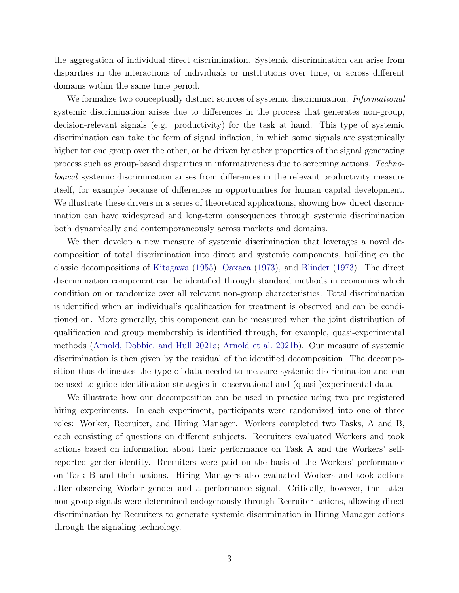the aggregation of individual direct discrimination. Systemic discrimination can arise from disparities in the interactions of individuals or institutions over time, or across different domains within the same time period.

We formalize two conceptually distinct sources of systemic discrimination. *Informational* systemic discrimination arises due to differences in the process that generates non-group, decision-relevant signals (e.g. productivity) for the task at hand. This type of systemic discrimination can take the form of signal inflation, in which some signals are systemically higher for one group over the other, or be driven by other properties of the signal generating process such as group-based disparities in informativeness due to screening actions. Technological systemic discrimination arises from differences in the relevant productivity measure itself, for example because of differences in opportunities for human capital development. We illustrate these drivers in a series of theoretical applications, showing how direct discrimination can have widespread and long-term consequences through systemic discrimination both dynamically and contemporaneously across markets and domains.

We then develop a new measure of systemic discrimination that leverages a novel decomposition of total discrimination into direct and systemic components, building on the classic decompositions of [Kitagawa](#page-49-2) [\(1955\)](#page-49-2), [Oaxaca](#page-50-7) [\(1973\)](#page-50-7), and [Blinder](#page-47-7) [\(1973\)](#page-47-7). The direct discrimination component can be identified through standard methods in economics which condition on or randomize over all relevant non-group characteristics. Total discrimination is identified when an individual's qualification for treatment is observed and can be conditioned on. More generally, this component can be measured when the joint distribution of qualification and group membership is identified through, for example, quasi-experimental methods [\(Arnold, Dobbie, and Hull](#page-46-4) [2021a;](#page-46-4) [Arnold et al.](#page-46-3) [2021b\)](#page-46-3). Our measure of systemic discrimination is then given by the residual of the identified decomposition. The decomposition thus delineates the type of data needed to measure systemic discrimination and can be used to guide identification strategies in observational and (quasi-)experimental data.

We illustrate how our decomposition can be used in practice using two pre-registered hiring experiments. In each experiment, participants were randomized into one of three roles: Worker, Recruiter, and Hiring Manager. Workers completed two Tasks, A and B, each consisting of questions on different subjects. Recruiters evaluated Workers and took actions based on information about their performance on Task A and the Workers' selfreported gender identity. Recruiters were paid on the basis of the Workers' performance on Task B and their actions. Hiring Managers also evaluated Workers and took actions after observing Worker gender and a performance signal. Critically, however, the latter non-group signals were determined endogenously through Recruiter actions, allowing direct discrimination by Recruiters to generate systemic discrimination in Hiring Manager actions through the signaling technology.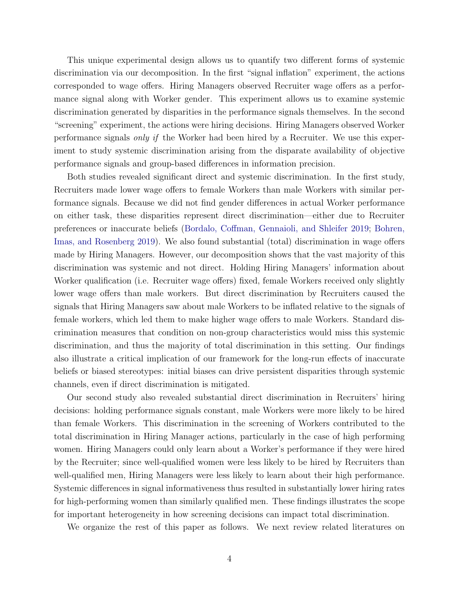This unique experimental design allows us to quantify two different forms of systemic discrimination via our decomposition. In the first "signal inflation" experiment, the actions corresponded to wage offers. Hiring Managers observed Recruiter wage offers as a performance signal along with Worker gender. This experiment allows us to examine systemic discrimination generated by disparities in the performance signals themselves. In the second "screening" experiment, the actions were hiring decisions. Hiring Managers observed Worker performance signals only if the Worker had been hired by a Recruiter. We use this experiment to study systemic discrimination arising from the disparate availability of objective performance signals and group-based differences in information precision.

Both studies revealed significant direct and systemic discrimination. In the first study, Recruiters made lower wage offers to female Workers than male Workers with similar performance signals. Because we did not find gender differences in actual Worker performance on either task, these disparities represent direct discrimination—either due to Recruiter preferences or inaccurate beliefs [\(Bordalo, Coffman, Gennaioli, and Shleifer](#page-47-8) [2019;](#page-47-8) [Bohren,](#page-47-9) [Imas, and Rosenberg](#page-47-9) [2019\)](#page-47-9). We also found substantial (total) discrimination in wage offers made by Hiring Managers. However, our decomposition shows that the vast majority of this discrimination was systemic and not direct. Holding Hiring Managers' information about Worker qualification (i.e. Recruiter wage offers) fixed, female Workers received only slightly lower wage offers than male workers. But direct discrimination by Recruiters caused the signals that Hiring Managers saw about male Workers to be inflated relative to the signals of female workers, which led them to make higher wage offers to male Workers. Standard discrimination measures that condition on non-group characteristics would miss this systemic discrimination, and thus the majority of total discrimination in this setting. Our findings also illustrate a critical implication of our framework for the long-run effects of inaccurate beliefs or biased stereotypes: initial biases can drive persistent disparities through systemic channels, even if direct discrimination is mitigated.

Our second study also revealed substantial direct discrimination in Recruiters' hiring decisions: holding performance signals constant, male Workers were more likely to be hired than female Workers. This discrimination in the screening of Workers contributed to the total discrimination in Hiring Manager actions, particularly in the case of high performing women. Hiring Managers could only learn about a Worker's performance if they were hired by the Recruiter; since well-qualified women were less likely to be hired by Recruiters than well-qualified men, Hiring Managers were less likely to learn about their high performance. Systemic differences in signal informativeness thus resulted in substantially lower hiring rates for high-performing women than similarly qualified men. These findings illustrates the scope for important heterogeneity in how screening decisions can impact total discrimination.

We organize the rest of this paper as follows. We next review related literatures on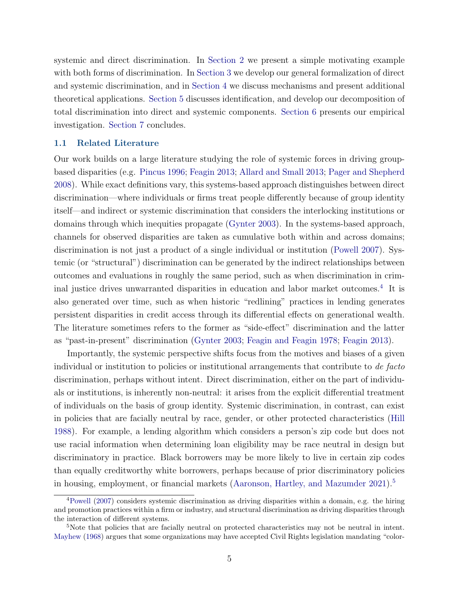systemic and direct discrimination. In [Section 2](#page-7-0) we present a simple motivating example with both forms of discrimination. In [Section 3](#page-10-0) we develop our general formalization of direct and systemic discrimination, and in [Section 4](#page-17-0) we discuss mechanisms and present additional theoretical applications. [Section 5](#page-27-0) discusses identification, and develop our decomposition of total discrimination into direct and systemic components. [Section 6](#page-33-0) presents our empirical investigation. [Section 7](#page-44-0) concludes.

#### <span id="page-5-2"></span>1.1 Related Literature

Our work builds on a large literature studying the role of systemic forces in driving groupbased disparities (e.g. [Pincus](#page-50-1) [1996;](#page-50-1) [Feagin](#page-48-4) [2013;](#page-48-4) [Allard and Small](#page-46-5) [2013;](#page-46-5) [Pager and Shepherd](#page-50-8) [2008\)](#page-50-8). While exact definitions vary, this systems-based approach distinguishes between direct discrimination—where individuals or firms treat people differently because of group identity itself—and indirect or systemic discrimination that considers the interlocking institutions or domains through which inequities propagate [\(Gynter](#page-49-3) [2003\)](#page-49-3). In the systems-based approach, channels for observed disparities are taken as cumulative both within and across domains; discrimination is not just a product of a single individual or institution [\(Powell](#page-50-2) [2007\)](#page-50-2). Systemic (or "structural") discrimination can be generated by the indirect relationships between outcomes and evaluations in roughly the same period, such as when discrimination in criminal justice drives unwarranted disparities in education and labor market outcomes.[4](#page-5-0) It is also generated over time, such as when historic "redlining" practices in lending generates persistent disparities in credit access through its differential effects on generational wealth. The literature sometimes refers to the former as "side-effect" discrimination and the latter as "past-in-present" discrimination [\(Gynter](#page-49-3) [2003;](#page-49-3) [Feagin and Feagin](#page-48-5) [1978;](#page-48-5) [Feagin](#page-48-4) [2013\)](#page-48-4).

Importantly, the systemic perspective shifts focus from the motives and biases of a given individual or institution to policies or institutional arrangements that contribute to de facto discrimination, perhaps without intent. Direct discrimination, either on the part of individuals or institutions, is inherently non-neutral: it arises from the explicit differential treatment of individuals on the basis of group identity. Systemic discrimination, in contrast, can exist in policies that are facially neutral by race, gender, or other protected characteristics [\(Hill](#page-49-4) [1988\)](#page-49-4). For example, a lending algorithm which considers a person's zip code but does not use racial information when determining loan eligibility may be race neutral in design but discriminatory in practice. Black borrowers may be more likely to live in certain zip codes than equally creditworthy white borrowers, perhaps because of prior discriminatory policies in housing, employment, or financial markets [\(Aaronson, Hartley, and Mazumder](#page-46-6) [2021\)](#page-46-6).<sup>[5](#page-5-1)</sup>

<span id="page-5-0"></span><sup>4</sup>[Powell](#page-50-2) [\(2007\)](#page-50-2) considers systemic discrimination as driving disparities within a domain, e.g. the hiring and promotion practices within a firm or industry, and structural discrimination as driving disparities through the interaction of different systems.

<span id="page-5-1"></span><sup>5</sup>Note that policies that are facially neutral on protected characteristics may not be neutral in intent. [Mayhew](#page-49-5) [\(1968\)](#page-49-5) argues that some organizations may have accepted Civil Rights legislation mandating "color-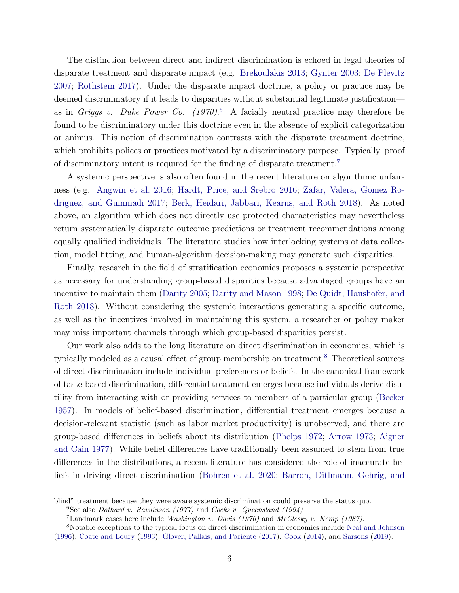The distinction between direct and indirect discrimination is echoed in legal theories of disparate treatment and disparate impact (e.g. [Brekoulakis](#page-47-10) [2013;](#page-47-10) [Gynter](#page-49-3) [2003;](#page-49-3) [De Plevitz](#page-48-0) [2007;](#page-48-0) [Rothstein](#page-51-3) [2017\)](#page-51-3). Under the disparate impact doctrine, a policy or practice may be deemed discriminatory if it leads to disparities without substantial legitimate justification as in Griggs v. Duke Power Co.  $(1970)^6$  $(1970)^6$  A facially neutral practice may therefore be found to be discriminatory under this doctrine even in the absence of explicit categorization or animus. This notion of discrimination contrasts with the disparate treatment doctrine, which prohibits polices or practices motivated by a discriminatory purpose. Typically, proof of discriminatory intent is required for the finding of disparate treatment.[7](#page-6-1)

A systemic perspective is also often found in the recent literature on algorithmic unfairness (e.g. [Angwin et al.](#page-46-1) [2016;](#page-46-1) [Hardt, Price, and Srebro](#page-49-6) [2016;](#page-49-6) [Zafar, Valera, Gomez Ro](#page-51-4)[driguez, and Gummadi](#page-51-4) [2017;](#page-51-4) [Berk, Heidari, Jabbari, Kearns, and Roth](#page-47-11) [2018\)](#page-47-11). As noted above, an algorithm which does not directly use protected characteristics may nevertheless return systematically disparate outcome predictions or treatment recommendations among equally qualified individuals. The literature studies how interlocking systems of data collection, model fitting, and human-algorithm decision-making may generate such disparities.

Finally, research in the field of stratification economics proposes a systemic perspective as necessary for understanding group-based disparities because advantaged groups have an incentive to maintain them [\(Darity](#page-48-2) [2005;](#page-48-2) [Darity and Mason](#page-48-1) [1998;](#page-48-1) [De Quidt, Haushofer, and](#page-48-6) [Roth](#page-48-6) [2018\)](#page-48-6). Without considering the systemic interactions generating a specific outcome, as well as the incentives involved in maintaining this system, a researcher or policy maker may miss important channels through which group-based disparities persist.

Our work also adds to the long literature on direct discrimination in economics, which is typically modeled as a causal effect of group membership on treatment.[8](#page-6-2) Theoretical sources of direct discrimination include individual preferences or beliefs. In the canonical framework of taste-based discrimination, differential treatment emerges because individuals derive disutility from interacting with or providing services to members of a particular group [\(Becker](#page-46-0) [1957\)](#page-46-0). In models of belief-based discrimination, differential treatment emerges because a decision-relevant statistic (such as labor market productivity) is unobserved, and there are group-based differences in beliefs about its distribution [\(Phelps](#page-50-0) [1972;](#page-50-0) [Arrow](#page-46-7) [1973;](#page-46-7) [Aigner](#page-46-8) [and Cain](#page-46-8) [1977\)](#page-46-8). While belief differences have traditionally been assumed to stem from true differences in the distributions, a recent literature has considered the role of inaccurate beliefs in driving direct discrimination [\(Bohren et al.](#page-47-0) [2020;](#page-47-0) [Barron, Ditlmann, Gehrig, and](#page-46-9)

[blind" treatment because they were aware systemic discrimination could preserve the status quo.](#page-46-9)

<span id="page-6-0"></span><sup>&</sup>lt;sup>6</sup>See also *[Dothard v. Rawlinson \(1977\)](#page-46-9)* and *Cocks v. Queensland (1994)* 

<span id="page-6-2"></span><span id="page-6-1"></span><sup>7</sup>[Landmark cases here include](#page-46-9) Washington v. Davis (1976) and McClesky v. Kemp (1987).

<sup>8</sup>[Notable exceptions to the typical focus on direct discrimination in economics include](#page-46-9) [Neal and Johnson](#page-50-9) [\(1996\)](#page-50-9), [Coate and Loury](#page-47-12) [\(1993\)](#page-47-12), [Glover, Pallais, and Pariente](#page-46-9) [\(2017\)](#page-49-7), [Cook](#page-48-7) [\(2014\)](#page-48-7), and [Sarsons](#page-51-5) [\(2019\)](#page-51-5).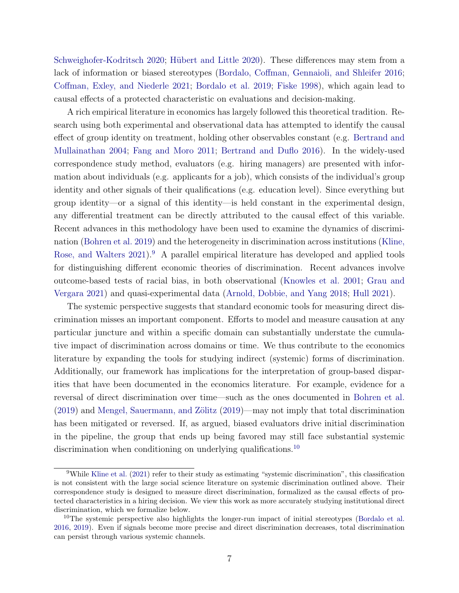[Schweighofer-Kodritsch](#page-46-9) [2020;](#page-46-9) Hübert and Little [2020\)](#page-49-8). These differences may stem from a lack of information or biased stereotypes [\(Bordalo, Coffman, Gennaioli, and Shleifer](#page-47-13) [2016;](#page-47-13) [Coffman, Exley, and Niederle](#page-48-8) [2021;](#page-48-8) [Bordalo et al.](#page-47-8) [2019;](#page-47-8) [Fiske](#page-48-9) [1998\)](#page-48-9), which again lead to causal effects of a protected characteristic on evaluations and decision-making.

A rich empirical literature in economics has largely followed this theoretical tradition. Research using both experimental and observational data has attempted to identify the causal effect of group identity on treatment, holding other observables constant (e.g. [Bertrand and](#page-47-14) [Mullainathan](#page-47-14) [2004;](#page-47-14) [Fang and Moro](#page-48-10) [2011;](#page-48-10) [Bertrand and Duflo](#page-47-5) [2016\)](#page-47-5). In the widely-used correspondence study method, evaluators (e.g. hiring managers) are presented with information about individuals (e.g. applicants for a job), which consists of the individual's group identity and other signals of their qualifications (e.g. education level). Since everything but group identity—or a signal of this identity—is held constant in the experimental design, any differential treatment can be directly attributed to the causal effect of this variable. Recent advances in this methodology have been used to examine the dynamics of discrimination [\(Bohren et al.](#page-47-9) [2019\)](#page-47-9) and the heterogeneity in discrimination across institutions [\(Kline,](#page-49-9) [Rose, and Walters](#page-49-9) [2021\)](#page-49-9).<sup>[9](#page-7-1)</sup> A parallel empirical literature has developed and applied tools for distinguishing different economic theories of discrimination. Recent advances involve outcome-based tests of racial bias, in both observational [\(Knowles et al.](#page-49-1) [2001;](#page-49-1) [Grau and](#page-49-10) [Vergara](#page-49-10) [2021\)](#page-49-10) and quasi-experimental data [\(Arnold, Dobbie, and Yang](#page-46-10) [2018;](#page-46-10) [Hull](#page-49-11) [2021\)](#page-49-11).

The systemic perspective suggests that standard economic tools for measuring direct discrimination misses an important component. Efforts to model and measure causation at any particular juncture and within a specific domain can substantially understate the cumulative impact of discrimination across domains or time. We thus contribute to the economics literature by expanding the tools for studying indirect (systemic) forms of discrimination. Additionally, our framework has implications for the interpretation of group-based disparities that have been documented in the economics literature. For example, evidence for a reversal of direct discrimination over time—such as the ones documented in [Bohren et al.](#page-47-9)  $(2019)$  and Mengel, Sauermann, and Zölitz  $(2019)$ —may not imply that total discrimination has been mitigated or reversed. If, as argued, biased evaluators drive initial discrimination in the pipeline, the group that ends up being favored may still face substantial systemic discrimination when conditioning on underlying qualifications.<sup>[10](#page-7-2)</sup>

<span id="page-7-1"></span><span id="page-7-0"></span><sup>9</sup>While [Kline et al.](#page-49-9) [\(2021\)](#page-49-9) refer to their study as estimating "systemic discrimination", this classification is not consistent with the large social science literature on systemic discrimination outlined above. Their correspondence study is designed to measure direct discrimination, formalized as the causal effects of protected characteristics in a hiring decision. We view this work as more accurately studying institutional direct discrimination, which we formalize below.

<span id="page-7-2"></span><sup>&</sup>lt;sup>10</sup>The systemic perspective also highlights the longer-run impact of initial stereotypes [\(Bordalo et al.](#page-47-13) [2016,](#page-47-13) [2019\)](#page-47-8). Even if signals become more precise and direct discrimination decreases, total discrimination can persist through various systemic channels.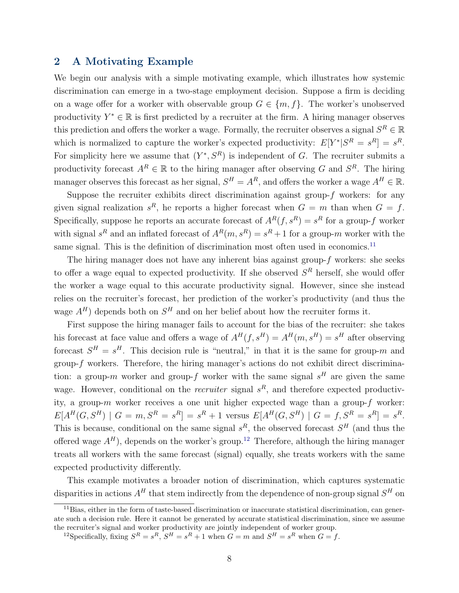# 2 A Motivating Example

We begin our analysis with a simple motivating example, which illustrates how systemic discrimination can emerge in a two-stage employment decision. Suppose a firm is deciding on a wage offer for a worker with observable group  $G \in \{m, f\}$ . The worker's unobserved productivity  $Y^* \in \mathbb{R}$  is first predicted by a recruiter at the firm. A hiring manager observes this prediction and offers the worker a wage. Formally, the recruiter observes a signal  $S^R \in \mathbb{R}$ which is normalized to capture the worker's expected productivity:  $E[Y^*|S^R = s^R] = s^R$ . For simplicity here we assume that  $(Y^*, S^R)$  is independent of G. The recruiter submits a productivity forecast  $A^R \in \mathbb{R}$  to the hiring manager after observing G and  $S^R$ . The hiring manager observes this forecast as her signal,  $S^H = A^R$ , and offers the worker a wage  $A^H \in \mathbb{R}$ .

Suppose the recruiter exhibits direct discrimination against group- $f$  workers: for any given signal realization  $s^R$ , he reports a higher forecast when  $G = m$  than when  $G = f$ . Specifically, suppose he reports an accurate forecast of  $A<sup>R</sup>(f, s<sup>R</sup>) = s<sup>R</sup>$  for a group-f worker with signal  $s^R$  and an inflated forecast of  $A^R(m, s^R) = s^R + 1$  for a group-m worker with the same signal. This is the definition of discrimination most often used in economics.<sup>[11](#page-8-0)</sup>

The hiring manager does not have any inherent bias against group- $f$  workers: she seeks to offer a wage equal to expected productivity. If she observed  $S<sup>R</sup>$  herself, she would offer the worker a wage equal to this accurate productivity signal. However, since she instead relies on the recruiter's forecast, her prediction of the worker's productivity (and thus the wage  $A^H$ ) depends both on  $S^H$  and on her belief about how the recruiter forms it.

First suppose the hiring manager fails to account for the bias of the recruiter: she takes his forecast at face value and offers a wage of  $A^H(f, s^H) = A^H(m, s^H) = s^H$  after observing forecast  $S^H = s^H$ . This decision rule is "neutral," in that it is the same for group-m and group-f workers. Therefore, the hiring manager's actions do not exhibit direct discrimination: a group-m worker and group-f worker with the same signal  $s<sup>H</sup>$  are given the same wage. However, conditional on the *recruiter* signal  $s<sup>R</sup>$ , and therefore expected productivity, a group- $m$  worker receives a one unit higher expected wage than a group- $f$  worker:  $E[A^H(G, S^H) | G = m, S^R = s^R] = s^R + 1$  versus  $E[A^H(G, S^H) | G = f, S^R = s^R] = s^R$ . This is because, conditional on the same signal  $s^R$ , the observed forecast  $S^H$  (and thus the offered wage  $A<sup>H</sup>$ ), depends on the worker's group.<sup>[12](#page-8-1)</sup> Therefore, although the hiring manager treats all workers with the same forecast (signal) equally, she treats workers with the same expected productivity differently.

This example motivates a broader notion of discrimination, which captures systematic disparities in actions  $A^H$  that stem indirectly from the dependence of non-group signal  $S^H$  on

<span id="page-8-0"></span><sup>11</sup>Bias, either in the form of taste-based discrimination or inaccurate statistical discrimination, can generate such a decision rule. Here it cannot be generated by accurate statistical discrimination, since we assume the recruiter's signal and worker productivity are jointly independent of worker group.

<span id="page-8-1"></span><sup>&</sup>lt;sup>12</sup>Specifically, fixing  $S^R = s^R$ ,  $S^H = s^R + 1$  when  $G = m$  and  $S^H = s^R$  when  $G = f$ .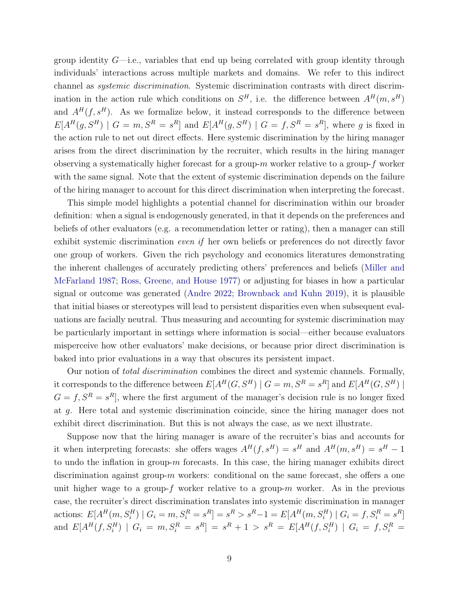group identity  $G$ —i.e., variables that end up being correlated with group identity through individuals' interactions across multiple markets and domains. We refer to this indirect channel as systemic discrimination. Systemic discrimination contrasts with direct discrimination in the action rule which conditions on  $S<sup>H</sup>$ , i.e. the difference between  $A<sup>H</sup>(m, s<sup>H</sup>)$ and  $A^H(f, s^H)$ . As we formalize below, it instead corresponds to the difference between  $E[A^H(g, S^H) \mid G = m, S^R = s^R]$  and  $E[A^H(g, S^H) \mid G = f, S^R = s^R]$ , where g is fixed in the action rule to net out direct effects. Here systemic discrimination by the hiring manager arises from the direct discrimination by the recruiter, which results in the hiring manager observing a systematically higher forecast for a group- $m$  worker relative to a group- $f$  worker with the same signal. Note that the extent of systemic discrimination depends on the failure of the hiring manager to account for this direct discrimination when interpreting the forecast.

This simple model highlights a potential channel for discrimination within our broader definition: when a signal is endogenously generated, in that it depends on the preferences and beliefs of other evaluators (e.g. a recommendation letter or rating), then a manager can still exhibit systemic discrimination even if her own beliefs or preferences do not directly favor one group of workers. Given the rich psychology and economics literatures demonstrating the inherent challenges of accurately predicting others' preferences and beliefs [\(Miller and](#page-50-10) [McFarland](#page-50-10) [1987;](#page-50-10) [Ross, Greene, and House](#page-51-6) [1977\)](#page-51-6) or adjusting for biases in how a particular signal or outcome was generated [\(Andre](#page-46-11) [2022;](#page-46-11) [Brownback and Kuhn](#page-47-15) [2019\)](#page-47-15), it is plausible that initial biases or stereotypes will lead to persistent disparities even when subsequent evaluations are facially neutral. Thus measuring and accounting for systemic discrimination may be particularly important in settings where information is social—either because evaluators misperceive how other evaluators' make decisions, or because prior direct discrimination is baked into prior evaluations in a way that obscures its persistent impact.

Our notion of *total discrimination* combines the direct and systemic channels. Formally, it corresponds to the difference between  $E[A^H(G, S^H) \mid G = m, S^R = s^R]$  and  $E[A^H(G, S^H) \mid$  $G = f, S^R = s^R$ , where the first argument of the manager's decision rule is no longer fixed at g. Here total and systemic discrimination coincide, since the hiring manager does not exhibit direct discrimination. But this is not always the case, as we next illustrate.

Suppose now that the hiring manager is aware of the recruiter's bias and accounts for it when interpreting forecasts: she offers wages  $A^H(f, s^H) = s^H$  and  $A^H(m, s^H) = s^H - 1$ to undo the inflation in group-m forecasts. In this case, the hiring manager exhibits direct discrimination against group- $m$  workers: conditional on the same forecast, she offers a one unit higher wage to a group-f worker relative to a group- $m$  worker. As in the previous case, the recruiter's direct discrimination translates into systemic discrimination in manager actions:  $E[A^H(m, S_i^H) | G_i = m, S_i^R = s^R] = s^R > s^R - 1 = E[A^H(m, S_i^H) | G_i = f, S_i^R = s^R]$ and  $E[A^H(f, S_i^H) | G_i = m, S_i^R = s^R] = s^R + 1 > s^R = E[A^H(f, S_i^H) | G_i = f, S_i^R =$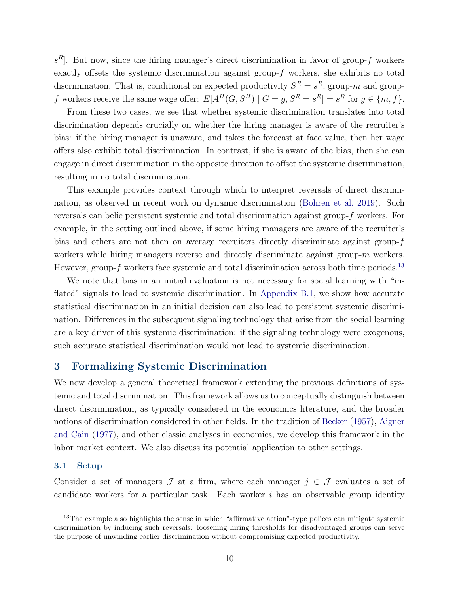$s<sup>R</sup>$ . But now, since the hiring manager's direct discrimination in favor of group-f workers exactly offsets the systemic discrimination against group- $f$  workers, she exhibits no total discrimination. That is, conditional on expected productivity  $S<sup>R</sup> = s<sup>R</sup>$ , group-m and groupf workers receive the same wage offer:  $E[A^H(G, S^H) | G = g, S^R = s^R] = s^R$  for  $g \in \{m, f\}$ .

From these two cases, we see that whether systemic discrimination translates into total discrimination depends crucially on whether the hiring manager is aware of the recruiter's bias: if the hiring manager is unaware, and takes the forecast at face value, then her wage offers also exhibit total discrimination. In contrast, if she is aware of the bias, then she can engage in direct discrimination in the opposite direction to offset the systemic discrimination, resulting in no total discrimination.

This example provides context through which to interpret reversals of direct discrimination, as observed in recent work on dynamic discrimination [\(Bohren et al.](#page-47-9) [2019\)](#page-47-9). Such reversals can belie persistent systemic and total discrimination against group-f workers. For example, in the setting outlined above, if some hiring managers are aware of the recruiter's bias and others are not then on average recruiters directly discriminate against group- $f$ workers while hiring managers reverse and directly discriminate against group-m workers. However, group- $f$  workers face systemic and total discrimination across both time periods.<sup>[13](#page-10-1)</sup>

We note that bias in an initial evaluation is not necessary for social learning with "inflated" signals to lead to systemic discrimination. In [Appendix B.1,](#page-53-0) we show how accurate statistical discrimination in an initial decision can also lead to persistent systemic discrimination. Differences in the subsequent signaling technology that arise from the social learning are a key driver of this systemic discrimination: if the signaling technology were exogenous, such accurate statistical discrimination would not lead to systemic discrimination.

# <span id="page-10-0"></span>3 Formalizing Systemic Discrimination

We now develop a general theoretical framework extending the previous definitions of systemic and total discrimination. This framework allows us to conceptually distinguish between direct discrimination, as typically considered in the economics literature, and the broader notions of discrimination considered in other fields. In the tradition of [Becker](#page-46-0) [\(1957\)](#page-46-0), [Aigner](#page-46-8) [and Cain](#page-46-8) [\(1977\)](#page-46-8), and other classic analyses in economics, we develop this framework in the labor market context. We also discuss its potential application to other settings.

#### <span id="page-10-2"></span>3.1 Setup

Consider a set of managers  $\mathcal J$  at a firm, where each manager  $j \in \mathcal J$  evaluates a set of candidate workers for a particular task. Each worker  $i$  has an observable group identity

<span id="page-10-1"></span><sup>&</sup>lt;sup>13</sup>The example also highlights the sense in which "affirmative action"-type polices can mitigate systemic discrimination by inducing such reversals: loosening hiring thresholds for disadvantaged groups can serve the purpose of unwinding earlier discrimination without compromising expected productivity.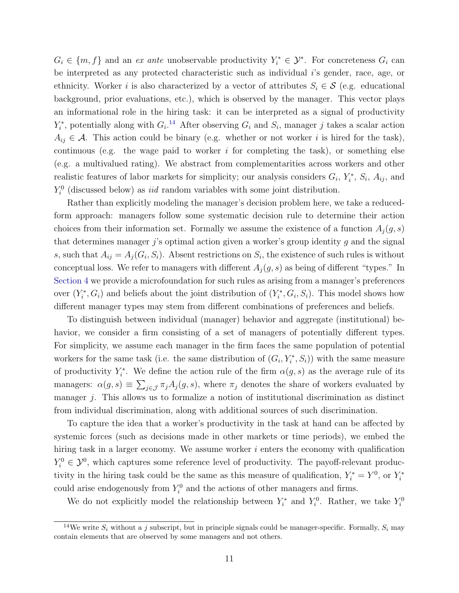$G_i \in \{m, f\}$  and an ex ante unobservable productivity  $Y_i^* \in \mathcal{Y}^*$ . For concreteness  $G_i$  can be interpreted as any protected characteristic such as individual i's gender, race, age, or ethnicity. Worker i is also characterized by a vector of attributes  $S_i \in \mathcal{S}$  (e.g. educational background, prior evaluations, etc.), which is observed by the manager. This vector plays an informational role in the hiring task: it can be interpreted as a signal of productivity  $Y_i^*$ , potentially along with  $G_i$ <sup>[14](#page-11-0)</sup> After observing  $G_i$  and  $S_i$ , manager j takes a scalar action  $A_{ij} \in \mathcal{A}$ . This action could be binary (e.g. whether or not worker i is hired for the task), continuous (e.g. the wage paid to worker  $i$  for completing the task), or something else (e.g. a multivalued rating). We abstract from complementarities across workers and other realistic features of labor markets for simplicity; our analysis considers  $G_i$ ,  $Y_i^*$ ,  $S_i$ ,  $A_{ij}$ , and  $Y_i^0$  (discussed below) as *iid* random variables with some joint distribution.

Rather than explicitly modeling the manager's decision problem here, we take a reducedform approach: managers follow some systematic decision rule to determine their action choices from their information set. Formally we assume the existence of a function  $A_i(g, s)$ that determines manager  $j$ 's optimal action given a worker's group identity  $g$  and the signal s, such that  $A_{ij} = A_j(G_i, S_i)$ . Absent restrictions on  $S_i$ , the existence of such rules is without conceptual loss. We refer to managers with different  $A_i(q, s)$  as being of different "types." In [Section 4](#page-17-0) we provide a microfoundation for such rules as arising from a manager's preferences over  $(Y_i^*, G_i)$  and beliefs about the joint distribution of  $(Y_i^*, G_i, S_i)$ . This model shows how different manager types may stem from different combinations of preferences and beliefs.

To distinguish between individual (manager) behavior and aggregate (institutional) behavior, we consider a firm consisting of a set of managers of potentially different types. For simplicity, we assume each manager in the firm faces the same population of potential workers for the same task (i.e. the same distribution of  $(G_i, Y_i^*, S_i)$ ) with the same measure of productivity  $Y_i^*$ . We define the action rule of the firm  $\alpha(g, s)$  as the average rule of its managers:  $\alpha(g, s) \equiv \sum_{j \in \mathcal{J}} \pi_j A_j(g, s)$ , where  $\pi_j$  denotes the share of workers evaluated by manager j. This allows us to formalize a notion of institutional discrimination as distinct from individual discrimination, along with additional sources of such discrimination.

To capture the idea that a worker's productivity in the task at hand can be affected by systemic forces (such as decisions made in other markets or time periods), we embed the hiring task in a larger economy. We assume worker  $i$  enters the economy with qualification  $Y_i^0 \in \mathcal{Y}^0$ , which captures some reference level of productivity. The payoff-relevant productivity in the hiring task could be the same as this measure of qualification,  $Y_i^* = Y^0$ , or  $Y_i^*$ could arise endogenously from  $Y_i^0$  and the actions of other managers and firms.

We do not explicitly model the relationship between  $Y_i^*$  and  $Y_i^0$ . Rather, we take  $Y_i^0$ 

<span id="page-11-0"></span><sup>&</sup>lt;sup>14</sup>We write  $S_i$  without a j subscript, but in principle signals could be manager-specific. Formally,  $S_i$  may contain elements that are observed by some managers and not others.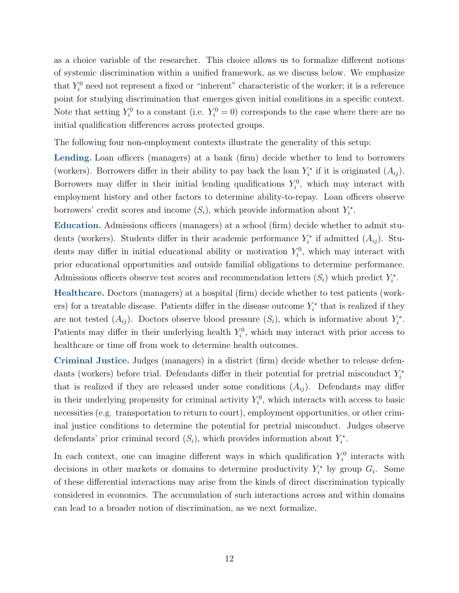as a choice variable of the researcher. This choice allows us to formalize different notions of systemic discrimination within a unified framework, as we discuss below. We emphasize that  $Y_i^0$  need not represent a fixed or "inherent" characteristic of the worker; it is a reference point for studying discrimination that emerges given initial conditions in a specific context. Note that setting  $Y_i^0$  to a constant (i.e.  $Y_i^0 = 0$ ) corresponds to the case where there are no initial qualification differences across protected groups.

The following four non-employment contexts illustrate the generality of this setup:

Lending. Loan officers (managers) at a bank (firm) decide whether to lend to borrowers (workers). Borrowers differ in their ability to pay back the loan  $Y_i^*$  if it is originated  $(A_{ij})$ . Borrowers may differ in their initial lending qualifications  $Y_i^0$ , which may interact with employment history and other factors to determine ability-to-repay. Loan officers observe borrowers' credit scores and income  $(S_i)$ , which provide information about  $Y_i^*$ .

Education. Admissions officers (managers) at a school (firm) decide whether to admit students (workers). Students differ in their academic performance  $Y_i^*$  if admitted  $(A_{ij})$ . Students may differ in initial educational ability or motivation  $Y_i^0$ , which may interact with prior educational opportunities and outside familial obligations to determine performance. Admissions officers observe test scores and recommendation letters  $(S_i)$  which predict  $Y_i^*$ .

Healthcare. Doctors (managers) at a hospital (firm) decide whether to test patients (workers) for a treatable disease. Patients differ in the disease outcome  $Y_i^*$  that is realized if they are not tested  $(A_{ij})$ . Doctors observe blood pressure  $(S_i)$ , which is informative about  $Y_i^*$ . Patients may differ in their underlying health  $Y_i^0$ , which may interact with prior access to healthcare or time off from work to determine health outcomes.

Criminal Justice. Judges (managers) in a district (firm) decide whether to release defendants (workers) before trial. Defendants differ in their potential for pretrial misconduct  $Y_i^*$ that is realized if they are released under some conditions  $(A_{ij})$ . Defendants may differ in their underlying propensity for criminal activity  $Y_i^0$ , which interacts with access to basic necessities (e.g. transportation to return to court), employment opportunities, or other criminal justice conditions to determine the potential for pretrial misconduct. Judges observe defendants' prior criminal record  $(S_i)$ , which provides information about  $Y_i^*$ .

In each context, one can imagine different ways in which qualification  $Y_i^0$  interacts with decisions in other markets or domains to determine productivity  $Y_i^*$  by group  $G_i$ . Some of these differential interactions may arise from the kinds of direct discrimination typically considered in economics. The accumulation of such interactions across and within domains can lead to a broader notion of discrimination, as we next formalize.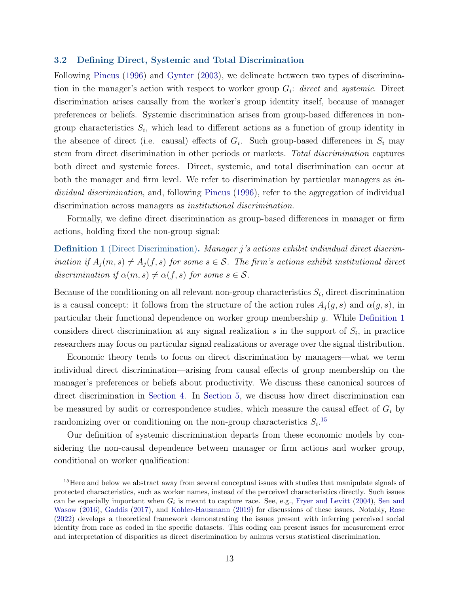#### 3.2 Defining Direct, Systemic and Total Discrimination

Following [Pincus](#page-50-1) [\(1996\)](#page-50-1) and [Gynter](#page-49-3) [\(2003\)](#page-49-3), we delineate between two types of discrimination in the manager's action with respect to worker group  $G_i$ : direct and systemic. Direct discrimination arises causally from the worker's group identity itself, because of manager preferences or beliefs. Systemic discrimination arises from group-based differences in nongroup characteristics  $S_i$ , which lead to different actions as a function of group identity in the absence of direct (i.e. causal) effects of  $G_i$ . Such group-based differences in  $S_i$  may stem from direct discrimination in other periods or markets. Total discrimination captures both direct and systemic forces. Direct, systemic, and total discrimination can occur at both the manager and firm level. We refer to discrimination by particular managers as  $in$ dividual discrimination, and, following [Pincus](#page-50-1) [\(1996\)](#page-50-1), refer to the aggregation of individual discrimination across managers as *institutional discrimination*.

Formally, we define direct discrimination as group-based differences in manager or firm actions, holding fixed the non-group signal:

<span id="page-13-0"></span>Definition 1 (Direct Discrimination). Manager j's actions exhibit individual direct discrimination if  $A_j(m, s) \neq A_j(f, s)$  for some  $s \in S$ . The firm's actions exhibit institutional direct discrimination if  $\alpha(m, s) \neq \alpha(f, s)$  for some  $s \in \mathcal{S}$ .

Because of the conditioning on all relevant non-group characteristics  $S_i$ , direct discrimination is a causal concept: it follows from the structure of the action rules  $A_i(g, s)$  and  $\alpha(g, s)$ , in particular their functional dependence on worker group membership g. While [Definition 1](#page-13-0) considers direct discrimination at any signal realization  $s$  in the support of  $S_i$ , in practice researchers may focus on particular signal realizations or average over the signal distribution.

Economic theory tends to focus on direct discrimination by managers—what we term individual direct discrimination—arising from causal effects of group membership on the manager's preferences or beliefs about productivity. We discuss these canonical sources of direct discrimination in [Section 4.](#page-17-0) In [Section 5,](#page-27-0) we discuss how direct discrimination can be measured by audit or correspondence studies, which measure the causal effect of  $G_i$  by randomizing over or conditioning on the non-group characteristics  $S_i$ <sup>[15](#page-13-1)</sup>

Our definition of systemic discrimination departs from these economic models by considering the non-causal dependence between manager or firm actions and worker group, conditional on worker qualification:

<span id="page-13-2"></span><span id="page-13-1"></span><sup>&</sup>lt;sup>15</sup>Here and below we abstract away from several conceptual issues with studies that manipulate signals of protected characteristics, such as worker names, instead of the perceived characteristics directly. Such issues can be especially important when  $G_i$  is meant to capture race. See, e.g., [Fryer and Levitt](#page-48-11) [\(2004\)](#page-48-11), [Sen and](#page-51-7) [Wasow](#page-51-7) [\(2016\)](#page-51-7), [Gaddis](#page-48-12) [\(2017\)](#page-48-12), and [Kohler-Hausmann](#page-49-13) [\(2019\)](#page-49-13) for discussions of these issues. Notably, [Rose](#page-50-11) [\(2022\)](#page-50-11) develops a theoretical framework demonstrating the issues present with inferring perceived social identity from race as coded in the specific datasets. This coding can present issues for measurement error and interpretation of disparities as direct discrimination by animus versus statistical discrimination.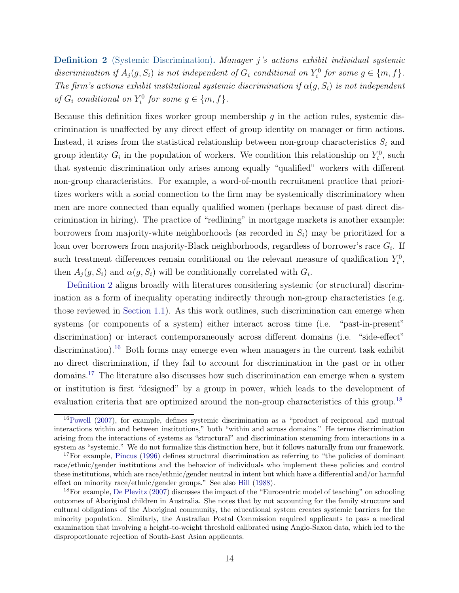Definition 2 (Systemic Discrimination). Manager j's actions exhibit individual systemic discrimination if  $A_j(g, S_i)$  is not independent of  $G_i$  conditional on  $Y_i^0$  for some  $g \in \{m, f\}$ . The firm's actions exhibit institutional systemic discrimination if  $\alpha(g, S_i)$  is not independent of  $G_i$  conditional on  $Y_i^0$  for some  $g \in \{m, f\}$ .

Because this definition fixes worker group membership  $g$  in the action rules, systemic discrimination is unaffected by any direct effect of group identity on manager or firm actions. Instead, it arises from the statistical relationship between non-group characteristics  $S_i$  and group identity  $G_i$  in the population of workers. We condition this relationship on  $Y_i^0$ , such that systemic discrimination only arises among equally "qualified" workers with different non-group characteristics. For example, a word-of-mouth recruitment practice that prioritizes workers with a social connection to the firm may be systemically discriminatory when men are more connected than equally qualified women (perhaps because of past direct discrimination in hiring). The practice of "redlining" in mortgage markets is another example: borrowers from majority-white neighborhoods (as recorded in  $S_i$ ) may be prioritized for a loan over borrowers from majority-Black neighborhoods, regardless of borrower's race  $G_i$ . If such treatment differences remain conditional on the relevant measure of qualification  $Y_i^0$ , then  $A_j(g, S_i)$  and  $\alpha(g, S_i)$  will be conditionally correlated with  $G_i$ .

[Definition 2](#page-13-2) aligns broadly with literatures considering systemic (or structural) discrimination as a form of inequality operating indirectly through non-group characteristics (e.g. those reviewed in [Section 1.1\)](#page-5-2). As this work outlines, such discrimination can emerge when systems (or components of a system) either interact across time (i.e. "past-in-present" discrimination) or interact contemporaneously across different domains (i.e. "side-effect" discrimination).<sup>[16](#page-14-0)</sup> Both forms may emerge even when managers in the current task exhibit no direct discrimination, if they fail to account for discrimination in the past or in other domains.[17](#page-14-1) The literature also discusses how such discrimination can emerge when a system or institution is first "designed" by a group in power, which leads to the development of evaluation criteria that are optimized around the non-group characteristics of this group.<sup>[18](#page-14-2)</sup>

<span id="page-14-0"></span> $16$ [Powell](#page-50-2) [\(2007\)](#page-50-2), for example, defines systemic discrimination as a "product of reciprocal and mutual interactions within and between institutions," both "within and across domains." He terms discrimination arising from the interactions of systems as "structural" and discrimination stemming from interactions in a system as "systemic." We do not formalize this distinction here, but it follows naturally from our framework.

<span id="page-14-1"></span><sup>&</sup>lt;sup>17</sup>For example, [Pincus](#page-50-1) [\(1996\)](#page-50-1) defines structural discrimination as referring to "the policies of dominant race/ethnic/gender institutions and the behavior of individuals who implement these policies and control these institutions, which are race/ethnic/gender neutral in intent but which have a differential and/or harmful effect on minority race/ethnic/gender groups." See also [Hill](#page-49-4) [\(1988\)](#page-49-4).

<span id="page-14-2"></span><sup>18</sup>For example, [De Plevitz](#page-48-0) [\(2007\)](#page-48-0) discusses the impact of the "Eurocentric model of teaching" on schooling outcomes of Aboriginal children in Australia. She notes that by not accounting for the family structure and cultural obligations of the Aboriginal community, the educational system creates systemic barriers for the minority population. Similarly, the Australian Postal Commission required applicants to pass a medical examination that involving a height-to-weight threshold calibrated using Anglo-Saxon data, which led to the disproportionate rejection of South-East Asian applicants.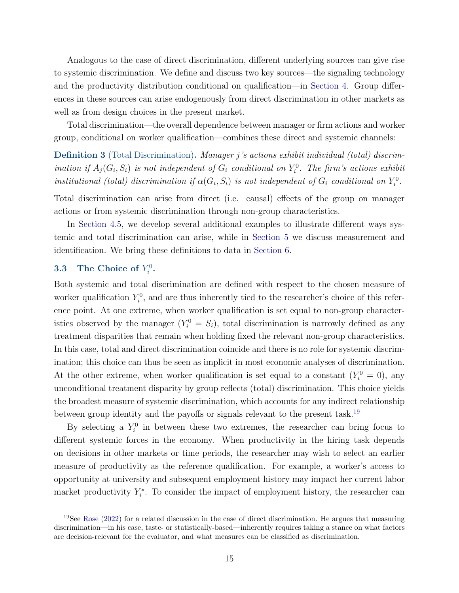Analogous to the case of direct discrimination, different underlying sources can give rise to systemic discrimination. We define and discuss two key sources—the signaling technology and the productivity distribution conditional on qualification—in [Section 4.](#page-17-0) Group differences in these sources can arise endogenously from direct discrimination in other markets as well as from design choices in the present market.

Total discrimination—the overall dependence between manager or firm actions and worker group, conditional on worker qualification—combines these direct and systemic channels:

<span id="page-15-1"></span>Definition 3 (Total Discrimination). Manager j's actions exhibit individual (total) discrimination if  $A_j(G_i, S_i)$  is not independent of  $G_i$  conditional on  $Y_i^0$ . The firm's actions exhibit institutional (total) discrimination if  $\alpha(G_i, S_i)$  is not independent of  $G_i$  conditional on  $Y_i^0$ .

Total discrimination can arise from direct (i.e. causal) effects of the group on manager actions or from systemic discrimination through non-group characteristics.

In [Section 4.5,](#page-23-0) we develop several additional examples to illustrate different ways systemic and total discrimination can arise, while in [Section 5](#page-27-0) we discuss measurement and identification. We bring these definitions to data in [Section 6.](#page-33-0)

# **3.3** The Choice of  $Y_i^0$ .

Both systemic and total discrimination are defined with respect to the chosen measure of worker qualification  $Y_i^0$ , and are thus inherently tied to the researcher's choice of this reference point. At one extreme, when worker qualification is set equal to non-group characteristics observed by the manager  $(Y_i^0 = S_i)$ , total discrimination is narrowly defined as any treatment disparities that remain when holding fixed the relevant non-group characteristics. In this case, total and direct discrimination coincide and there is no role for systemic discrimination; this choice can thus be seen as implicit in most economic analyses of discrimination. At the other extreme, when worker qualification is set equal to a constant  $(Y_i^0 = 0)$ , any unconditional treatment disparity by group reflects (total) discrimination. This choice yields the broadest measure of systemic discrimination, which accounts for any indirect relationship between group identity and the payoffs or signals relevant to the present task.<sup>[19](#page-15-0)</sup>

By selecting a  $Y_i^0$  in between these two extremes, the researcher can bring focus to different systemic forces in the economy. When productivity in the hiring task depends on decisions in other markets or time periods, the researcher may wish to select an earlier measure of productivity as the reference qualification. For example, a worker's access to opportunity at university and subsequent employment history may impact her current labor market productivity  $Y_i^*$ . To consider the impact of employment history, the researcher can

<span id="page-15-0"></span> $19$ See [Rose](#page-50-11) [\(2022\)](#page-50-11) for a related discussion in the case of direct discrimination. He argues that measuring discrimination—in his case, taste- or statistically-based—inherently requires taking a stance on what factors are decision-relevant for the evaluator, and what measures can be classified as discrimination.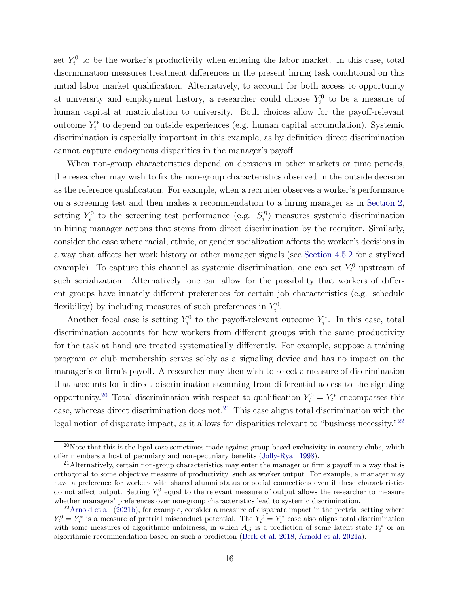set  $Y_i^0$  to be the worker's productivity when entering the labor market. In this case, total discrimination measures treatment differences in the present hiring task conditional on this initial labor market qualification. Alternatively, to account for both access to opportunity at university and employment history, a researcher could choose  $Y_i^0$  to be a measure of human capital at matriculation to university. Both choices allow for the payoff-relevant outcome  $Y_i^*$  to depend on outside experiences (e.g. human capital accumulation). Systemic discrimination is especially important in this example, as by definition direct discrimination cannot capture endogenous disparities in the manager's payoff.

When non-group characteristics depend on decisions in other markets or time periods, the researcher may wish to fix the non-group characteristics observed in the outside decision as the reference qualification. For example, when a recruiter observes a worker's performance on a screening test and then makes a recommendation to a hiring manager as in [Section 2,](#page-7-0) setting  $Y_i^0$  to the screening test performance (e.g.  $S_i^R$ ) measures systemic discrimination in hiring manager actions that stems from direct discrimination by the recruiter. Similarly, consider the case where racial, ethnic, or gender socialization affects the worker's decisions in a way that affects her work history or other manager signals (see [Section 4.5.2](#page-25-0) for a stylized example). To capture this channel as systemic discrimination, one can set  $Y_i^0$  upstream of such socialization. Alternatively, one can allow for the possibility that workers of different groups have innately different preferences for certain job characteristics (e.g. schedule flexibility) by including measures of such preferences in  $Y_i^0$ .

Another focal case is setting  $Y_i^0$  to the payoff-relevant outcome  $Y_i^*$ . In this case, total discrimination accounts for how workers from different groups with the same productivity for the task at hand are treated systematically differently. For example, suppose a training program or club membership serves solely as a signaling device and has no impact on the manager's or firm's payoff. A researcher may then wish to select a measure of discrimination that accounts for indirect discrimination stemming from differential access to the signaling opportunity.<sup>[20](#page-16-0)</sup> Total discrimination with respect to qualification  $Y_i^0 = Y_i^*$  encompasses this case, whereas direct discrimination does not.<sup>[21](#page-16-1)</sup> This case aligns total discrimination with the legal notion of disparate impact, as it allows for disparities relevant to "business necessity."<sup>[22](#page-16-2)</sup>

<span id="page-16-0"></span> $^{20}$ Note that this is the legal case sometimes made against group-based exclusivity in country clubs, which offer members a host of pecuniary and non-pecuniary benefits [\(Jolly-Ryan](#page-49-14) [1998\)](#page-49-14).

<span id="page-16-1"></span><sup>&</sup>lt;sup>21</sup>Alternatively, certain non-group characteristics may enter the manager or firm's payoff in a way that is orthogonal to some objective measure of productivity, such as worker output. For example, a manager may have a preference for workers with shared alumni status or social connections even if these characteristics do not affect output. Setting  $Y_i^0$  equal to the relevant measure of output allows the researcher to measure whether managers' preferences over non-group characteristics lead to systemic discrimination.

<span id="page-16-2"></span> $22$ [Arnold et al.](#page-46-3) [\(2021b\)](#page-46-3), for example, consider a measure of disparate impact in the pretrial setting where  $Y_i^0 = Y_i^*$  is a measure of pretrial misconduct potential. The  $Y_i^0 = Y_i^*$  case also aligns total discrimination with some measures of algorithmic unfairness, in which  $A_{ij}$  is a prediction of some latent state  $Y_i^*$  or an algorithmic recommendation based on such a prediction [\(Berk et al.](#page-47-11) [2018;](#page-47-11) [Arnold et al.](#page-46-4) [2021a\)](#page-46-4).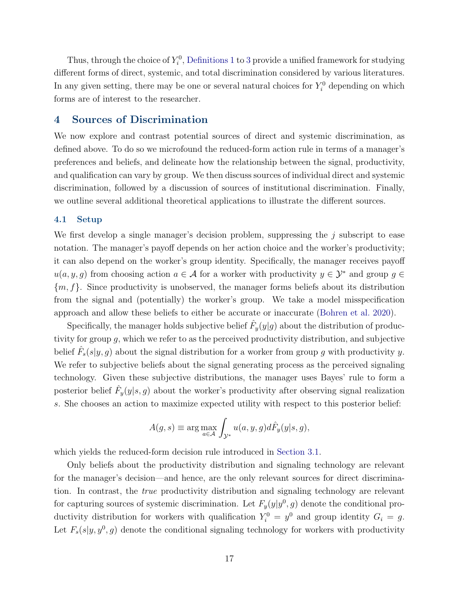Thus, through the choice of  $Y_i^0$ , [Definitions 1](#page-13-0) to [3](#page-15-1) provide a unified framework for studying different forms of direct, systemic, and total discrimination considered by various literatures. In any given setting, there may be one or several natural choices for  $Y_i^0$  depending on which forms are of interest to the researcher.

### <span id="page-17-0"></span>4 Sources of Discrimination

We now explore and contrast potential sources of direct and systemic discrimination, as defined above. To do so we microfound the reduced-form action rule in terms of a manager's preferences and beliefs, and delineate how the relationship between the signal, productivity, and qualification can vary by group. We then discuss sources of individual direct and systemic discrimination, followed by a discussion of sources of institutional discrimination. Finally, we outline several additional theoretical applications to illustrate the different sources.

#### 4.1 Setup

We first develop a single manager's decision problem, suppressing the  $j$  subscript to ease notation. The manager's payoff depends on her action choice and the worker's productivity; it can also depend on the worker's group identity. Specifically, the manager receives payoff  $u(a, y, g)$  from choosing action  $a \in \mathcal{A}$  for a worker with productivity  $y \in \mathcal{Y}^*$  and group  $g \in \mathcal{A}$  ${m, f}$ . Since productivity is unobserved, the manager forms beliefs about its distribution from the signal and (potentially) the worker's group. We take a model misspecification approach and allow these beliefs to either be accurate or inaccurate [\(Bohren et al.](#page-47-0) [2020\)](#page-47-0).

Specifically, the manager holds subjective belief  $\hat{F}_y(y|g)$  about the distribution of productivity for group  $g$ , which we refer to as the perceived productivity distribution, and subjective belief  $\hat{F}_s(s|y, g)$  about the signal distribution for a worker from group g with productivity y. We refer to subjective beliefs about the signal generating process as the perceived signaling technology. Given these subjective distributions, the manager uses Bayes' rule to form a posterior belief  $\hat{F}_y(y|s, g)$  about the worker's productivity after observing signal realization s. She chooses an action to maximize expected utility with respect to this posterior belief:

$$
A(g, s) \equiv \arg \max_{a \in \mathcal{A}} \int_{\mathcal{Y}^*} u(a, y, g) d\hat{F}_y(y|s, g),
$$

which yields the reduced-form decision rule introduced in [Section 3.1.](#page-10-2)

Only beliefs about the productivity distribution and signaling technology are relevant for the manager's decision—and hence, are the only relevant sources for direct discrimination. In contrast, the true productivity distribution and signaling technology are relevant for capturing sources of systemic discrimination. Let  $F_y(y|y^0, g)$  denote the conditional productivity distribution for workers with qualification  $Y_i^0 = y^0$  and group identity  $G_i = g$ . Let  $F_s(s|y, y^0, g)$  denote the conditional signaling technology for workers with productivity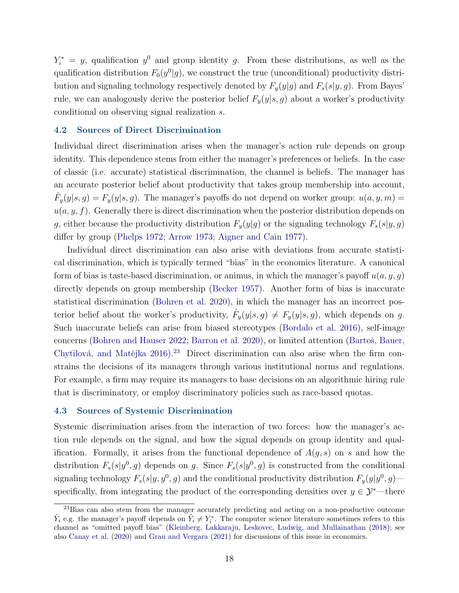$Y_i^* = y$ , qualification  $y^0$  and group identity g. From these distributions, as well as the qualification distribution  $F_0(y^0|g)$ , we construct the true (unconditional) productivity distribution and signaling technology respectively denoted by  $F_y(y|g)$  and  $F_s(s|y, g)$ . From Bayes' rule, we can analogously derive the posterior belief  $F_y(y|s, g)$  about a worker's productivity conditional on observing signal realization s.

#### 4.2 Sources of Direct Discrimination

Individual direct discrimination arises when the manager's action rule depends on group identity. This dependence stems from either the manager's preferences or beliefs. In the case of classic (i.e. accurate) statistical discrimination, the channel is beliefs. The manager has an accurate posterior belief about productivity that takes group membership into account,  $\hat{F}_y(y|s, g) = F_y(y|s, g)$ . The manager's payoffs do not depend on worker group:  $u(a, y, m) =$  $u(a, y, f)$ . Generally there is direct discrimination when the posterior distribution depends on g, either because the productivity distribution  $F_y(y|g)$  or the signaling technology  $F_s(s|y, g)$ differ by group [\(Phelps](#page-50-0) [1972;](#page-50-0) [Arrow](#page-46-7) [1973;](#page-46-7) [Aigner and Cain](#page-46-8) [1977\)](#page-46-8).

Individual direct discrimination can also arise with deviations from accurate statistical discrimination, which is typically termed "bias" in the economics literature. A canonical form of bias is taste-based discrimination, or animus, in which the manager's payoff  $u(a, y, q)$ directly depends on group membership [\(Becker](#page-46-0) [1957\)](#page-46-0). Another form of bias is inaccurate statistical discrimination [\(Bohren et al.](#page-47-0) [2020\)](#page-47-0), in which the manager has an incorrect posterior belief about the worker's productivity,  $\hat{F}_y(y|s, g) \neq F_y(y|s, g)$ , which depends on g. Such inaccurate beliefs can arise from biased stereotypes [\(Bordalo et al.](#page-47-13) [2016\)](#page-47-13), self-image concerns [\(Bohren and Hauser](#page-47-16) [2022;](#page-47-16) [Barron et al.](#page-46-9) [2020\)](#page-46-9), or limited attention (Bartoš, Bauer, Chytilová, and Matějka  $2016$ .<sup>[23](#page-18-0)</sup> Direct discrimination can also arise when the firm constrains the decisions of its managers through various institutional norms and regulations. For example, a firm may require its managers to base decisions on an algorithmic hiring rule that is discriminatory, or employ discriminatory policies such as race-based quotas.

#### 4.3 Sources of Systemic Discrimination

Systemic discrimination arises from the interaction of two forces: how the manager's action rule depends on the signal, and how the signal depends on group identity and qualification. Formally, it arises from the functional dependence of  $A(g, s)$  on s and how the distribution  $F_s(s|y^0, g)$  depends on g. Since  $F_s(s|y^0, g)$  is constructed from the conditional signaling technology  $F_s(s|y, y^0, g)$  and the conditional productivity distribution  $F_y(y|y^0, g)$ specifically, from integrating the product of the corresponding densities over  $y \in \mathcal{Y}^*$ —there

<span id="page-18-0"></span><sup>&</sup>lt;sup>23</sup>Bias can also stem from the manager accurately predicting and acting on a non-productive outcome  $\tilde{Y}_i$  e.g. the manager's payoff depends on  $\tilde{Y}_i \neq Y_i^*$ . The computer science literature sometimes refers to this channel as "omitted payoff bias" [\(Kleinberg, Lakkaraju, Leskovec, Ludwig, and Mullainathan](#page-49-15) [\(2018\)](#page-49-15); see also [Canay et al.](#page-47-6) [\(2020\)](#page-47-6) and [Grau and Vergara](#page-49-10) [\(2021\)](#page-49-10) for discussions of this issue in economics.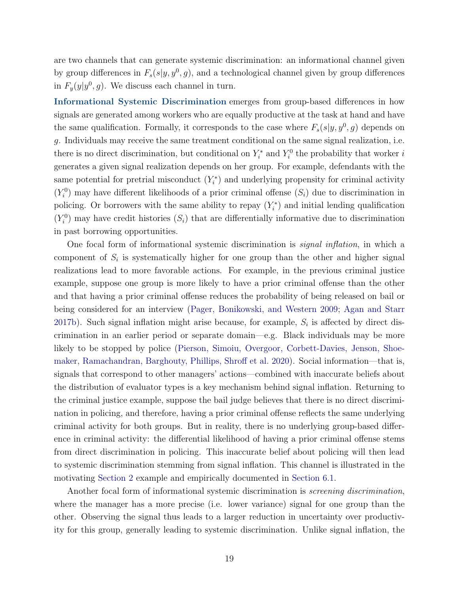are two channels that can generate systemic discrimination: an informational channel given by group differences in  $F_s(s|y, y^0, g)$ , and a technological channel given by group differences in  $F_y(y|y^0, g)$ . We discuss each channel in turn.

Informational Systemic Discrimination emerges from group-based differences in how signals are generated among workers who are equally productive at the task at hand and have the same qualification. Formally, it corresponds to the case where  $F_s(s|y, y^0, g)$  depends on g. Individuals may receive the same treatment conditional on the same signal realization, i.e. there is no direct discrimination, but conditional on  $Y_i^*$  and  $Y_i^0$  the probability that worker is generates a given signal realization depends on her group. For example, defendants with the same potential for pretrial misconduct  $(Y_i^*)$  and underlying propensity for criminal activity  $(Y_i^0)$  may have different likelihoods of a prior criminal offense  $(S_i)$  due to discrimination in policing. Or borrowers with the same ability to repay  $(Y_i^*)$  and initial lending qualification  $(Y_i^0)$  may have credit histories  $(S_i)$  that are differentially informative due to discrimination in past borrowing opportunities.

One focal form of informational systemic discrimination is *signal inflation*, in which a component of  $S_i$  is systematically higher for one group than the other and higher signal realizations lead to more favorable actions. For example, in the previous criminal justice example, suppose one group is more likely to have a prior criminal offense than the other and that having a prior criminal offense reduces the probability of being released on bail or being considered for an interview [\(Pager, Bonikowski, and Western](#page-50-12) [2009;](#page-50-12) [Agan and Starr](#page-46-13) [2017b\)](#page-46-13). Such signal inflation might arise because, for example,  $S_i$  is affected by direct discrimination in an earlier period or separate domain—e.g. Black individuals may be more likely to be stopped by police [\(Pierson, Simoiu, Overgoor, Corbett-Davies, Jenson, Shoe](#page-50-13)[maker, Ramachandran, Barghouty, Phillips, Shroff et al.](#page-50-13) [2020\)](#page-50-13). Social information—that is, signals that correspond to other managers' actions—combined with inaccurate beliefs about the distribution of evaluator types is a key mechanism behind signal inflation. Returning to the criminal justice example, suppose the bail judge believes that there is no direct discrimination in policing, and therefore, having a prior criminal offense reflects the same underlying criminal activity for both groups. But in reality, there is no underlying group-based difference in criminal activity: the differential likelihood of having a prior criminal offense stems from direct discrimination in policing. This inaccurate belief about policing will then lead to systemic discrimination stemming from signal inflation. This channel is illustrated in the motivating [Section 2](#page-7-0) example and empirically documented in [Section 6.1.](#page-34-0)

Another focal form of informational systemic discrimination is *screening discrimination*, where the manager has a more precise (i.e. lower variance) signal for one group than the other. Observing the signal thus leads to a larger reduction in uncertainty over productivity for this group, generally leading to systemic discrimination. Unlike signal inflation, the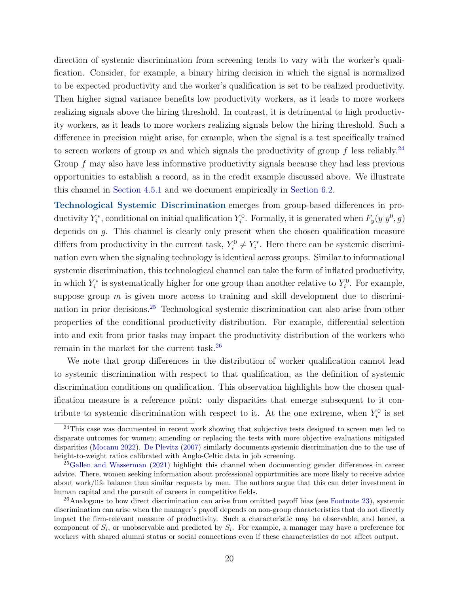direction of systemic discrimination from screening tends to vary with the worker's qualification. Consider, for example, a binary hiring decision in which the signal is normalized to be expected productivity and the worker's qualification is set to be realized productivity. Then higher signal variance benefits low productivity workers, as it leads to more workers realizing signals above the hiring threshold. In contrast, it is detrimental to high productivity workers, as it leads to more workers realizing signals below the hiring threshold. Such a difference in precision might arise, for example, when the signal is a test specifically trained to screen workers of group m and which signals the productivity of group f less reliably.<sup>[24](#page-20-0)</sup> Group f may also have less informative productivity signals because they had less previous opportunities to establish a record, as in the credit example discussed above. We illustrate this channel in [Section 4.5.1](#page-23-1) and we document empirically in [Section 6.2.](#page-39-0)

Technological Systemic Discrimination emerges from group-based differences in productivity  $Y_i^*$ , conditional on initial qualification  $Y_i^0$ . Formally, it is generated when  $F_y(y|y^0, g)$ depends on g. This channel is clearly only present when the chosen qualification measure differs from productivity in the current task,  $Y_i^0 \neq Y_i^*$ . Here there can be systemic discrimination even when the signaling technology is identical across groups. Similar to informational systemic discrimination, this technological channel can take the form of inflated productivity, in which  $Y_i^*$  is systematically higher for one group than another relative to  $Y_i^0$ . For example, suppose group  $m$  is given more access to training and skill development due to discrimination in prior decisions.[25](#page-20-1) Technological systemic discrimination can also arise from other properties of the conditional productivity distribution. For example, differential selection into and exit from prior tasks may impact the productivity distribution of the workers who remain in the market for the current task.[26](#page-20-2)

We note that group differences in the distribution of worker qualification cannot lead to systemic discrimination with respect to that qualification, as the definition of systemic discrimination conditions on qualification. This observation highlights how the chosen qualification measure is a reference point: only disparities that emerge subsequent to it contribute to systemic discrimination with respect to it. At the one extreme, when  $Y_i^0$  is set

<span id="page-20-0"></span><sup>&</sup>lt;sup>24</sup>This case was documented in recent work showing that subjective tests designed to screen men led to disparate outcomes for women; amending or replacing the tests with more objective evaluations mitigated disparities [\(Mocanu](#page-50-14) [2022\)](#page-50-14). [De Plevitz](#page-48-0) [\(2007\)](#page-48-0) similarly documents systemic discrimination due to the use of height-to-weight ratios calibrated with Anglo-Celtic data in job screening.

<span id="page-20-1"></span><sup>&</sup>lt;sup>25</sup>[Gallen and Wasserman](#page-48-13) [\(2021\)](#page-48-13) highlight this channel when documenting gender differences in career advice. There, women seeking information about professional opportunities are more likely to receive advice about work/life balance than similar requests by men. The authors argue that this can deter investment in human capital and the pursuit of careers in competitive fields.

<span id="page-20-2"></span> $^{26}$ Analogous to how direct discrimination can arise from omitted payoff bias (see [Footnote 23\)](#page-18-0), systemic discrimination can arise when the manager's payoff depends on non-group characteristics that do not directly impact the firm-relevant measure of productivity. Such a characteristic may be observable, and hence, a component of  $S_i$ , or unobservable and predicted by  $S_i$ . For example, a manager may have a preference for workers with shared alumni status or social connections even if these characteristics do not affect output.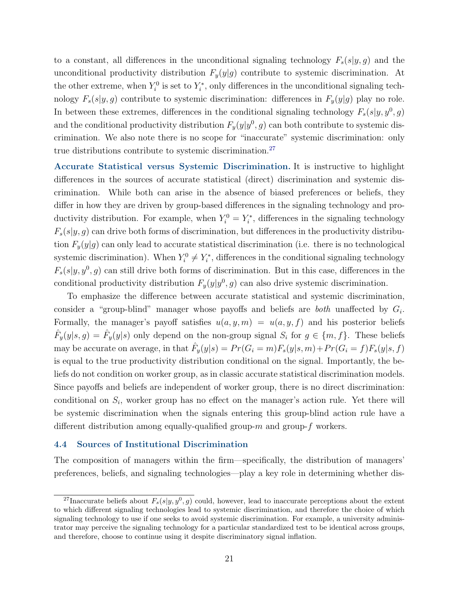to a constant, all differences in the unconditional signaling technology  $F_s(s|y, g)$  and the unconditional productivity distribution  $F_y(y|g)$  contribute to systemic discrimination. At the other extreme, when  $Y_i^0$  is set to  $Y_i^*$ , only differences in the unconditional signaling technology  $F_s(s|y, g)$  contribute to systemic discrimination: differences in  $F_y(y|g)$  play no role. In between these extremes, differences in the conditional signaling technology  $F_s(s|y, y^0, g)$ and the conditional productivity distribution  $F_y(y|y^0, g)$  can both contribute to systemic discrimination. We also note there is no scope for "inaccurate" systemic discrimination: only true distributions contribute to systemic discrimination.<sup>[27](#page-21-0)</sup>

Accurate Statistical versus Systemic Discrimination. It is instructive to highlight differences in the sources of accurate statistical (direct) discrimination and systemic discrimination. While both can arise in the absence of biased preferences or beliefs, they differ in how they are driven by group-based differences in the signaling technology and productivity distribution. For example, when  $Y_i^0 = Y_i^*$ , differences in the signaling technology  $F_s(s|y, g)$  can drive both forms of discrimination, but differences in the productivity distribution  $F_y(y|g)$  can only lead to accurate statistical discrimination (i.e. there is no technological systemic discrimination). When  $Y_i^0 \neq Y_i^*$ , differences in the conditional signaling technology  $F_s(s|y, y^0, g)$  can still drive both forms of discrimination. But in this case, differences in the conditional productivity distribution  $F_y(y|y^0, g)$  can also drive systemic discrimination.

To emphasize the difference between accurate statistical and systemic discrimination, consider a "group-blind" manager whose payoffs and beliefs are *both* unaffected by  $G_i$ . Formally, the manager's payoff satisfies  $u(a, y, m) = u(a, y, f)$  and his posterior beliefs  $\hat{F}_y(y|s, g) = \hat{F}_y(y|s)$  only depend on the non-group signal  $S_i$  for  $g \in \{m, f\}$ . These beliefs may be accurate on average, in that  $\hat{F}_y(y|s) = Pr(G_i = m)F_s(y|s, m) + Pr(G_i = f)F_s(y|s, f)$ is equal to the true productivity distribution conditional on the signal. Importantly, the beliefs do not condition on worker group, as in classic accurate statistical discrimination models. Since payoffs and beliefs are independent of worker group, there is no direct discrimination: conditional on  $S_i$ , worker group has no effect on the manager's action rule. Yet there will be systemic discrimination when the signals entering this group-blind action rule have a different distribution among equally-qualified group- $m$  and group- $f$  workers.

#### 4.4 Sources of Institutional Discrimination

The composition of managers within the firm—specifically, the distribution of managers' preferences, beliefs, and signaling technologies—play a key role in determining whether dis-

<span id="page-21-0"></span><sup>&</sup>lt;sup>27</sup>Inaccurate beliefs about  $F_s(s|y, y^0, g)$  could, however, lead to inaccurate perceptions about the extent to which different signaling technologies lead to systemic discrimination, and therefore the choice of which signaling technology to use if one seeks to avoid systemic discrimination. For example, a university administrator may perceive the signaling technology for a particular standardized test to be identical across groups, and therefore, choose to continue using it despite discriminatory signal inflation.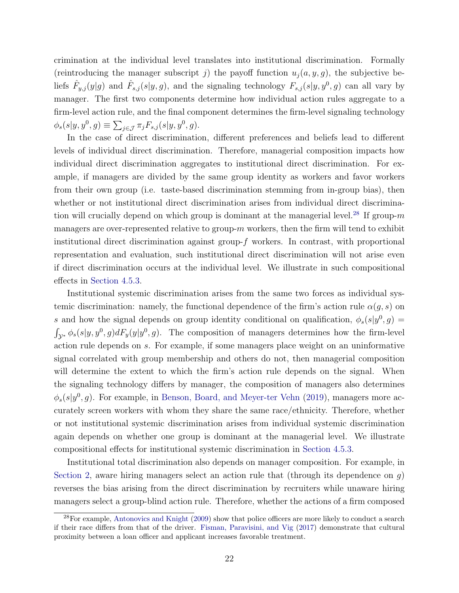crimination at the individual level translates into institutional discrimination. Formally (reintroducing the manager subscript j) the payoff function  $u_i(a, y, g)$ , the subjective beliefs  $\hat{F}_{y,j}(y|g)$  and  $\hat{F}_{s,j}(s|y,g)$ , and the signaling technology  $F_{s,j}(s|y,y^0,g)$  can all vary by manager. The first two components determine how individual action rules aggregate to a firm-level action rule, and the final component determines the firm-level signaling technology  $\phi_s(s|y, y^0, g) \equiv \sum_{j \in \mathcal{J}} \pi_j F_{s,j}(s|y, y^0, g).$ 

In the case of direct discrimination, different preferences and beliefs lead to different levels of individual direct discrimination. Therefore, managerial composition impacts how individual direct discrimination aggregates to institutional direct discrimination. For example, if managers are divided by the same group identity as workers and favor workers from their own group (i.e. taste-based discrimination stemming from in-group bias), then whether or not institutional direct discrimination arises from individual direct discrimina-tion will crucially depend on which group is dominant at the managerial level.<sup>[28](#page-22-0)</sup> If group- $m$ managers are over-represented relative to group- $m$  workers, then the firm will tend to exhibit institutional direct discrimination against group- $f$  workers. In contrast, with proportional representation and evaluation, such institutional direct discrimination will not arise even if direct discrimination occurs at the individual level. We illustrate in such compositional effects in [Section 4.5.3.](#page-26-0)

Institutional systemic discrimination arises from the same two forces as individual systemic discrimination: namely, the functional dependence of the firm's action rule  $\alpha(q, s)$  on s and how the signal depends on group identity conditional on qualification,  $\phi_s(s|y^0, g)$  =  $\int_{\mathcal{Y}^*} \phi_s(s|y, y^0, g) dF_y(y|y^0, g)$ . The composition of managers determines how the firm-level action rule depends on s. For example, if some managers place weight on an uninformative signal correlated with group membership and others do not, then managerial composition will determine the extent to which the firm's action rule depends on the signal. When the signaling technology differs by manager, the composition of managers also determines  $\phi_s(s|y^0, g)$ . For example, in [Benson, Board, and Meyer-ter Vehn](#page-46-14) [\(2019\)](#page-46-14), managers more accurately screen workers with whom they share the same race/ethnicity. Therefore, whether or not institutional systemic discrimination arises from individual systemic discrimination again depends on whether one group is dominant at the managerial level. We illustrate compositional effects for institutional systemic discrimination in [Section 4.5.3.](#page-26-0)

Institutional total discrimination also depends on manager composition. For example, in [Section 2,](#page-7-0) aware hiring managers select an action rule that (through its dependence on  $g$ ) reverses the bias arising from the direct discrimination by recruiters while unaware hiring managers select a group-blind action rule. Therefore, whether the actions of a firm composed

<span id="page-22-0"></span> $28$ For example, [Antonovics and Knight](#page-46-15) [\(2009\)](#page-46-15) show that police officers are more likely to conduct a search if their race differs from that of the driver. [Fisman, Paravisini, and Vig](#page-48-14) [\(2017\)](#page-48-14) demonstrate that cultural proximity between a loan officer and applicant increases favorable treatment.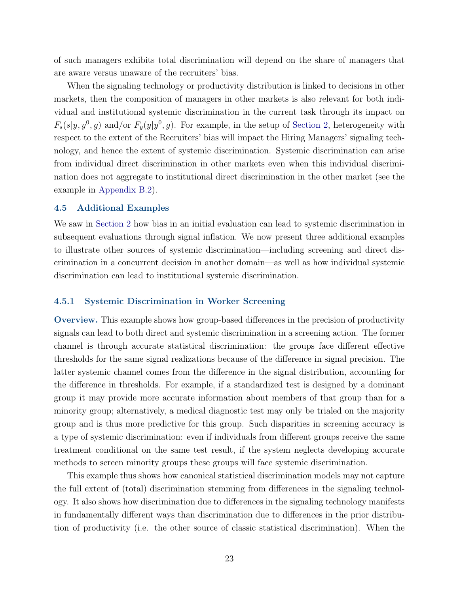of such managers exhibits total discrimination will depend on the share of managers that are aware versus unaware of the recruiters' bias.

When the signaling technology or productivity distribution is linked to decisions in other markets, then the composition of managers in other markets is also relevant for both individual and institutional systemic discrimination in the current task through its impact on  $F_s(s|y, y^0, g)$  and/or  $F_y(y|y^0, g)$ . For example, in the setup of [Section 2,](#page-7-0) heterogeneity with respect to the extent of the Recruiters' bias will impact the Hiring Managers' signaling technology, and hence the extent of systemic discrimination. Systemic discrimination can arise from individual direct discrimination in other markets even when this individual discrimination does not aggregate to institutional direct discrimination in the other market (see the example in [Appendix B.2\)](#page-54-0).

#### <span id="page-23-0"></span>4.5 Additional Examples

We saw in [Section 2](#page-7-0) how bias in an initial evaluation can lead to systemic discrimination in subsequent evaluations through signal inflation. We now present three additional examples to illustrate other sources of systemic discrimination—including screening and direct discrimination in a concurrent decision in another domain—as well as how individual systemic discrimination can lead to institutional systemic discrimination.

#### <span id="page-23-1"></span>4.5.1 Systemic Discrimination in Worker Screening

Overview. This example shows how group-based differences in the precision of productivity signals can lead to both direct and systemic discrimination in a screening action. The former channel is through accurate statistical discrimination: the groups face different effective thresholds for the same signal realizations because of the difference in signal precision. The latter systemic channel comes from the difference in the signal distribution, accounting for the difference in thresholds. For example, if a standardized test is designed by a dominant group it may provide more accurate information about members of that group than for a minority group; alternatively, a medical diagnostic test may only be trialed on the majority group and is thus more predictive for this group. Such disparities in screening accuracy is a type of systemic discrimination: even if individuals from different groups receive the same treatment conditional on the same test result, if the system neglects developing accurate methods to screen minority groups these groups will face systemic discrimination.

This example thus shows how canonical statistical discrimination models may not capture the full extent of (total) discrimination stemming from differences in the signaling technology. It also shows how discrimination due to differences in the signaling technology manifests in fundamentally different ways than discrimination due to differences in the prior distribution of productivity (i.e. the other source of classic statistical discrimination). When the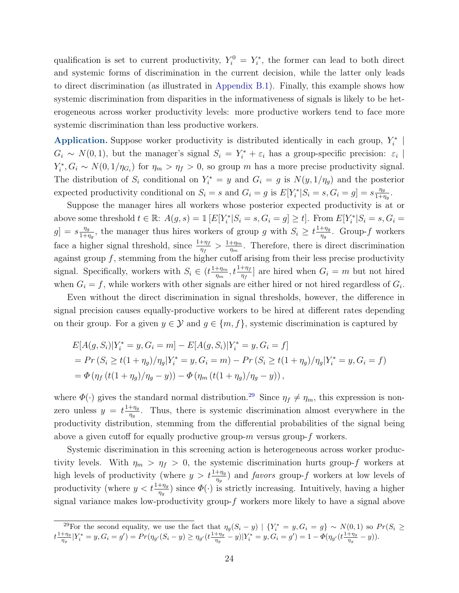qualification is set to current productivity,  $Y_i^0 = Y_i^*$ , the former can lead to both direct and systemic forms of discrimination in the current decision, while the latter only leads to direct discrimination (as illustrated in [Appendix B.1\)](#page-53-0). Finally, this example shows how systemic discrimination from disparities in the informativeness of signals is likely to be heterogeneous across worker productivity levels: more productive workers tend to face more systemic discrimination than less productive workers.

Application. Suppose worker productivity is distributed identically in each group,  $Y_i^*$  |  $G_i \sim N(0, 1)$ , but the manager's signal  $S_i = Y_i^* + \varepsilon_i$  has a group-specific precision:  $\varepsilon_i$  $Y_i^*, G_i \sim N(0, 1/\eta_{G_i})$  for  $\eta_m > \eta_f > 0$ , so group m has a more precise productivity signal. The distribution of  $S_i$  conditional on  $Y_i^* = y$  and  $G_i = g$  is  $N(y, 1/\eta_g)$  and the posterior expected productivity conditional on  $S_i = s$  and  $G_i = g$  is  $E[Y_i^* | S_i = s, G_i = g] = s \frac{\eta_g}{1 + i}$  $\frac{\eta_g}{1+\eta_g}$ .

Suppose the manager hires all workers whose posterior expected productivity is at or above some threshold  $t \in \mathbb{R}$ :  $A(g, s) = \mathbb{1} [E[Y_i^* | S_i = s, G_i = g] \ge t]$ . From  $E[Y_i^* | S_i = s, G_i = g]$  $g$ ] =  $s \frac{\eta_g}{1+\eta_g}$  $\frac{\eta_g}{1+\eta_g}$ , the manager thus hires workers of group g with  $S_i \geq t \frac{1+\eta_g}{\eta_g}$  $\frac{+\eta_g}{\eta_g}$ . Group- $f$  workers face a higher signal threshold, since  $\frac{1+\eta_f}{\eta_f} > \frac{1+\eta_m}{\eta_m}$  $\frac{+\eta_m}{\eta_m}$ . Therefore, there is direct discrimination against group  $f$ , stemming from the higher cutoff arising from their less precise productivity signal. Specifically, workers with  $S_i \in (t \frac{1 + \eta_m}{\eta_m})$  $\frac{+\eta_m}{\eta_m}$ ,  $t\frac{1+\eta_f}{\eta_f}$  are hired when  $G_i = m$  but not hired when  $G_i = f$ , while workers with other signals are either hired or not hired regardless of  $G_i$ .

Even without the direct discrimination in signal thresholds, however, the difference in signal precision causes equally-productive workers to be hired at different rates depending on their group. For a given  $y \in \mathcal{Y}$  and  $g \in \{m, f\}$ , systemic discrimination is captured by

$$
E[A(g, S_i)|Y_i^* = y, G_i = m] - E[A(g, S_i)|Y_i^* = y, G_i = f]
$$
  
= Pr (S<sub>i</sub>  $\geq$  t(1 +  $\eta_g$ )/ $\eta_g$ |Y<sub>i</sub><sup>\*</sup> = y, G<sub>i</sub> = m) - Pr (S<sub>i</sub>  $\geq$  t(1 +  $\eta_g$ )/ $\eta_g$ |Y<sub>i</sub><sup>\*</sup> = y, G<sub>i</sub> = f)  
=  $\Phi(\eta_f (t(1 + \eta_g)/\eta_g - y)) - \Phi(\eta_m (t(1 + \eta_g)/\eta_g - y)),$ 

where  $\Phi(\cdot)$  gives the standard normal distribution.<sup>[29](#page-24-0)</sup> Since  $\eta_f \neq \eta_m$ , this expression is nonzero unless  $y = t \frac{1 + \eta_g}{n}$  $\frac{+\eta_g}{\eta_g}$ . Thus, there is systemic discrimination almost everywhere in the productivity distribution, stemming from the differential probabilities of the signal being above a given cutoff for equally productive group- $m$  versus group- $f$  workers.

Systemic discrimination in this screening action is heterogeneous across worker productivity levels. With  $\eta_m > \eta_f > 0$ , the systemic discrimination hurts group-f workers at high levels of productivity (where  $y > t \frac{1+\eta_g}{\eta_g}$ ) and *favors* group-f workers at low levels of productivity (where  $y < t \frac{1+\eta_g}{\eta_g}$ ) since  $\Phi(\cdot)$  is strictly increasing. Intuitively, having a higher signal variance makes low-productivity group- $f$  workers more likely to have a signal above

<span id="page-24-0"></span><sup>&</sup>lt;sup>29</sup>For the second equality, we use the fact that  $\eta_g(S_i - y) | \{Y_i^* = y, G_i = g\} \sim N(0, 1)$  so  $Pr(S_i \geq$  $t^{\frac{1+\eta_g}{n}}$  $\frac{1}{\eta_g} |Y_i^* = y, G_i = g') = Pr(\eta_{g'}(S_i - y) \ge \eta_{g'}(t\frac{1 + \eta_g}{\eta_g}))$  $\frac{1}{\eta_g} - y|Y^*_i = y, G_i = g') = 1 - \Phi(\eta_{g'}(t\frac{1+\eta_g}{\eta_g}))$  $\frac{+\eta_g}{\eta_g} - y)).$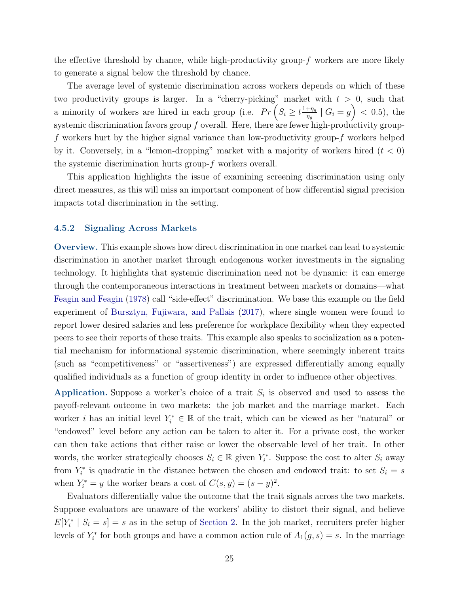the effective threshold by chance, while high-productivity group- $f$  workers are more likely to generate a signal below the threshold by chance.

The average level of systemic discrimination across workers depends on which of these two productivity groups is larger. In a "cherry-picking" market with  $t > 0$ , such that a minority of workers are hired in each group (i.e.  $Pr(S_i \geq t \frac{1+\eta_g}{n_g})$  $\frac{+\eta_g}{\eta_g} \mid G_i = g$  > (0.5), the systemic discrimination favors group  $f$  overall. Here, there are fewer high-productivity groupf workers hurt by the higher signal variance than low-productivity group-f workers helped by it. Conversely, in a "lemon-dropping" market with a majority of workers hired  $(t < 0)$ the systemic discrimination hurts group-f workers overall.

This application highlights the issue of examining screening discrimination using only direct measures, as this will miss an important component of how differential signal precision impacts total discrimination in the setting.

#### <span id="page-25-0"></span>4.5.2 Signaling Across Markets

Overview. This example shows how direct discrimination in one market can lead to systemic discrimination in another market through endogenous worker investments in the signaling technology. It highlights that systemic discrimination need not be dynamic: it can emerge through the contemporaneous interactions in treatment between markets or domains—what [Feagin and Feagin](#page-48-5) [\(1978\)](#page-48-5) call "side-effect" discrimination. We base this example on the field experiment of [Bursztyn, Fujiwara, and Pallais](#page-47-17) [\(2017\)](#page-47-17), where single women were found to report lower desired salaries and less preference for workplace flexibility when they expected peers to see their reports of these traits. This example also speaks to socialization as a potential mechanism for informational systemic discrimination, where seemingly inherent traits (such as "competitiveness" or "assertiveness") are expressed differentially among equally qualified individuals as a function of group identity in order to influence other objectives.

Application. Suppose a worker's choice of a trait  $S_i$  is observed and used to assess the payoff-relevant outcome in two markets: the job market and the marriage market. Each worker *i* has an initial level  $Y_i^* \in \mathbb{R}$  of the trait, which can be viewed as her "natural" or "endowed" level before any action can be taken to alter it. For a private cost, the worker can then take actions that either raise or lower the observable level of her trait. In other words, the worker strategically chooses  $S_i \in \mathbb{R}$  given  $Y_i^*$ . Suppose the cost to alter  $S_i$  away from  $Y_i^*$  is quadratic in the distance between the chosen and endowed trait: to set  $S_i = s$ when  $Y_i^* = y$  the worker bears a cost of  $C(s, y) = (s - y)^2$ .

Evaluators differentially value the outcome that the trait signals across the two markets. Suppose evaluators are unaware of the workers' ability to distort their signal, and believe  $E[Y_i^* | S_i = s] = s$  as in the setup of [Section 2.](#page-7-0) In the job market, recruiters prefer higher levels of  $Y_i^*$  for both groups and have a common action rule of  $A_1(g, s) = s$ . In the marriage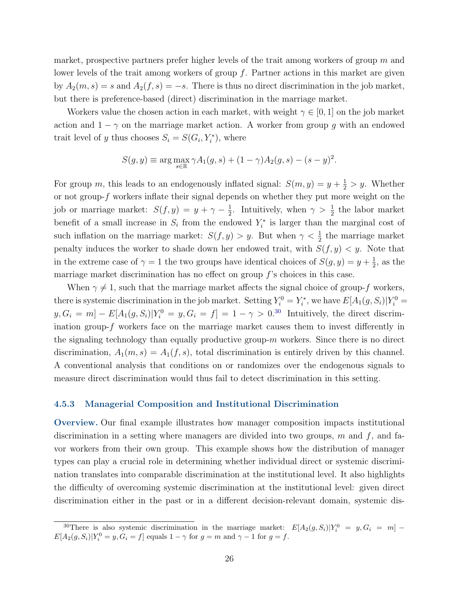market, prospective partners prefer higher levels of the trait among workers of group  $m$  and lower levels of the trait among workers of group  $f$ . Partner actions in this market are given by  $A_2(m, s) = s$  and  $A_2(f, s) = -s$ . There is thus no direct discrimination in the job market, but there is preference-based (direct) discrimination in the marriage market.

Workers value the chosen action in each market, with weight  $\gamma \in [0,1]$  on the job market action and  $1 - \gamma$  on the marriage market action. A worker from group g with an endowed trait level of y thus chooses  $S_i = S(G_i, Y_i^*)$ , where

$$
S(g, y) \equiv \arg \max_{s \in \mathbb{R}} \gamma A_1(g, s) + (1 - \gamma) A_2(g, s) - (s - y)^2.
$$

For group m, this leads to an endogenously inflated signal:  $S(m, y) = y + \frac{1}{2} > y$ . Whether or not group- $f$  workers inflate their signal depends on whether they put more weight on the job or marriage market:  $S(f, y) = y + \gamma - \frac{1}{2}$  $\frac{1}{2}$ . Intuitively, when  $\gamma > \frac{1}{2}$  the labor market benefit of a small increase in  $S_i$  from the endowed  $Y_i^*$  is larger than the marginal cost of such inflation on the marriage market:  $S(f, y) > y$ . But when  $\gamma < \frac{1}{2}$  the marriage market penalty induces the worker to shade down her endowed trait, with  $S(f, y) < y$ . Note that in the extreme case of  $\gamma = 1$  the two groups have identical choices of  $S(g, y) = y + \frac{1}{2}$  $\frac{1}{2}$ , as the marriage market discrimination has no effect on group  $f$ 's choices in this case.

When  $\gamma \neq 1$ , such that the marriage market affects the signal choice of group-f workers, there is systemic discrimination in the job market. Setting  $Y_i^0 = Y_i^*$ , we have  $E[A_1(g, S_i)|Y_i^0 =$  $[y, G_i = m] - E[A_1(g, S_i)|Y_i^0 = y, G_i = f] = 1 - \gamma > 0^{.30}$  $[y, G_i = m] - E[A_1(g, S_i)|Y_i^0 = y, G_i = f] = 1 - \gamma > 0^{.30}$  $[y, G_i = m] - E[A_1(g, S_i)|Y_i^0 = y, G_i = f] = 1 - \gamma > 0^{.30}$  Intuitively, the direct discrimination group-f workers face on the marriage market causes them to invest differently in the signaling technology than equally productive group- $m$  workers. Since there is no direct discrimination,  $A_1(m, s) = A_1(f, s)$ , total discrimination is entirely driven by this channel. A conventional analysis that conditions on or randomizes over the endogenous signals to measure direct discrimination would thus fail to detect discrimination in this setting.

#### <span id="page-26-0"></span>4.5.3 Managerial Composition and Institutional Discrimination

Overview. Our final example illustrates how manager composition impacts institutional discrimination in a setting where managers are divided into two groups,  $m$  and  $f$ , and favor workers from their own group. This example shows how the distribution of manager types can play a crucial role in determining whether individual direct or systemic discrimination translates into comparable discrimination at the institutional level. It also highlights the difficulty of overcoming systemic discrimination at the institutional level: given direct discrimination either in the past or in a different decision-relevant domain, systemic dis-

<span id="page-26-1"></span><sup>&</sup>lt;sup>30</sup>There is also systemic discrimination in the marriage market:  $E[A_2(g, S_i)|Y_i^0 = y, G_i = m]$  $E[A_2(g, S_i)|Y_i^0 = y, G_i = f]$  equals  $1 - \gamma$  for  $g = m$  and  $\gamma - 1$  for  $g = f$ .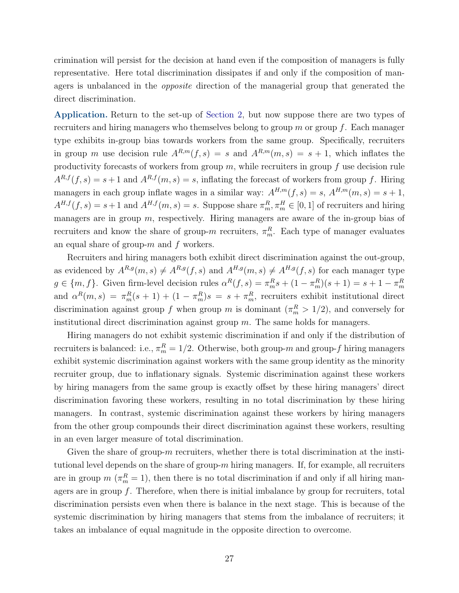crimination will persist for the decision at hand even if the composition of managers is fully representative. Here total discrimination dissipates if and only if the composition of managers is unbalanced in the opposite direction of the managerial group that generated the direct discrimination.

Application. Return to the set-up of [Section 2,](#page-7-0) but now suppose there are two types of recruiters and hiring managers who themselves belong to group  $m$  or group  $f$ . Each manager type exhibits in-group bias towards workers from the same group. Specifically, recruiters in group m use decision rule  $A^{R,m}(f, s) = s$  and  $A^{R,m}(m, s) = s + 1$ , which inflates the productivity forecasts of workers from group  $m$ , while recruiters in group  $f$  use decision rule  $A^{R,f}(f,s) = s+1$  and  $A^{R,f}(m,s) = s$ , inflating the forecast of workers from group f. Hiring managers in each group inflate wages in a similar way:  $A^{H,m}(f, s) = s$ ,  $A^{H,m}(m, s) = s + 1$ ,  $A^{H,f}(f,s) = s+1$  and  $A^{H,f}(m,s) = s$ . Suppose share  $\pi_m^R, \pi_m^H \in [0,1]$  of recruiters and hiring managers are in group  $m$ , respectively. Hiring managers are aware of the in-group bias of recruiters and know the share of group- $m$  recruiters,  $\pi_m^R$ . Each type of manager evaluates an equal share of group- $m$  and  $f$  workers.

Recruiters and hiring managers both exhibit direct discrimination against the out-group, as evidenced by  $A^{R,g}(m, s) \neq A^{R,g}(f, s)$  and  $A^{H,g}(m, s) \neq A^{H,g}(f, s)$  for each manager type  $g \in \{m, f\}$ . Given firm-level decision rules  $\alpha^{R}(f, s) = \pi_m^R s + (1 - \pi_m^R)(s + 1) = s + 1 - \pi_m^R$ and  $\alpha^{R}(m, s) = \pi_{m}^{R}(s + 1) + (1 - \pi_{m}^{R})s = s + \pi_{m}^{R}$ , recruiters exhibit institutional direct discrimination against group f when group m is dominant  $(\pi_m^R > 1/2)$ , and conversely for institutional direct discrimination against group  $m$ . The same holds for managers.

Hiring managers do not exhibit systemic discrimination if and only if the distribution of recruiters is balanced: i.e.,  $\pi_m^R = 1/2$ . Otherwise, both group- $m$  and group- $f$  hiring managers exhibit systemic discrimination against workers with the same group identity as the minority recruiter group, due to inflationary signals. Systemic discrimination against these workers by hiring managers from the same group is exactly offset by these hiring managers' direct discrimination favoring these workers, resulting in no total discrimination by these hiring managers. In contrast, systemic discrimination against these workers by hiring managers from the other group compounds their direct discrimination against these workers, resulting in an even larger measure of total discrimination.

<span id="page-27-0"></span>Given the share of group- $m$  recruiters, whether there is total discrimination at the institutional level depends on the share of group- $m$  hiring managers. If, for example, all recruiters are in group  $m(\pi_m^R=1)$ , then there is no total discrimination if and only if all hiring managers are in group  $f$ . Therefore, when there is initial imbalance by group for recruiters, total discrimination persists even when there is balance in the next stage. This is because of the systemic discrimination by hiring managers that stems from the imbalance of recruiters; it takes an imbalance of equal magnitude in the opposite direction to overcome.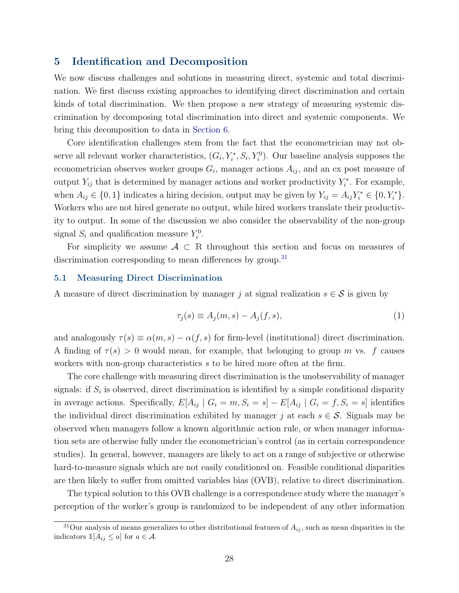# 5 Identification and Decomposition

We now discuss challenges and solutions in measuring direct, systemic and total discrimination. We first discuss existing approaches to identifying direct discrimination and certain kinds of total discrimination. We then propose a new strategy of measuring systemic discrimination by decomposing total discrimination into direct and systemic components. We bring this decomposition to data in [Section 6.](#page-33-0)

Core identification challenges stem from the fact that the econometrician may not observe all relevant worker characteristics,  $(G_i, Y_i^*, S_i, Y_i^0)$ . Our baseline analysis supposes the econometrician observes worker groups  $G_i$ , manager actions  $A_{ij}$ , and an ex post measure of output  $Y_{ij}$  that is determined by manager actions and worker productivity  $Y_i^*$ . For example, when  $A_{ij} \in \{0,1\}$  indicates a hiring decision, output may be given by  $Y_{ij} = A_{ij} Y_i^* \in \{0, Y_i^*\}.$ Workers who are not hired generate no output, while hired workers translate their productivity to output. In some of the discussion we also consider the observability of the non-group signal  $S_i$  and qualification measure  $Y_i^0$ .

For simplicity we assume  $A \subset \mathbb{R}$  throughout this section and focus on measures of discrimination corresponding to mean differences by group.<sup>[31](#page-28-0)</sup>

#### 5.1 Measuring Direct Discrimination

A measure of direct discrimination by manager j at signal realization  $s \in \mathcal{S}$  is given by

$$
\tau_j(s) \equiv A_j(m, s) - A_j(f, s),\tag{1}
$$

and analogously  $\tau(s) \equiv \alpha(m, s) - \alpha(f, s)$  for firm-level (institutional) direct discrimination. A finding of  $\tau(s) > 0$  would mean, for example, that belonging to group m vs. f causes workers with non-group characteristics s to be hired more often at the firm.

The core challenge with measuring direct discrimination is the unobservability of manager signals: if  $S_i$  is observed, direct discrimination is identified by a simple conditional disparity in average actions. Specifically,  $E[A_{ij} | G_i = m, S_i = s] - E[A_{ij} | G_i = f, S_i = s]$  identifies the individual direct discrimination exhibited by manager j at each  $s \in \mathcal{S}$ . Signals may be observed when managers follow a known algorithmic action rule, or when manager information sets are otherwise fully under the econometrician's control (as in certain correspondence studies). In general, however, managers are likely to act on a range of subjective or otherwise hard-to-measure signals which are not easily conditioned on. Feasible conditional disparities are then likely to suffer from omitted variables bias (OVB), relative to direct discrimination.

The typical solution to this OVB challenge is a correspondence study where the manager's perception of the worker's group is randomized to be independent of any other information

<span id="page-28-0"></span> $31$ Our analysis of means generalizes to other distributional features of  $A_{ij}$ , such as mean disparities in the indicators  $\mathbb{1}[A_{ij} \leq a]$  for  $a \in \mathcal{A}$ .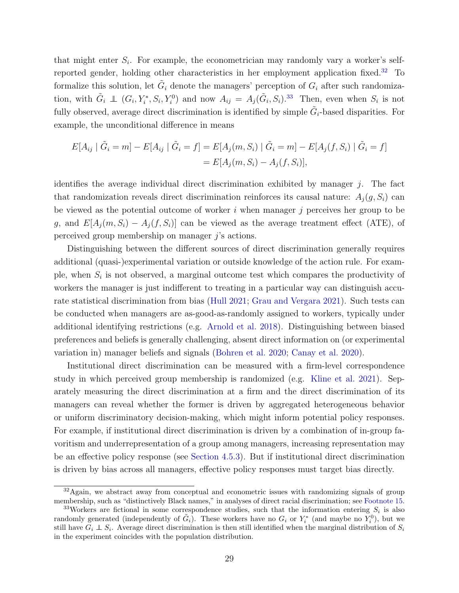that might enter  $S_i$ . For example, the econometrician may randomly vary a worker's selfreported gender, holding other characteristics in her employment application fixed.[32](#page-29-0) To formalize this solution, let  $\tilde{G}_i$  denote the managers' perception of  $G_i$  after such randomization, with  $\tilde{G}_i \perp (G_i, Y_i^*, S_i, Y_i^0)$  and now  $A_{ij} = A_j(\tilde{G}_i, S_i).^{33}$  $A_{ij} = A_j(\tilde{G}_i, S_i).^{33}$  $A_{ij} = A_j(\tilde{G}_i, S_i).^{33}$  Then, even when  $S_i$  is not fully observed, average direct discrimination is identified by simple  $\tilde{G}_i$ -based disparities. For example, the unconditional difference in means

$$
E[A_{ij} | \tilde{G}_i = m] - E[A_{ij} | \tilde{G}_i = f] = E[A_j(m, S_i) | \tilde{G}_i = m] - E[A_j(f, S_i) | \tilde{G}_i = f]
$$
  
= 
$$
E[A_j(m, S_i) - A_j(f, S_i)],
$$

identifies the average individual direct discrimination exhibited by manager  $j$ . The fact that randomization reveals direct discrimination reinforces its causal nature:  $A_i(q, S_i)$  can be viewed as the potential outcome of worker  $i$  when manager  $j$  perceives her group to be g, and  $E[A_i(m, S_i) - A_i(f, S_i)]$  can be viewed as the average treatment effect (ATE), of perceived group membership on manager j's actions.

Distinguishing between the different sources of direct discrimination generally requires additional (quasi-)experimental variation or outside knowledge of the action rule. For example, when  $S_i$  is not observed, a marginal outcome test which compares the productivity of workers the manager is just indifferent to treating in a particular way can distinguish accurate statistical discrimination from bias [\(Hull](#page-49-11) [2021;](#page-49-11) [Grau and Vergara](#page-49-10) [2021\)](#page-49-10). Such tests can be conducted when managers are as-good-as-randomly assigned to workers, typically under additional identifying restrictions (e.g. [Arnold et al.](#page-46-10) [2018\)](#page-46-10). Distinguishing between biased preferences and beliefs is generally challenging, absent direct information on (or experimental variation in) manager beliefs and signals [\(Bohren et al.](#page-47-0) [2020;](#page-47-0) [Canay et al.](#page-47-6) [2020\)](#page-47-6).

Institutional direct discrimination can be measured with a firm-level correspondence study in which perceived group membership is randomized (e.g. [Kline et al.](#page-49-9) [2021\)](#page-49-9). Separately measuring the direct discrimination at a firm and the direct discrimination of its managers can reveal whether the former is driven by aggregated heterogeneous behavior or uniform discriminatory decision-making, which might inform potential policy responses. For example, if institutional direct discrimination is driven by a combination of in-group favoritism and underrepresentation of a group among managers, increasing representation may be an effective policy response (see [Section 4.5.3\)](#page-26-0). But if institutional direct discrimination is driven by bias across all managers, effective policy responses must target bias directly.

<span id="page-29-0"></span> $32\text{Again}$ , we abstract away from conceptual and econometric issues with randomizing signals of group membership, such as "distinctively Black names," in analyses of direct racial discrimination; see [Footnote 15.](#page-13-1)

<span id="page-29-1"></span><sup>&</sup>lt;sup>33</sup>Workers are fictional in some correspondence studies, such that the information entering  $S_i$  is also randomly generated (independently of  $\tilde{G}_i$ ). These workers have no  $G_i$  or  $Y_i^*$  (and maybe no  $Y_i^0$ ), but we still have  $G_i \perp S_i$ . Average direct discrimination is then still identified when the marginal distribution of  $S_i$ in the experiment coincides with the population distribution.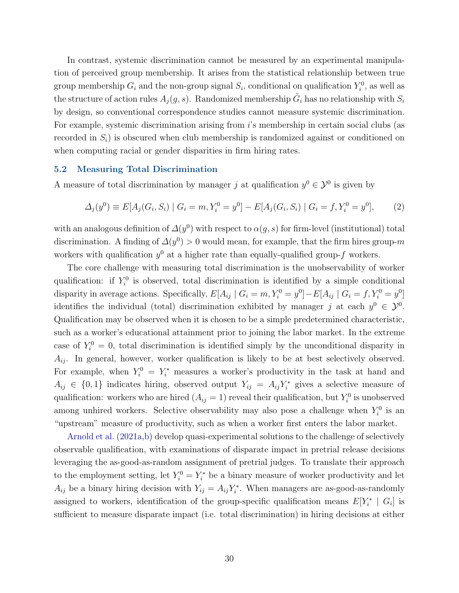In contrast, systemic discrimination cannot be measured by an experimental manipulation of perceived group membership. It arises from the statistical relationship between true group membership  $G_i$  and the non-group signal  $S_i$ , conditional on qualification  $Y_i^0$ , as well as the structure of action rules  $A_j(g, s)$ . Randomized membership  $\tilde{G}_i$  has no relationship with  $S_i$ by design, so conventional correspondence studies cannot measure systemic discrimination. For example, systemic discrimination arising from i's membership in certain social clubs (as recorded in  $S_i$ ) is obscured when club membership is randomized against or conditioned on when computing racial or gender disparities in firm hiring rates.

#### 5.2 Measuring Total Discrimination

A measure of total discrimination by manager j at qualification  $y^0 \in \mathcal{Y}^0$  is given by

$$
\Delta_j(y^0) \equiv E[A_j(G_i, S_i) \mid G_i = m, Y_i^0 = y^0] - E[A_j(G_i, S_i) \mid G_i = f, Y_i^0 = y^0], \tag{2}
$$

with an analogous definition of  $\Delta(y^0)$  with respect to  $\alpha(g, s)$  for firm-level (institutional) total discrimination. A finding of  $\Delta(y^0) > 0$  would mean, for example, that the firm hires group-m workers with qualification  $y^0$  at a higher rate than equally-qualified group-f workers.

The core challenge with measuring total discrimination is the unobservability of worker qualification: if  $Y_i^0$  is observed, total discrimination is identified by a simple conditional disparity in average actions. Specifically,  $E[A_{ij} | G_i = m, Y_i^0 = y^0] - E[A_{ij} | G_i = f, Y_i^0 = y^0]$ identifies the individual (total) discrimination exhibited by manager j at each  $y^0 \in \mathcal{Y}^0$ . Qualification may be observed when it is chosen to be a simple predetermined characteristic, such as a worker's educational attainment prior to joining the labor market. In the extreme case of  $Y_i^0 = 0$ , total discrimination is identified simply by the unconditional disparity in  $A_{ij}$ . In general, however, worker qualification is likely to be at best selectively observed. For example, when  $Y_i^0 = Y_i^*$  measures a worker's productivity in the task at hand and  $A_{ij} \in \{0,1\}$  indicates hiring, observed output  $Y_{ij} = A_{ij}Y_i^*$  gives a selective measure of qualification: workers who are hired  $(A_{ij} = 1)$  reveal their qualification, but  $Y_i^0$  is unobserved among unhired workers. Selective observability may also pose a challenge when  $Y_i^0$  is an "upstream" measure of productivity, such as when a worker first enters the labor market.

[Arnold et al.](#page-46-4) [\(2021a,](#page-46-4)[b\)](#page-46-3) develop quasi-experimental solutions to the challenge of selectively observable qualification, with examinations of disparate impact in pretrial release decisions leveraging the as-good-as-random assignment of pretrial judges. To translate their approach to the employment setting, let  $Y_i^0 = Y_i^*$  be a binary measure of worker productivity and let  $A_{ij}$  be a binary hiring decision with  $Y_{ij} = A_{ij} Y_i^*$ . When managers are as-good-as-randomly assigned to workers, identification of the group-specific qualification means  $E[Y_i^* | G_i]$  is sufficient to measure disparate impact (i.e. total discrimination) in hiring decisions at either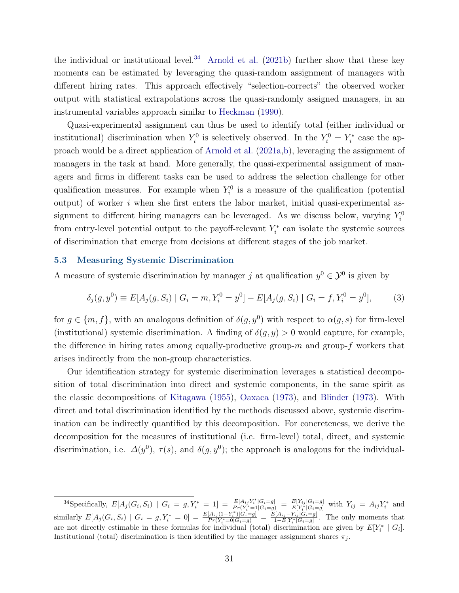the individual or institutional level.<sup>[34](#page-31-0)</sup> [Arnold et al.](#page-46-3)  $(2021b)$  further show that these key moments can be estimated by leveraging the quasi-random assignment of managers with different hiring rates. This approach effectively "selection-corrects" the observed worker output with statistical extrapolations across the quasi-randomly assigned managers, in an instrumental variables approach similar to [Heckman](#page-49-16) [\(1990\)](#page-49-16).

Quasi-experimental assignment can thus be used to identify total (either individual or institutional) discrimination when  $Y_i^0$  is selectively observed. In the  $Y_i^0 = Y_i^*$  case the approach would be a direct application of [Arnold et al.](#page-46-4) [\(2021a](#page-46-4)[,b\)](#page-46-3), leveraging the assignment of managers in the task at hand. More generally, the quasi-experimental assignment of managers and firms in different tasks can be used to address the selection challenge for other qualification measures. For example when  $Y_i^0$  is a measure of the qualification (potential output) of worker i when she first enters the labor market, initial quasi-experimental assignment to different hiring managers can be leveraged. As we discuss below, varying  $Y_i^0$ from entry-level potential output to the payoff-relevant  $Y_i^*$  can isolate the systemic sources of discrimination that emerge from decisions at different stages of the job market.

#### <span id="page-31-1"></span>5.3 Measuring Systemic Discrimination

A measure of systemic discrimination by manager j at qualification  $y^0 \in \mathcal{Y}^0$  is given by

<span id="page-31-2"></span>
$$
\delta_j(g, y^0) \equiv E[A_j(g, S_i) \mid G_i = m, Y_i^0 = y^0] - E[A_j(g, S_i) \mid G_i = f, Y_i^0 = y^0], \tag{3}
$$

for  $g \in \{m, f\}$ , with an analogous definition of  $\delta(g, y^0)$  with respect to  $\alpha(g, s)$  for firm-level (institutional) systemic discrimination. A finding of  $\delta(g, y) > 0$  would capture, for example, the difference in hiring rates among equally-productive group- $m$  and group- $f$  workers that arises indirectly from the non-group characteristics.

Our identification strategy for systemic discrimination leverages a statistical decomposition of total discrimination into direct and systemic components, in the same spirit as the classic decompositions of [Kitagawa](#page-49-2) [\(1955\)](#page-49-2), [Oaxaca](#page-50-7) [\(1973\)](#page-50-7), and [Blinder](#page-47-7) [\(1973\)](#page-47-7). With direct and total discrimination identified by the methods discussed above, systemic discrimination can be indirectly quantified by this decomposition. For concreteness, we derive the decomposition for the measures of institutional (i.e. firm-level) total, direct, and systemic discrimination, i.e.  $\Delta(y^0)$ ,  $\tau(s)$ , and  $\delta(g, y^0)$ ; the approach is analogous for the individual-

<span id="page-31-0"></span> ${}^{34}$ Specifically,  $E[A_j(G_i, S_i) | G_i = g, Y_i^* = 1] = \frac{E[A_{ij}Y_i^*|G_i = g]}{Pr(Y_i^* = 1|G_i = g)} = \frac{E[Y_{ij}|G_i = g]}{E[Y_i^*|G_i = g]}$  with  $Y_{ij} = A_{ij}Y_i^*$  and similarly  $E[A_j(G_i, S_i) | G_i = g, Y_i^* = 0] = \frac{E[A_{ij}(1-Y_i^*)|G_i = g]}{Pr(Y_i^* = 0|G_i = g)} = \frac{E[A_{ij} - Y_{ij}|\tilde{G}_i = g]}{1 - E[Y_i^*|G_i = g]}$ . The only moments that are not directly estimable in these formulas for individual (total) discrimination are given by  $E[Y_i^* | G_i]$ . Institutional (total) discrimination is then identified by the manager assignment shares  $\pi_i$ .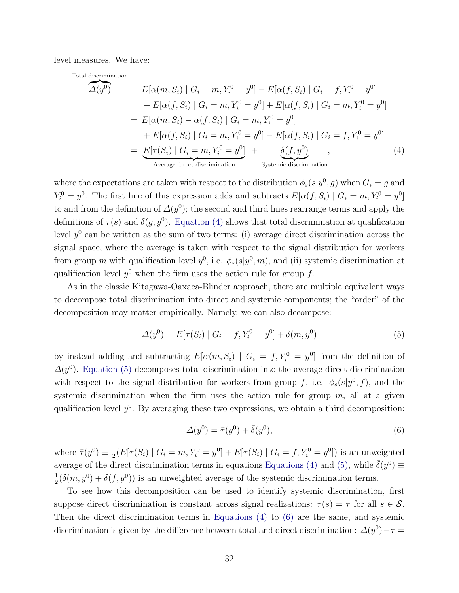level measures. We have:

Total discrimination

<span id="page-32-0"></span>
$$
\widehat{\Delta(y^0)} = E[\alpha(m, S_i) | G_i = m, Y_i^0 = y^0] - E[\alpha(f, S_i) | G_i = f, Y_i^0 = y^0]
$$

$$
- E[\alpha(f, S_i) | G_i = m, Y_i^0 = y^0] + E[\alpha(f, S_i) | G_i = m, Y_i^0 = y^0]
$$

$$
= E[\alpha(m, S_i) - \alpha(f, S_i) | G_i = m, Y_i^0 = y^0]
$$

$$
+ E[\alpha(f, S_i) | G_i = m, Y_i^0 = y^0] - E[\alpha(f, S_i) | G_i = f, Y_i^0 = y^0]
$$

$$
= \underbrace{E[\tau(S_i) | G_i = m, Y_i^0 = y^0]}_{\text{Average direct discrimination}} + \underbrace{\delta(f, y^0)}_{\text{Systemic discrimination}}, \qquad (4)
$$

where the expectations are taken with respect to the distribution  $\phi_s(s|y^0, g)$  when  $G_i = g$  and  $Y_i^0 = y^0$ . The first line of this expression adds and subtracts  $E[\alpha(f, S_i) | G_i = m, Y_i^0 = y^0]$ to and from the definition of  $\Delta(y^0)$ ; the second and third lines rearrange terms and apply the definitions of  $\tau(s)$  and  $\delta(g, y^0)$ . [Equation \(4\)](#page-32-0) shows that total discrimination at qualification level  $y^0$  can be written as the sum of two terms: (i) average direct discrimination across the signal space, where the average is taken with respect to the signal distribution for workers from group m with qualification level  $y^0$ , i.e.  $\phi_s(s|y^0, m)$ , and (ii) systemic discrimination at qualification level  $y^0$  when the firm uses the action rule for group f.

As in the classic Kitagawa-Oaxaca-Blinder approach, there are multiple equivalent ways to decompose total discrimination into direct and systemic components; the "order" of the decomposition may matter empirically. Namely, we can also decompose:

$$
\Delta(y^0) = E[\tau(S_i) \mid G_i = f, Y_i^0 = y^0] + \delta(m, y^0)
$$
\n(5)

by instead adding and subtracting  $E[\alpha(m, S_i) | G_i = f, Y_i^0 = y^0]$  from the definition of  $\Delta(y^0)$ . [Equation \(5\)](#page-32-1) decomposes total discrimination into the average direct discrimination with respect to the signal distribution for workers from group f, i.e.  $\phi_s(s|y^0, f)$ , and the systemic discrimination when the firm uses the action rule for group  $m$ , all at a given qualification level  $y^0$ . By averaging these two expressions, we obtain a third decomposition:

<span id="page-32-2"></span><span id="page-32-1"></span>
$$
\Delta(y^0) = \bar{\tau}(y^0) + \bar{\delta}(y^0),\tag{6}
$$

where  $\bar{\tau}(y^0) \equiv \frac{1}{2}$  $\frac{1}{2}(E[\tau(S_i) | G_i = m, Y_i^0 = y^0] + E[\tau(S_i) | G_i = f, Y_i^0 = y^0])$  is an unweighted average of the direct discrimination terms in equations [Equations \(4\)](#page-32-0) and [\(5\),](#page-32-1) while  $\bar{\delta}(y^0) \equiv$ 1  $\frac{1}{2}(\delta(m, y^0) + \delta(f, y^0))$  is an unweighted average of the systemic discrimination terms.

To see how this decomposition can be used to identify systemic discrimination, first suppose direct discrimination is constant across signal realizations:  $\tau(s) = \tau$  for all  $s \in \mathcal{S}$ . Then the direct discrimination terms in [Equations \(4\)](#page-32-0) to [\(6\)](#page-32-2) are the same, and systemic discrimination is given by the difference between total and direct discrimination:  $\Delta(y^0) - \tau =$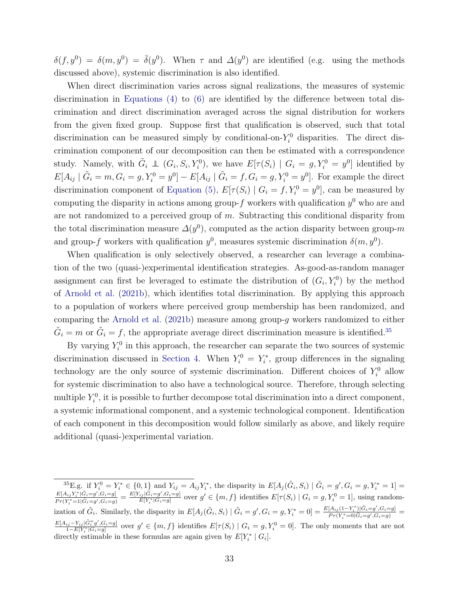$\delta(f, y^0) = \delta(m, y^0) = \bar{\delta}(y^0)$ . When  $\tau$  and  $\Delta(y^0)$  are identified (e.g. using the methods discussed above), systemic discrimination is also identified.

When direct discrimination varies across signal realizations, the measures of systemic discrimination in [Equations \(4\)](#page-32-0) to [\(6\)](#page-32-2) are identified by the difference between total discrimination and direct discrimination averaged across the signal distribution for workers from the given fixed group. Suppose first that qualification is observed, such that total discrimination can be measured simply by conditional-on- $Y_i^0$  disparities. The direct discrimination component of our decomposition can then be estimated with a correspondence study. Namely, with  $\tilde{G}_i \perp (G_i, S_i, Y_i^0)$ , we have  $E[\tau(S_i) | G_i = g, Y_i^0 = y^0]$  identified by  $E[A_{ij} | \tilde{G}_i = m, G_i = g, Y_i^0 = y^0] - E[A_{ij} | \tilde{G}_i = f, G_i = g, Y_i^0 = y^0]$ . For example the direct discrimination component of [Equation \(5\),](#page-32-1)  $E[\tau(S_i) | G_i = f, Y_i^0 = y^0]$ , can be measured by computing the disparity in actions among group- $f$  workers with qualification  $y^0$  who are and are not randomized to a perceived group of  $m$ . Subtracting this conditional disparity from the total discrimination measure  $\Delta(y^0)$ , computed as the action disparity between group-m and group-f workers with qualification  $y^0$ , measures systemic discrimination  $\delta(m, y^0)$ .

When qualification is only selectively observed, a researcher can leverage a combination of the two (quasi-)experimental identification strategies. As-good-as-random manager assignment can first be leveraged to estimate the distribution of  $(G_i, Y_i^0)$  by the method of [Arnold et al.](#page-46-3) [\(2021b\)](#page-46-3), which identifies total discrimination. By applying this approach to a population of workers where perceived group membership has been randomized, and comparing the [Arnold et al.](#page-46-3) [\(2021b\)](#page-46-3) measure among group-g workers randomized to either  $\tilde{G}_i = m$  or  $\tilde{G}_i = f$ , the appropriate average direct discrimination measure is identified.<sup>[35](#page-33-1)</sup>

By varying  $Y_i^0$  in this approach, the researcher can separate the two sources of systemic discrimination discussed in [Section 4.](#page-17-0) When  $Y_i^0 = Y_i^*$ , group differences in the signaling technology are the only source of systemic discrimination. Different choices of  $Y_i^0$  allow for systemic discrimination to also have a technological source. Therefore, through selecting multiple  $Y_i^0$ , it is possible to further decompose total discrimination into a direct component, a systemic informational component, and a systemic technological component. Identification of each component in this decomposition would follow similarly as above, and likely require additional (quasi-)experimental variation.

<span id="page-33-1"></span><span id="page-33-0"></span><sup>&</sup>lt;sup>35</sup>E.g. if  $Y_i^0 = Y_i^* \in \{0, 1\}$  and  $Y_{ij} = A_{ij} Y_i^*$ , the disparity in  $E[A_j(\tilde{G}_i, S_i) | \tilde{G}_i = g', G_i = g, Y_i^* = 1] =$  $E[A_{ij}Y_i^*|\tilde{G}_i = g', G_i = g]$  $\frac{E[A_{ij}Y_i^*|\tilde{G}_i=g',G_i=g]}{F[Y_i^*|\tilde{G}_i=g',G_i=g]} = \frac{E[Y_{ij}|\tilde{G}_i=g',G_i=g]}{E[Y_i^*|\tilde{G}_i=g]}$  over  $g' \in \{m, f\}$  identifies  $E[\tau(S_i) | G_i=g, Y_i^0=1]$ , using randomization of  $\tilde{G}_i$ . Similarly, the disparity in  $E[A_j(\tilde{G}_i, S_i) | \tilde{G}_i = g', G_i = g, Y_i^* = 0] = \frac{E[A_{ij}(1-Y_i^*) | \tilde{G}_i = g', G_i = g]}{P_T(Y^* = 0 | \tilde{G}_i = g', G_i = g)}$  $\frac{[A_{ij}(1-Y_i)](G_i=g',G_i=g]}{Pr(Y_i^*=0|\tilde{G}_i=g',G_i=g)}$  $\frac{E[A_{ij}-Y_{ij}|\tilde{G}_{i}^{\pi}g',G_{i}=g]}{1-E[Y_{i}^{*}|G_{i}=g]}$  over  $g' \in \{m, f\}$  identifies  $E[\tau(S_i) | G_i = g, Y_i^0 = 0]$ . The only moments that are not directly estimable in these formulas are again given by  $E[Y_i^* | G_i]$ .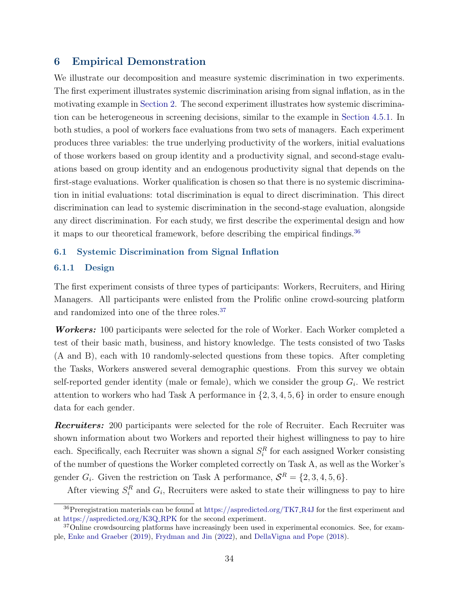# 6 Empirical Demonstration

We illustrate our decomposition and measure systemic discrimination in two experiments. The first experiment illustrates systemic discrimination arising from signal inflation, as in the motivating example in [Section 2.](#page-7-0) The second experiment illustrates how systemic discrimination can be heterogeneous in screening decisions, similar to the example in [Section 4.5.1.](#page-23-1) In both studies, a pool of workers face evaluations from two sets of managers. Each experiment produces three variables: the true underlying productivity of the workers, initial evaluations of those workers based on group identity and a productivity signal, and second-stage evaluations based on group identity and an endogenous productivity signal that depends on the first-stage evaluations. Worker qualification is chosen so that there is no systemic discrimination in initial evaluations: total discrimination is equal to direct discrimination. This direct discrimination can lead to systemic discrimination in the second-stage evaluation, alongside any direct discrimination. For each study, we first describe the experimental design and how it maps to our theoretical framework, before describing the empirical findings.<sup>[36](#page-34-1)</sup>

#### <span id="page-34-0"></span>6.1 Systemic Discrimination from Signal Inflation

#### 6.1.1 Design

The first experiment consists of three types of participants: Workers, Recruiters, and Hiring Managers. All participants were enlisted from the Prolific online crowd-sourcing platform and randomized into one of the three roles.[37](#page-34-2)

Workers: 100 participants were selected for the role of Worker. Each Worker completed a test of their basic math, business, and history knowledge. The tests consisted of two Tasks (A and B), each with 10 randomly-selected questions from these topics. After completing the Tasks, Workers answered several demographic questions. From this survey we obtain self-reported gender identity (male or female), which we consider the group  $G_i$ . We restrict attention to workers who had Task A performance in  $\{2, 3, 4, 5, 6\}$  in order to ensure enough data for each gender.

Recruiters: 200 participants were selected for the role of Recruiter. Each Recruiter was shown information about two Workers and reported their highest willingness to pay to hire each. Specifically, each Recruiter was shown a signal  $S_i^R$  for each assigned Worker consisting of the number of questions the Worker completed correctly on Task A, as well as the Worker's gender  $G_i$ . Given the restriction on Task A performance,  $S^R = \{2, 3, 4, 5, 6\}.$ 

After viewing  $S_i^R$  and  $G_i$ , Recruiters were asked to state their willingness to pay to hire

<span id="page-34-1"></span><sup>36</sup>Preregistration materials can be found at [https://aspredicted.org/TK7](https://aspredicted.org/TK7_R4J) R4J for the first experiment and at [https://aspredicted.org/K3Q](https://aspredicted.org/K3Q_RPK) RPK for the second experiment.

<span id="page-34-2"></span><sup>&</sup>lt;sup>37</sup>Online crowdsourcing platforms have increasingly been used in experimental economics. See, for example, [Enke and Graeber](#page-48-15) [\(2019\)](#page-48-15), [Frydman and Jin](#page-48-16) [\(2022\)](#page-48-16), and [DellaVigna and Pope](#page-48-17) [\(2018\)](#page-48-17).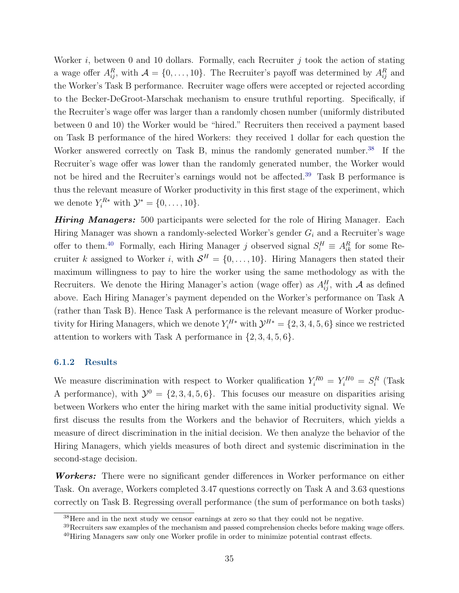Worker  $i$ , between 0 and 10 dollars. Formally, each Recruiter  $j$  took the action of stating a wage offer  $A_{ij}^R$ , with  $\mathcal{A} = \{0, \ldots, 10\}$ . The Recruiter's payoff was determined by  $A_{ij}^R$  and the Worker's Task B performance. Recruiter wage offers were accepted or rejected according to the Becker-DeGroot-Marschak mechanism to ensure truthful reporting. Specifically, if the Recruiter's wage offer was larger than a randomly chosen number (uniformly distributed between 0 and 10) the Worker would be "hired." Recruiters then received a payment based on Task B performance of the hired Workers: they received 1 dollar for each question the Worker answered correctly on Task B, minus the randomly generated number.<sup>[38](#page-35-0)</sup> If the Recruiter's wage offer was lower than the randomly generated number, the Worker would not be hired and the Recruiter's earnings would not be affected.<sup>[39](#page-35-1)</sup> Task B performance is thus the relevant measure of Worker productivity in this first stage of the experiment, which we denote  $Y_i^{R*}$  with  $\mathcal{Y}^* = \{0, \ldots, 10\}.$ 

Hiring Managers: 500 participants were selected for the role of Hiring Manager. Each Hiring Manager was shown a randomly-selected Worker's gender  $G_i$  and a Recruiter's wage offer to them.<sup>[40](#page-35-2)</sup> Formally, each Hiring Manager j observed signal  $S_i^H \equiv A_{ik}^R$  for some Recruiter k assigned to Worker i, with  $S<sup>H</sup> = \{0, \ldots, 10\}$ . Hiring Managers then stated their maximum willingness to pay to hire the worker using the same methodology as with the Recruiters. We denote the Hiring Manager's action (wage offer) as  $A_{ij}^H$ , with A as defined above. Each Hiring Manager's payment depended on the Worker's performance on Task A (rather than Task B). Hence Task A performance is the relevant measure of Worker productivity for Hiring Managers, which we denote  $Y_i^{H*}$  with  $\mathcal{Y}^{H*} = \{2, 3, 4, 5, 6\}$  since we restricted attention to workers with Task A performance in  $\{2, 3, 4, 5, 6\}$ .

### <span id="page-35-3"></span>6.1.2 Results

We measure discrimination with respect to Worker qualification  $Y_i^{R0} = Y_i^{H0} = S_i^R$  (Task A performance), with  $\mathcal{Y}^0 = \{2, 3, 4, 5, 6\}$ . This focuses our measure on disparities arising between Workers who enter the hiring market with the same initial productivity signal. We first discuss the results from the Workers and the behavior of Recruiters, which yields a measure of direct discrimination in the initial decision. We then analyze the behavior of the Hiring Managers, which yields measures of both direct and systemic discrimination in the second-stage decision.

Workers: There were no significant gender differences in Worker performance on either Task. On average, Workers completed 3.47 questions correctly on Task A and 3.63 questions correctly on Task B. Regressing overall performance (the sum of performance on both tasks)

<span id="page-35-1"></span><span id="page-35-0"></span><sup>38</sup>Here and in the next study we censor earnings at zero so that they could not be negative.

<sup>&</sup>lt;sup>39</sup>Recruiters saw examples of the mechanism and passed comprehension checks before making wage offers. <sup>40</sup>Hiring Managers saw only one Worker profile in order to minimize potential contrast effects.

<span id="page-35-2"></span>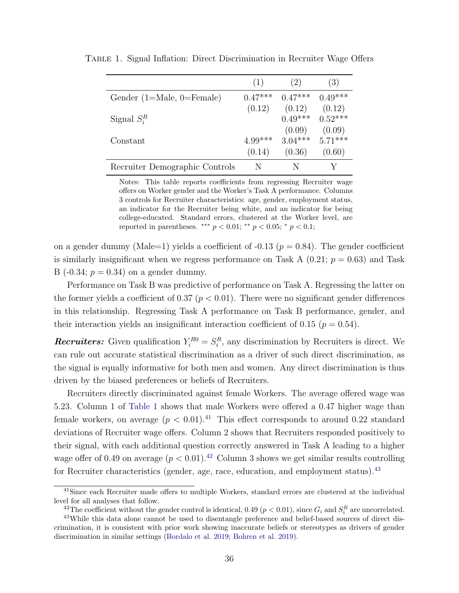|                                | (1)       | (2)       | (3)       |
|--------------------------------|-----------|-----------|-----------|
| Gender $(1=Male, 0=Female)$    | $0.47***$ | $0.47***$ | $0.49***$ |
|                                | (0.12)    | (0.12)    | (0.12)    |
| Signal $S_i^R$                 |           | $0.49***$ | $0.52***$ |
|                                |           | (0.09)    | (0.09)    |
| Constant                       | $4.99***$ | $3.04***$ | $5.71***$ |
|                                | (0.14)    | (0.36)    | (0.60)    |
| Recruiter Demographic Controls | N         | N         |           |

<span id="page-36-0"></span>Table 1. Signal Inflation: Direct Discrimination in Recruiter Wage Offers

Notes: This table reports coefficients from regressing Recruiter wage offers on Worker gender and the Worker's Task A performance. Columns 3 controls for Recruiter characteristics: age, gender, employment status, an indicator for the Recruiter being white, and an indicator for being college-educated. Standard errors, clustered at the Worker level, are reported in parentheses. \*\*\*  $p < 0.01$ ; \*\*  $p < 0.05$ ; \*  $p < 0.1$ ;

on a gender dummy (Male=1) yields a coefficient of  $-0.13$  ( $p = 0.84$ ). The gender coefficient is similarly insignificant when we regress performance on Task A  $(0.21; p = 0.63)$  and Task B (-0.34;  $p = 0.34$ ) on a gender dummy.

Performance on Task B was predictive of performance on Task A. Regressing the latter on the former yields a coefficient of 0.37 ( $p < 0.01$ ). There were no significant gender differences in this relationship. Regressing Task A performance on Task B performance, gender, and their interaction yields an insignificant interaction coefficient of 0.15 ( $p = 0.54$ ).

**Recruiters:** Given qualification  $Y_i^{R0} = S_i^R$ , any discrimination by Recruiters is direct. We can rule out accurate statistical discrimination as a driver of such direct discrimination, as the signal is equally informative for both men and women. Any direct discrimination is thus driven by the biased preferences or beliefs of Recruiters.

Recruiters directly discriminated against female Workers. The average offered wage was 5.23. Column 1 of [Table 1](#page-36-0) shows that male Workers were offered a 0.47 higher wage than female workers, on average  $(p < 0.01).<sup>41</sup>$  $(p < 0.01).<sup>41</sup>$  $(p < 0.01).<sup>41</sup>$  This effect corresponds to around 0.22 standard deviations of Recruiter wage offers. Column 2 shows that Recruiters responded positively to their signal, with each additional question correctly answered in Task A leading to a higher wage offer of 0.49 on average  $(p < 0.01)$ .<sup>[42](#page-36-2)</sup> Column 3 shows we get similar results controlling for Recruiter characteristics (gender, age, race, education, and employment status).<sup>[43](#page-36-3)</sup>

<span id="page-36-1"></span><sup>&</sup>lt;sup>41</sup>Since each Recruiter made offers to multiple Workers, standard errors are clustered at the individual level for all analyses that follow.

<span id="page-36-3"></span><span id="page-36-2"></span><sup>&</sup>lt;sup>42</sup>The coefficient without the gender control is identical, 0.49 ( $p < 0.01$ ), since  $G_i$  and  $S_i^R$  are uncorrelated.

<sup>43</sup>While this data alone cannot be used to disentangle preference and belief-based sources of direct discrimination, it is consistent with prior work showing inaccurate beliefs or stereotypes as drivers of gender discrimination in similar settings [\(Bordalo et al.](#page-47-8) [2019;](#page-47-8) [Bohren et al.](#page-47-9) [2019\)](#page-47-9).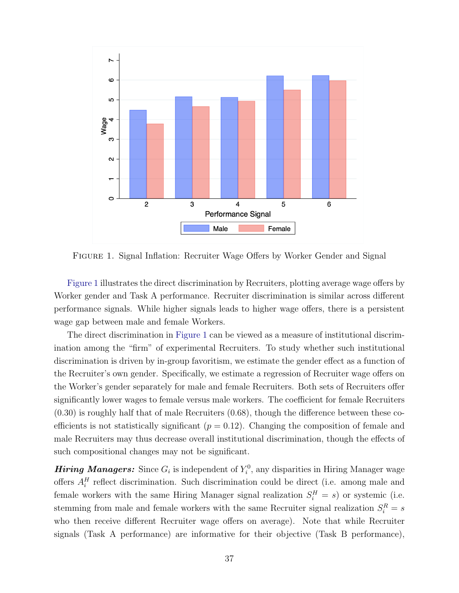<span id="page-37-0"></span>

Figure 1. Signal Inflation: Recruiter Wage Offers by Worker Gender and Signal

[Figure 1](#page-37-0) illustrates the direct discrimination by Recruiters, plotting average wage offers by Worker gender and Task A performance. Recruiter discrimination is similar across different performance signals. While higher signals leads to higher wage offers, there is a persistent wage gap between male and female Workers.

The direct discrimination in [Figure 1](#page-37-0) can be viewed as a measure of institutional discrimination among the "firm" of experimental Recruiters. To study whether such institutional discrimination is driven by in-group favoritism, we estimate the gender effect as a function of the Recruiter's own gender. Specifically, we estimate a regression of Recruiter wage offers on the Worker's gender separately for male and female Recruiters. Both sets of Recruiters offer significantly lower wages to female versus male workers. The coefficient for female Recruiters (0.30) is roughly half that of male Recruiters (0.68), though the difference between these coefficients is not statistically significant ( $p = 0.12$ ). Changing the composition of female and male Recruiters may thus decrease overall institutional discrimination, though the effects of such compositional changes may not be significant.

**Hiring Managers:** Since  $G_i$  is independent of  $Y_i^0$ , any disparities in Hiring Manager wage offers  $A_i^H$  reflect discrimination. Such discrimination could be direct (i.e. among male and female workers with the same Hiring Manager signal realization  $S_i^H = s$ ) or systemic (i.e. stemming from male and female workers with the same Recruiter signal realization  $S_i^R = s$ who then receive different Recruiter wage offers on average). Note that while Recruiter signals (Task A performance) are informative for their objective (Task B performance),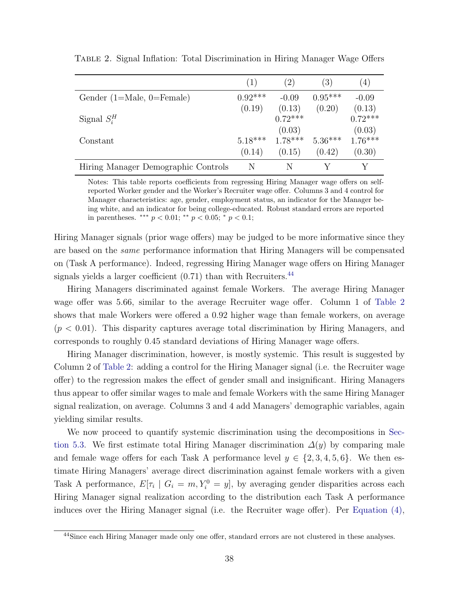<span id="page-38-1"></span>

|                                     | (1)       | (2)       | $\left(3\right)$ | (4)       |
|-------------------------------------|-----------|-----------|------------------|-----------|
| Gender $(1=Male, 0=Female)$         | $0.92***$ | $-0.09$   | $0.95***$        | $-0.09$   |
|                                     | (0.19)    | (0.13)    | (0.20)           | (0.13)    |
| Signal $S_i^H$                      |           | $0.72***$ |                  | $0.72***$ |
|                                     |           | (0.03)    |                  | (0.03)    |
| Constant                            | $5.18***$ | $1.78***$ | $5.36***$        | $1.76***$ |
|                                     | (0.14)    | (0.15)    | (0.42)           | (0.30)    |
| Hiring Manager Demographic Controls | N         | N         |                  |           |

Table 2. Signal Inflation: Total Discrimination in Hiring Manager Wage Offers

Notes: This table reports coefficients from regressing Hiring Manager wage offers on selfreported Worker gender and the Worker's Recruiter wage offer. Columns 3 and 4 control for Manager characteristics: age, gender, employment status, an indicator for the Manager being white, and an indicator for being college-educated. Robust standard errors are reported in parentheses. \*\*\*  $p < 0.01$ ; \*\*  $p < 0.05$ ; \*  $p < 0.1$ ;

Hiring Manager signals (prior wage offers) may be judged to be more informative since they are based on the same performance information that Hiring Managers will be compensated on (Task A performance). Indeed, regressing Hiring Manager wage offers on Hiring Manager signals yields a larger coefficient  $(0.71)$  than with Recruiters.<sup>[44](#page-38-0)</sup>

Hiring Managers discriminated against female Workers. The average Hiring Manager wage offer was 5.66, similar to the average Recruiter wage offer. Column 1 of [Table 2](#page-38-1) shows that male Workers were offered a 0.92 higher wage than female workers, on average  $(p < 0.01)$ . This disparity captures average total discrimination by Hiring Managers, and corresponds to roughly 0.45 standard deviations of Hiring Manager wage offers.

Hiring Manager discrimination, however, is mostly systemic. This result is suggested by Column 2 of [Table 2:](#page-38-1) adding a control for the Hiring Manager signal (i.e. the Recruiter wage offer) to the regression makes the effect of gender small and insignificant. Hiring Managers thus appear to offer similar wages to male and female Workers with the same Hiring Manager signal realization, on average. Columns 3 and 4 add Managers' demographic variables, again yielding similar results.

We now proceed to quantify systemic discrimination using the decompositions in [Sec](#page-31-1)[tion 5.3.](#page-31-1) We first estimate total Hiring Manager discrimination  $\Delta(y)$  by comparing male and female wage offers for each Task A performance level  $y \in \{2, 3, 4, 5, 6\}$ . We then estimate Hiring Managers' average direct discrimination against female workers with a given Task A performance,  $E[\tau_i \mid G_i = m, Y_i^0 = y]$ , by averaging gender disparities across each Hiring Manager signal realization according to the distribution each Task A performance induces over the Hiring Manager signal (i.e. the Recruiter wage offer). Per [Equation \(4\),](#page-32-0)

<span id="page-38-0"></span><sup>44</sup>Since each Hiring Manager made only one offer, standard errors are not clustered in these analyses.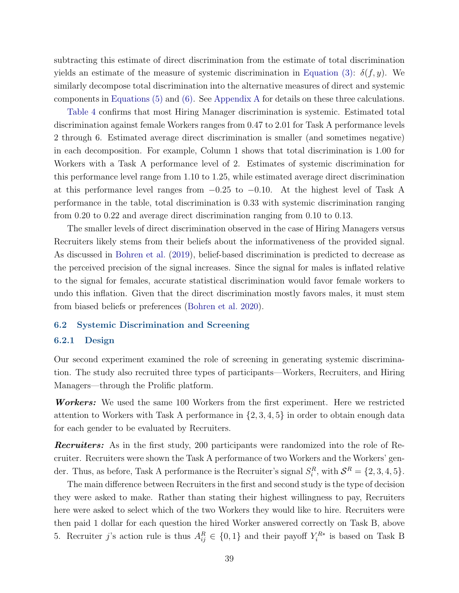subtracting this estimate of direct discrimination from the estimate of total discrimination yields an estimate of the measure of systemic discrimination in [Equation \(3\):](#page-31-2)  $\delta(f, y)$ . We similarly decompose total discrimination into the alternative measures of direct and systemic components in [Equations \(5\)](#page-32-1) and [\(6\).](#page-32-2) See [Appendix A](#page-52-0) for details on these three calculations.

[Table 4](#page-43-0) confirms that most Hiring Manager discrimination is systemic. Estimated total discrimination against female Workers ranges from 0.47 to 2.01 for Task A performance levels 2 through 6. Estimated average direct discrimination is smaller (and sometimes negative) in each decomposition. For example, Column 1 shows that total discrimination is 1.00 for Workers with a Task A performance level of 2. Estimates of systemic discrimination for this performance level range from 1.10 to 1.25, while estimated average direct discrimination at this performance level ranges from  $-0.25$  to  $-0.10$ . At the highest level of Task A performance in the table, total discrimination is 0.33 with systemic discrimination ranging from 0.20 to 0.22 and average direct discrimination ranging from 0.10 to 0.13.

The smaller levels of direct discrimination observed in the case of Hiring Managers versus Recruiters likely stems from their beliefs about the informativeness of the provided signal. As discussed in [Bohren et al.](#page-47-9) [\(2019\)](#page-47-9), belief-based discrimination is predicted to decrease as the perceived precision of the signal increases. Since the signal for males is inflated relative to the signal for females, accurate statistical discrimination would favor female workers to undo this inflation. Given that the direct discrimination mostly favors males, it must stem from biased beliefs or preferences [\(Bohren et al.](#page-47-0) [2020\)](#page-47-0).

#### <span id="page-39-0"></span>6.2 Systemic Discrimination and Screening

#### 6.2.1 Design

Our second experiment examined the role of screening in generating systemic discrimination. The study also recruited three types of participants—Workers, Recruiters, and Hiring Managers—through the Prolific platform.

Workers: We used the same 100 Workers from the first experiment. Here we restricted attention to Workers with Task A performance in {2, 3, 4, 5} in order to obtain enough data for each gender to be evaluated by Recruiters.

**Recruiters:** As in the first study, 200 participants were randomized into the role of Recruiter. Recruiters were shown the Task A performance of two Workers and the Workers' gender. Thus, as before, Task A performance is the Recruiter's signal  $S_i^R$ , with  $\mathcal{S}^R = \{2, 3, 4, 5\}$ .

The main difference between Recruiters in the first and second study is the type of decision they were asked to make. Rather than stating their highest willingness to pay, Recruiters here were asked to select which of the two Workers they would like to hire. Recruiters were then paid 1 dollar for each question the hired Worker answered correctly on Task B, above 5. Recruiter j's action rule is thus  $A_{ij}^R \in \{0,1\}$  and their payoff  $Y_i^{R*}$  is based on Task B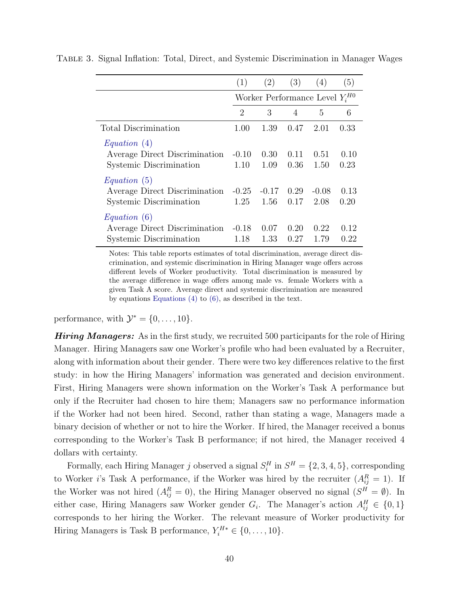|                                                                          | (1)             | (2)                                 | (3)          | (4)             | (5)          |  |
|--------------------------------------------------------------------------|-----------------|-------------------------------------|--------------|-----------------|--------------|--|
|                                                                          |                 | Worker Performance Level $Y_i^{H0}$ |              |                 |              |  |
|                                                                          | $\overline{2}$  | 3                                   | 4            | 5               | 6            |  |
| Total Discrimination                                                     | 1.00            | 1.39                                | 0.47         | 2.01            | 0.33         |  |
| Equation (4)<br>Average Direct Discrimination<br>Systemic Discrimination | $-0.10$<br>1.10 | 0.30<br>1.09                        | 0.11<br>0.36 | 0.51<br>1.50    | 0.10<br>0.23 |  |
| Equation (5)<br>Average Direct Discrimination<br>Systemic Discrimination | $-0.25$<br>1.25 | $-0.17$<br>1.56                     | 0.29<br>0.17 | $-0.08$<br>2.08 | 0.13<br>0.20 |  |
| Equation (6)<br>Average Direct Discrimination<br>Systemic Discrimination | $-0.18$<br>1.18 | 0.07<br>1.33                        | 0.20<br>0.27 | 0.22<br>1.79    | 0.12<br>0.22 |  |

Table 3. Signal Inflation: Total, Direct, and Systemic Discrimination in Manager Wages

Notes: This table reports estimates of total discrimination, average direct discrimination, and systemic discrimination in Hiring Manager wage offers across different levels of Worker productivity. Total discrimination is measured by the average difference in wage offers among male vs. female Workers with a given Task A score. Average direct and systemic discrimination are measured by equations [Equations \(4\)](#page-32-0) to [\(6\),](#page-32-2) as described in the text.

performance, with  $\mathcal{Y}^* = \{0, \ldots, 10\}.$ 

**Hiring Managers:** As in the first study, we recruited 500 participants for the role of Hiring Manager. Hiring Managers saw one Worker's profile who had been evaluated by a Recruiter, along with information about their gender. There were two key differences relative to the first study: in how the Hiring Managers' information was generated and decision environment. First, Hiring Managers were shown information on the Worker's Task A performance but only if the Recruiter had chosen to hire them; Managers saw no performance information if the Worker had not been hired. Second, rather than stating a wage, Managers made a binary decision of whether or not to hire the Worker. If hired, the Manager received a bonus corresponding to the Worker's Task B performance; if not hired, the Manager received 4 dollars with certainty.

Formally, each Hiring Manager j observed a signal  $S_i^H$  in  $S^H = \{2, 3, 4, 5\}$ , corresponding to Worker *i*'s Task A performance, if the Worker was hired by the recruiter  $(A_{ij}^R = 1)$ . If the Worker was not hired  $(A_{ij}^R = 0)$ , the Hiring Manager observed no signal  $(S^H = \emptyset)$ . In either case, Hiring Managers saw Worker gender  $G_i$ . The Manager's action  $A_{ij}^H \in \{0,1\}$ corresponds to her hiring the Worker. The relevant measure of Worker productivity for Hiring Managers is Task B performance,  $Y_i^{H*} \in \{0, \ldots, 10\}.$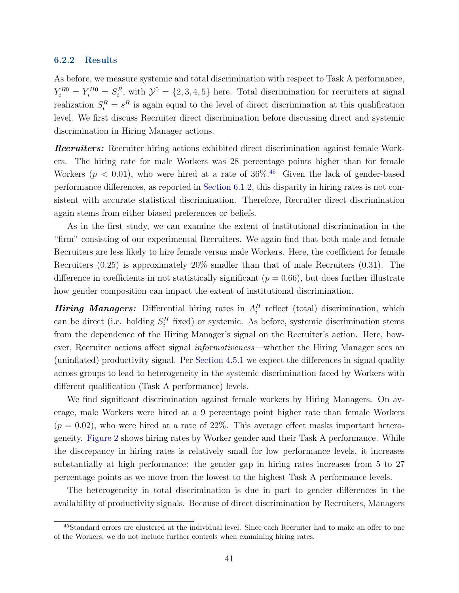#### 6.2.2 Results

As before, we measure systemic and total discrimination with respect to Task A performance,  $Y_i^{R0} = Y_i^{H0} = S_i^R$ , with  $\mathcal{Y}^0 = \{2, 3, 4, 5\}$  here. Total discrimination for recruiters at signal realization  $S_i^R = s^R$  is again equal to the level of direct discrimination at this qualification level. We first discuss Recruiter direct discrimination before discussing direct and systemic discrimination in Hiring Manager actions.

**Recruiters:** Recruiter hiring actions exhibited direct discrimination against female Workers. The hiring rate for male Workers was 28 percentage points higher than for female Workers ( $p < 0.01$ ), who were hired at a rate of 36%.<sup>[45](#page-41-0)</sup> Given the lack of gender-based performance differences, as reported in [Section 6.1.2,](#page-35-3) this disparity in hiring rates is not consistent with accurate statistical discrimination. Therefore, Recruiter direct discrimination again stems from either biased preferences or beliefs.

As in the first study, we can examine the extent of institutional discrimination in the "firm" consisting of our experimental Recruiters. We again find that both male and female Recruiters are less likely to hire female versus male Workers. Here, the coefficient for female Recruiters (0.25) is approximately 20% smaller than that of male Recruiters (0.31). The difference in coefficients in not statistically significant ( $p = 0.66$ ), but does further illustrate how gender composition can impact the extent of institutional discrimination.

**Hiring Managers:** Differential hiring rates in  $A_i^H$  reflect (total) discrimination, which can be direct (i.e. holding  $S_i^H$  fixed) or systemic. As before, systemic discrimination stems from the dependence of the Hiring Manager's signal on the Recruiter's action. Here, however, Recruiter actions affect signal *informativeness*—whether the Hiring Manager sees an (uninflated) productivity signal. Per [Section 4.5.1](#page-23-1) we expect the differences in signal quality across groups to lead to heterogeneity in the systemic discrimination faced by Workers with different qualification (Task A performance) levels.

We find significant discrimination against female workers by Hiring Managers. On average, male Workers were hired at a 9 percentage point higher rate than female Workers  $(p = 0.02)$ , who were hired at a rate of 22%. This average effect masks important heterogeneity. [Figure 2](#page-42-0) shows hiring rates by Worker gender and their Task A performance. While the discrepancy in hiring rates is relatively small for low performance levels, it increases substantially at high performance: the gender gap in hiring rates increases from 5 to 27 percentage points as we move from the lowest to the highest Task A performance levels.

The heterogeneity in total discrimination is due in part to gender differences in the availability of productivity signals. Because of direct discrimination by Recruiters, Managers

<span id="page-41-0"></span><sup>45</sup>Standard errors are clustered at the individual level. Since each Recruiter had to make an offer to one of the Workers, we do not include further controls when examining hiring rates.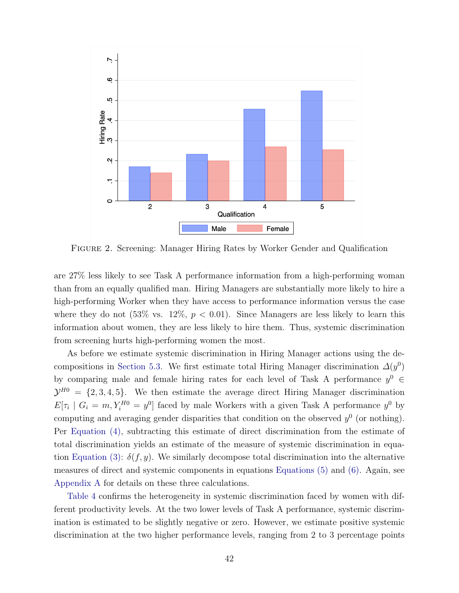<span id="page-42-0"></span>

Figure 2. Screening: Manager Hiring Rates by Worker Gender and Qualification

are 27% less likely to see Task A performance information from a high-performing woman than from an equally qualified man. Hiring Managers are substantially more likely to hire a high-performing Worker when they have access to performance information versus the case where they do not  $(53\% \text{ vs. } 12\%, p < 0.01)$ . Since Managers are less likely to learn this information about women, they are less likely to hire them. Thus, systemic discrimination from screening hurts high-performing women the most.

As before we estimate systemic discrimination in Hiring Manager actions using the de-compositions in [Section 5.3.](#page-31-1) We first estimate total Hiring Manager discrimination  $\Delta(y^0)$ by comparing male and female hiring rates for each level of Task A performance  $y^0 \in$  $\mathcal{Y}^{H0} = \{2, 3, 4, 5\}.$  We then estimate the average direct Hiring Manager discrimination  $E[\tau_i \mid G_i = m, Y_i^{H0} = y^0]$  faced by male Workers with a given Task A performance  $y^0$  by computing and averaging gender disparities that condition on the observed  $y^0$  (or nothing). Per [Equation \(4\),](#page-32-0) subtracting this estimate of direct discrimination from the estimate of total discrimination yields an estimate of the measure of systemic discrimination in equa-tion [Equation \(3\):](#page-31-2)  $\delta(f, y)$ . We similarly decompose total discrimination into the alternative measures of direct and systemic components in equations [Equations \(5\)](#page-32-1) and [\(6\).](#page-32-2) Again, see [Appendix A](#page-52-0) for details on these three calculations.

[Table 4](#page-43-0) confirms the heterogeneity in systemic discrimination faced by women with different productivity levels. At the two lower levels of Task A performance, systemic discrimination is estimated to be slightly negative or zero. However, we estimate positive systemic discrimination at the two higher performance levels, ranging from 2 to 3 percentage points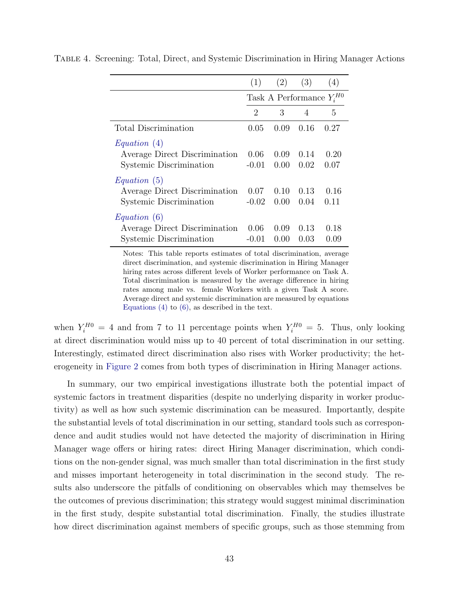|                                                                          | (1)                           | (2)            | (3)            | (4)            |
|--------------------------------------------------------------------------|-------------------------------|----------------|----------------|----------------|
|                                                                          | Task A Performance $Y_i^{H0}$ |                |                |                |
|                                                                          | $\mathcal{D}_{\mathcal{L}}$   | 3              | $\overline{4}$ | 5              |
| Total Discrimination                                                     | 0.05                          | 0.09           | 0.16           | 0.27           |
| Equation (4)<br>Average Direct Discrimination<br>Systemic Discrimination | 0.06<br>$-0.01$               | 0.09<br>0.00   | 0.14<br>0.02   | 0.20<br>0.07   |
| Equation (5)<br>Average Direct Discrimination<br>Systemic Discrimination | 0.07<br>$-0.02$               | 0.10<br>0.00   | 0.13<br>0.04   | 0.16<br>0.11   |
| Equation (6)<br>Average Direct Discrimination<br>Systemic Discrimination | 0.06<br>$-()$ . $()$          | 0.09<br>(1.00) | 0.13<br>0.03   | 0.18<br>(0.09) |

<span id="page-43-0"></span>Table 4. Screening: Total, Direct, and Systemic Discrimination in Hiring Manager Actions

Notes: This table reports estimates of total discrimination, average direct discrimination, and systemic discrimination in Hiring Manager hiring rates across different levels of Worker performance on Task A. Total discrimination is measured by the average difference in hiring rates among male vs. female Workers with a given Task A score. Average direct and systemic discrimination are measured by equations Equations  $(4)$  to  $(6)$ , as described in the text.

when  $Y_i^{H0} = 4$  and from 7 to 11 percentage points when  $Y_i^{H0} = 5$ . Thus, only looking at direct discrimination would miss up to 40 percent of total discrimination in our setting. Interestingly, estimated direct discrimination also rises with Worker productivity; the heterogeneity in [Figure 2](#page-42-0) comes from both types of discrimination in Hiring Manager actions.

In summary, our two empirical investigations illustrate both the potential impact of systemic factors in treatment disparities (despite no underlying disparity in worker productivity) as well as how such systemic discrimination can be measured. Importantly, despite the substantial levels of total discrimination in our setting, standard tools such as correspondence and audit studies would not have detected the majority of discrimination in Hiring Manager wage offers or hiring rates: direct Hiring Manager discrimination, which conditions on the non-gender signal, was much smaller than total discrimination in the first study and misses important heterogeneity in total discrimination in the second study. The results also underscore the pitfalls of conditioning on observables which may themselves be the outcomes of previous discrimination; this strategy would suggest minimal discrimination in the first study, despite substantial total discrimination. Finally, the studies illustrate how direct discrimination against members of specific groups, such as those stemming from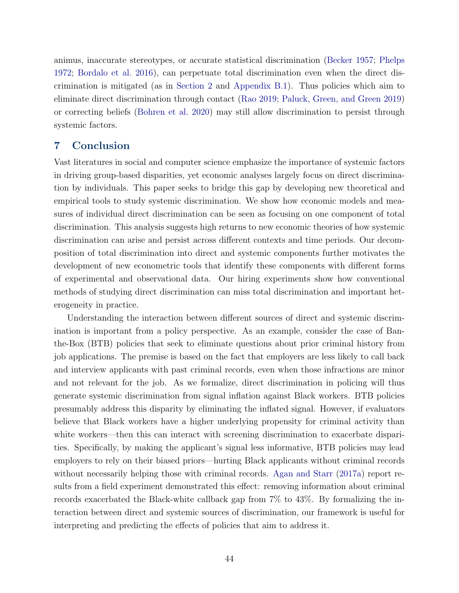animus, inaccurate stereotypes, or accurate statistical discrimination [\(Becker](#page-46-0) [1957;](#page-46-0) [Phelps](#page-50-0) [1972;](#page-50-0) [Bordalo et al.](#page-47-13) [2016\)](#page-47-13), can perpetuate total discrimination even when the direct discrimination is mitigated (as in [Section 2](#page-7-0) and [Appendix B.1\)](#page-53-0). Thus policies which aim to eliminate direct discrimination through contact [\(Rao](#page-50-15) [2019;](#page-50-15) [Paluck, Green, and Green](#page-50-16) [2019\)](#page-50-16) or correcting beliefs [\(Bohren et al.](#page-47-0) [2020\)](#page-47-0) may still allow discrimination to persist through systemic factors.

# <span id="page-44-0"></span>7 Conclusion

Vast literatures in social and computer science emphasize the importance of systemic factors in driving group-based disparities, yet economic analyses largely focus on direct discrimination by individuals. This paper seeks to bridge this gap by developing new theoretical and empirical tools to study systemic discrimination. We show how economic models and measures of individual direct discrimination can be seen as focusing on one component of total discrimination. This analysis suggests high returns to new economic theories of how systemic discrimination can arise and persist across different contexts and time periods. Our decomposition of total discrimination into direct and systemic components further motivates the development of new econometric tools that identify these components with different forms of experimental and observational data. Our hiring experiments show how conventional methods of studying direct discrimination can miss total discrimination and important heterogeneity in practice.

Understanding the interaction between different sources of direct and systemic discrimination is important from a policy perspective. As an example, consider the case of Banthe-Box (BTB) policies that seek to eliminate questions about prior criminal history from job applications. The premise is based on the fact that employers are less likely to call back and interview applicants with past criminal records, even when those infractions are minor and not relevant for the job. As we formalize, direct discrimination in policing will thus generate systemic discrimination from signal inflation against Black workers. BTB policies presumably address this disparity by eliminating the inflated signal. However, if evaluators believe that Black workers have a higher underlying propensity for criminal activity than white workers—then this can interact with screening discrimination to exacerbate disparities. Specifically, by making the applicant's signal less informative, BTB policies may lead employers to rely on their biased priors—hurting Black applicants without criminal records without necessarily helping those with criminal records. [Agan and Starr](#page-46-16) [\(2017a\)](#page-46-16) report results from a field experiment demonstrated this effect: removing information about criminal records exacerbated the Black-white callback gap from 7% to 43%. By formalizing the interaction between direct and systemic sources of discrimination, our framework is useful for interpreting and predicting the effects of policies that aim to address it.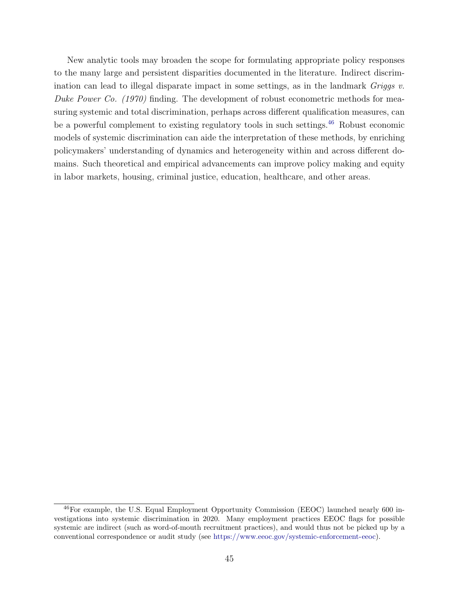New analytic tools may broaden the scope for formulating appropriate policy responses to the many large and persistent disparities documented in the literature. Indirect discrimination can lead to illegal disparate impact in some settings, as in the landmark Griggs v. Duke Power Co. (1970) finding. The development of robust econometric methods for measuring systemic and total discrimination, perhaps across different qualification measures, can be a powerful complement to existing regulatory tools in such settings. $^{46}$  $^{46}$  $^{46}$  Robust economic models of systemic discrimination can aide the interpretation of these methods, by enriching policymakers' understanding of dynamics and heterogeneity within and across different domains. Such theoretical and empirical advancements can improve policy making and equity in labor markets, housing, criminal justice, education, healthcare, and other areas.

<span id="page-45-0"></span><sup>46</sup>For example, the U.S. Equal Employment Opportunity Commission (EEOC) launched nearly 600 investigations into systemic discrimination in 2020. Many employment practices EEOC flags for possible systemic are indirect (such as word-of-mouth recruitment practices), and would thus not be picked up by a conventional correspondence or audit study (see [https://www.eeoc.gov/systemic-enforcement-eeoc\)](https://www.eeoc.gov/systemic-enforcement-eeoc).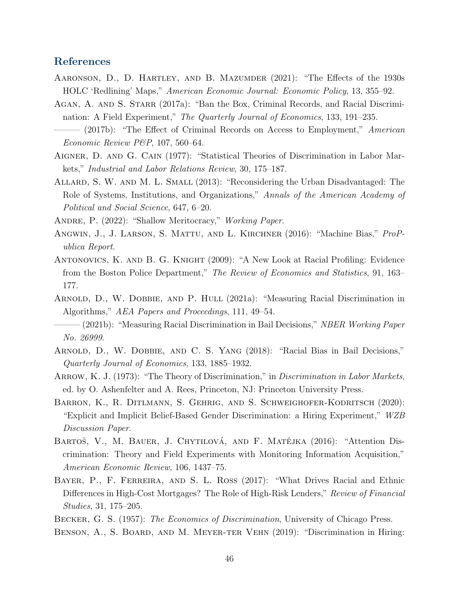# References

- <span id="page-46-6"></span>AARONSON, D., D. HARTLEY, AND B. MAZUMDER (2021): "The Effects of the 1930s HOLC 'Redlining' Maps," American Economic Journal: Economic Policy, 13, 355–92.
- <span id="page-46-16"></span><span id="page-46-13"></span>AGAN, A. AND S. STARR (2017a): "Ban the Box, Criminal Records, and Racial Discrimination: A Field Experiment," The Quarterly Journal of Economics, 133, 191–235.  $(2017b)$ : "The Effect of Criminal Records on Access to Employment," American
- Economic Review P&P, 107, 560–64.
- <span id="page-46-8"></span>Aigner, D. and G. Cain (1977): "Statistical Theories of Discrimination in Labor Markets," Industrial and Labor Relations Review, 30, 175–187.
- <span id="page-46-5"></span>Allard, S. W. and M. L. Small (2013): "Reconsidering the Urban Disadvantaged: The Role of Systems, Institutions, and Organizations," Annals of the American Academy of Political and Social Science, 647, 6–20.
- <span id="page-46-11"></span>ANDRE, P. (2022): "Shallow Meritocracy," *Working Paper.*
- <span id="page-46-1"></span>ANGWIN, J., J. LARSON, S. MATTU, AND L. KIRCHNER (2016): "Machine Bias," ProPublica Report.
- <span id="page-46-15"></span>Antonovics, K. and B. G. Knight (2009): "A New Look at Racial Profiling: Evidence from the Boston Police Department," The Review of Economics and Statistics, 91, 163– 177.
- <span id="page-46-4"></span>ARNOLD, D., W. DOBBIE, AND P. HULL (2021a): "Measuring Racial Discrimination in Algorithms," AEA Papers and Proceedings, 111, 49–54.
- <span id="page-46-3"></span> $-(2021b)$ : "Measuring Racial Discrimination in Bail Decisions," *NBER Working Paper* No. 26999.
- <span id="page-46-10"></span>Arnold, D., W. Dobbie, and C. S. Yang (2018): "Racial Bias in Bail Decisions," Quarterly Journal of Economics, 133, 1885–1932.
- <span id="page-46-7"></span>ARROW, K. J. (1973): "The Theory of Discrimination," in *Discrimination in Labor Markets*, ed. by O. Ashenfelter and A. Rees, Princeton, NJ: Princeton University Press.
- <span id="page-46-9"></span>BARRON, K., R. DITLMANN, S. GEHRIG, AND S. SCHWEIGHOFER-KODRITSCH (2020): "Explicit and Implicit Belief-Based Gender Discrimination: a Hiring Experiment," WZB Discussion Paper.
- <span id="page-46-12"></span>BARTOŠ, V., M. BAUER, J. CHYTILOVÁ, AND F. MATĚJKA (2016): "Attention Discrimination: Theory and Field Experiments with Monitoring Information Acquisition," American Economic Review, 106, 1437–75.
- <span id="page-46-2"></span>BAYER, P., F. FERREIRA, AND S. L. ROSS (2017): "What Drives Racial and Ethnic Differences in High-Cost Mortgages? The Role of High-Risk Lenders," Review of Financial Studies, 31, 175–205.
- <span id="page-46-14"></span><span id="page-46-0"></span>BECKER, G. S. (1957): *The Economics of Discrimination*, University of Chicago Press.
- Benson, A., S. Board, and M. Meyer-ter Vehn (2019): "Discrimination in Hiring: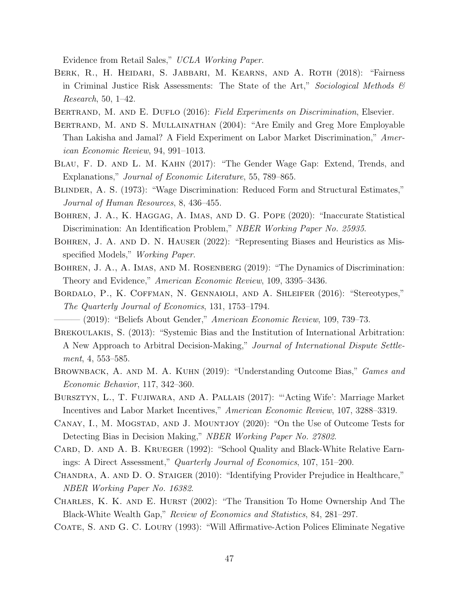Evidence from Retail Sales," UCLA Working Paper.

- <span id="page-47-11"></span>BERK, R., H. HEIDARI, S. JABBARI, M. KEARNS, AND A. ROTH (2018): "Fairness in Criminal Justice Risk Assessments: The State of the Art," Sociological Methods  $\mathcal{C}$ Research, 50, 1–42.
- <span id="page-47-14"></span><span id="page-47-5"></span>BERTRAND, M. AND E. DUFLO (2016): Field Experiments on Discrimination, Elsevier.
- Bertrand, M. and S. Mullainathan (2004): "Are Emily and Greg More Employable Than Lakisha and Jamal? A Field Experiment on Labor Market Discrimination," American Economic Review, 94, 991–1013.
- <span id="page-47-1"></span>Blau, F. D. and L. M. Kahn (2017): "The Gender Wage Gap: Extend, Trends, and Explanations," Journal of Economic Literature, 55, 789–865.
- <span id="page-47-7"></span>Blinder, A. S. (1973): "Wage Discrimination: Reduced Form and Structural Estimates," Journal of Human Resources, 8, 436–455.
- <span id="page-47-0"></span>Bohren, J. A., K. Haggag, A. Imas, and D. G. Pope (2020): "Inaccurate Statistical Discrimination: An Identification Problem," NBER Working Paper No. 25935.
- <span id="page-47-16"></span>Bohren, J. A. and D. N. Hauser (2022): "Representing Biases and Heuristics as Misspecified Models," Working Paper.
- <span id="page-47-9"></span>BOHREN, J. A., A. IMAS, AND M. ROSENBERG (2019): "The Dynamics of Discrimination: Theory and Evidence," American Economic Review, 109, 3395–3436.
- <span id="page-47-13"></span>Bordalo, P., K. Coffman, N. Gennaioli, and A. Shleifer (2016): "Stereotypes," The Quarterly Journal of Economics, 131, 1753–1794.
- <span id="page-47-8"></span>— (2019): "Beliefs About Gender," *American Economic Review*, 109, 739–73.
- <span id="page-47-10"></span>BREKOULAKIS, S. (2013): "Systemic Bias and the Institution of International Arbitration: A New Approach to Arbitral Decision-Making," Journal of International Dispute Settlement, 4, 553–585.
- <span id="page-47-15"></span>BROWNBACK, A. AND M. A. KUHN (2019): "Understanding Outcome Bias," *Games and* Economic Behavior, 117, 342–360.
- <span id="page-47-17"></span>Bursztyn, L., T. Fujiwara, and A. Pallais (2017): "'Acting Wife': Marriage Market Incentives and Labor Market Incentives," American Economic Review, 107, 3288–3319.
- <span id="page-47-6"></span>CANAY, I., M. MOGSTAD, AND J. MOUNTJOY (2020): "On the Use of Outcome Tests for Detecting Bias in Decision Making," NBER Working Paper No. 27802.
- <span id="page-47-3"></span>CARD, D. AND A. B. KRUEGER (1992): "School Quality and Black-White Relative Earnings: A Direct Assessment," Quarterly Journal of Economics, 107, 151–200.
- <span id="page-47-4"></span>CHANDRA, A. AND D. O. STAIGER (2010): "Identifying Provider Prejudice in Healthcare," NBER Working Paper No. 16382.
- <span id="page-47-2"></span>CHARLES, K. K. AND E. HURST (2002): "The Transition To Home Ownership And The Black-White Wealth Gap," Review of Economics and Statistics, 84, 281–297.
- <span id="page-47-12"></span>Coate, S. and G. C. Loury (1993): "Will Affirmative-Action Polices Eliminate Negative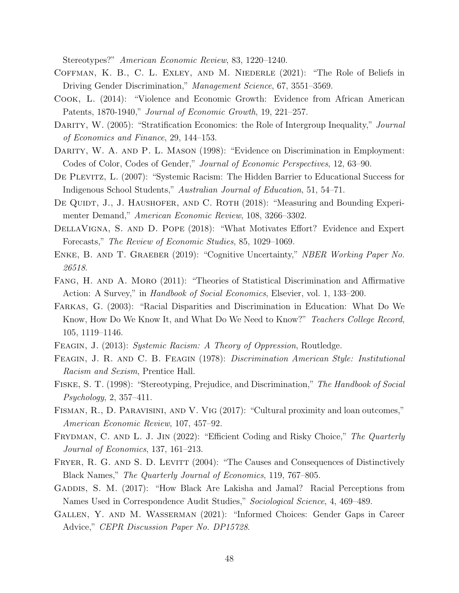Stereotypes?" American Economic Review, 83, 1220–1240.

- <span id="page-48-8"></span>Coffman, K. B., C. L. Exley, and M. Niederle (2021): "The Role of Beliefs in Driving Gender Discrimination," Management Science, 67, 3551–3569.
- <span id="page-48-7"></span>Cook, L. (2014): "Violence and Economic Growth: Evidence from African American Patents, 1870-1940," Journal of Economic Growth, 19, 221–257.
- <span id="page-48-2"></span>DARITY, W. (2005): "Stratification Economics: the Role of Intergroup Inequality," Journal of Economics and Finance, 29, 144–153.
- <span id="page-48-1"></span>DARITY, W. A. AND P. L. MASON (1998): "Evidence on Discrimination in Employment: Codes of Color, Codes of Gender," Journal of Economic Perspectives, 12, 63–90.
- <span id="page-48-0"></span>De Plevitz, L. (2007): "Systemic Racism: The Hidden Barrier to Educational Success for Indigenous School Students," Australian Journal of Education, 51, 54–71.
- <span id="page-48-6"></span>DE QUIDT, J., J. HAUSHOFER, AND C. ROTH (2018): "Measuring and Bounding Experimenter Demand," American Economic Review, 108, 3266–3302.
- <span id="page-48-17"></span>DellaVigna, S. and D. Pope (2018): "What Motivates Effort? Evidence and Expert Forecasts," The Review of Economic Studies, 85, 1029–1069.
- <span id="page-48-15"></span>Enke, B. and T. Graeber (2019): "Cognitive Uncertainty," NBER Working Paper No. 26518.
- <span id="page-48-10"></span>Fang, H. and A. Moro (2011): "Theories of Statistical Discrimination and Affirmative Action: A Survey," in Handbook of Social Economics, Elsevier, vol. 1, 133–200.
- <span id="page-48-3"></span>Farkas, G. (2003): "Racial Disparities and Discrimination in Education: What Do We Know, How Do We Know It, and What Do We Need to Know?" Teachers College Record, 105, 1119–1146.
- <span id="page-48-5"></span><span id="page-48-4"></span>FEAGIN, J. (2013): Systemic Racism: A Theory of Oppression, Routledge.
- Feagin, J. R. and C. B. Feagin (1978): Discrimination American Style: Institutional Racism and Sexism, Prentice Hall.
- <span id="page-48-9"></span>Fiske, S. T. (1998): "Stereotyping, Prejudice, and Discrimination," The Handbook of Social Psychology, 2, 357–411.
- <span id="page-48-14"></span>Fisman, R., D. Paravisini, and V. Vig (2017): "Cultural proximity and loan outcomes," American Economic Review, 107, 457–92.
- <span id="page-48-16"></span>FRYDMAN, C. AND L. J. JIN (2022): "Efficient Coding and Risky Choice," The Quarterly Journal of Economics, 137, 161–213.
- <span id="page-48-11"></span>FRYER, R. G. AND S. D. LEVITT (2004): "The Causes and Consequences of Distinctively Black Names," The Quarterly Journal of Economics, 119, 767–805.
- <span id="page-48-12"></span>GADDIS, S. M. (2017): "How Black Are Lakisha and Jamal? Racial Perceptions from Names Used in Correspondence Audit Studies," Sociological Science, 4, 469–489.
- <span id="page-48-13"></span>Gallen, Y. and M. Wasserman (2021): "Informed Choices: Gender Gaps in Career Advice," CEPR Discussion Paper No. DP15728.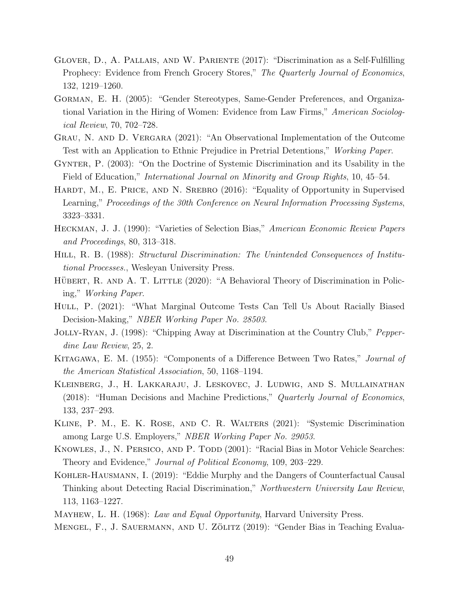- <span id="page-49-7"></span>Glover, D., A. Pallais, and W. Pariente (2017): "Discrimination as a Self-Fulfilling Prophecy: Evidence from French Grocery Stores," The Quarterly Journal of Economics, 132, 1219–1260.
- <span id="page-49-0"></span>Gorman, E. H. (2005): "Gender Stereotypes, Same-Gender Preferences, and Organizational Variation in the Hiring of Women: Evidence from Law Firms," American Sociological Review, 70, 702–728.
- <span id="page-49-10"></span>Grau, N. and D. Vergara (2021): "An Observational Implementation of the Outcome Test with an Application to Ethnic Prejudice in Pretrial Detentions," Working Paper.
- <span id="page-49-3"></span>Gynter, P. (2003): "On the Doctrine of Systemic Discrimination and its Usability in the Field of Education," International Journal on Minority and Group Rights, 10, 45–54.
- <span id="page-49-6"></span>HARDT, M., E. PRICE, AND N. SREBRO (2016): "Equality of Opportunity in Supervised Learning," Proceedings of the 30th Conference on Neural Information Processing Systems, 3323–3331.
- <span id="page-49-16"></span>Heckman, J. J. (1990): "Varieties of Selection Bias," American Economic Review Papers and Proceedings, 80, 313–318.
- <span id="page-49-4"></span>HILL, R. B. (1988): Structural Discrimination: The Unintended Consequences of Institutional Processes., Wesleyan University Press.
- <span id="page-49-8"></span>HÜBERT, R. AND A. T. LITTLE (2020): "A Behavioral Theory of Discrimination in Policing," Working Paper.
- <span id="page-49-11"></span>HULL, P. (2021): "What Marginal Outcome Tests Can Tell Us About Racially Biased Decision-Making," NBER Working Paper No. 28503.
- <span id="page-49-14"></span>Jolly-Ryan, J. (1998): "Chipping Away at Discrimination at the Country Club," Pepperdine Law Review, 25, 2.
- <span id="page-49-2"></span>KITAGAWA, E. M. (1955): "Components of a Difference Between Two Rates," *Journal of* the American Statistical Association, 50, 1168–1194.
- <span id="page-49-15"></span>Kleinberg, J., H. Lakkaraju, J. Leskovec, J. Ludwig, and S. Mullainathan (2018): "Human Decisions and Machine Predictions," Quarterly Journal of Economics, 133, 237–293.
- <span id="page-49-9"></span>Kline, P. M., E. K. Rose, and C. R. Walters (2021): "Systemic Discrimination among Large U.S. Employers," NBER Working Paper No. 29053.
- <span id="page-49-1"></span>KNOWLES, J., N. PERSICO, AND P. TODD (2001): "Racial Bias in Motor Vehicle Searches: Theory and Evidence," Journal of Political Economy, 109, 203–229.
- <span id="page-49-13"></span>Kohler-Hausmann, I. (2019): "Eddie Murphy and the Dangers of Counterfactual Causal Thinking about Detecting Racial Discrimination," Northwestern University Law Review, 113, 1163–1227.
- <span id="page-49-12"></span><span id="page-49-5"></span>MAYHEW, L. H. (1968): Law and Equal Opportunity, Harvard University Press.
- MENGEL, F., J. SAUERMANN, AND U. ZÖLITZ (2019): "Gender Bias in Teaching Evalua-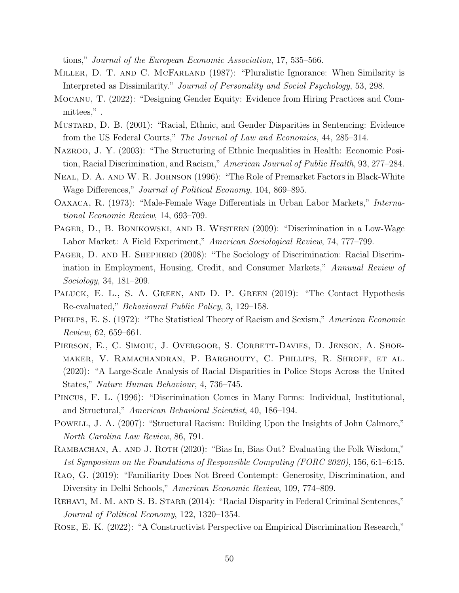tions," Journal of the European Economic Association, 17, 535–566.

- <span id="page-50-10"></span>Miller, D. T. and C. McFarland (1987): "Pluralistic Ignorance: When Similarity is Interpreted as Dissimilarity." Journal of Personality and Social Psychology, 53, 298.
- <span id="page-50-14"></span>Mocanu, T. (2022): "Designing Gender Equity: Evidence from Hiring Practices and Committees," .
- <span id="page-50-4"></span>Mustard, D. B. (2001): "Racial, Ethnic, and Gender Disparities in Sentencing: Evidence from the US Federal Courts," The Journal of Law and Economics, 44, 285–314.
- <span id="page-50-6"></span>Nazroo, J. Y. (2003): "The Structuring of Ethnic Inequalities in Health: Economic Position, Racial Discrimination, and Racism," American Journal of Public Health, 93, 277–284.
- <span id="page-50-9"></span>Neal, D. A. and W. R. Johnson (1996): "The Role of Premarket Factors in Black-White Wage Differences," Journal of Political Economy, 104, 869–895.
- <span id="page-50-7"></span>Oaxaca, R. (1973): "Male-Female Wage Differentials in Urban Labor Markets," International Economic Review, 14, 693–709.
- <span id="page-50-12"></span>PAGER, D., B. BONIKOWSKI, AND B. WESTERN (2009): "Discrimination in a Low-Wage Labor Market: A Field Experiment," American Sociological Review, 74, 777–799.
- <span id="page-50-8"></span>PAGER, D. AND H. SHEPHERD (2008): "The Sociology of Discrimination: Racial Discrimination in Employment, Housing, Credit, and Consumer Markets," Annuual Review of Sociology, 34, 181–209.
- <span id="page-50-16"></span>PALUCK, E. L., S. A. GREEN, AND D. P. GREEN (2019): "The Contact Hypothesis Re-evaluated," Behavioural Public Policy, 3, 129–158.
- <span id="page-50-0"></span>PHELPS, E. S. (1972): "The Statistical Theory of Racism and Sexism," American Economic Review, 62, 659–661.
- <span id="page-50-13"></span>PIERSON, E., C. SIMOIU, J. OVERGOOR, S. CORBETT-DAVIES, D. JENSON, A. SHOEmaker, V. Ramachandran, P. Barghouty, C. Phillips, R. Shroff, et al. (2020): "A Large-Scale Analysis of Racial Disparities in Police Stops Across the United States," Nature Human Behaviour, 4, 736–745.
- <span id="page-50-1"></span>Pincus, F. L. (1996): "Discrimination Comes in Many Forms: Individual, Institutional, and Structural," American Behavioral Scientist, 40, 186–194.
- <span id="page-50-2"></span>POWELL, J. A. (2007): "Structural Racism: Building Upon the Insights of John Calmore," North Carolina Law Review, 86, 791.
- <span id="page-50-3"></span>RAMBACHAN, A. AND J. ROTH (2020): "Bias In, Bias Out? Evaluating the Folk Wisdom," 1st Symposium on the Foundations of Responsible Computing (FORC 2020), 156, 6:1–6:15.
- <span id="page-50-15"></span>Rao, G. (2019): "Familiarity Does Not Breed Contempt: Generosity, Discrimination, and Diversity in Delhi Schools," American Economic Review, 109, 774–809.
- <span id="page-50-5"></span>REHAVI, M. M. AND S. B. STARR (2014): "Racial Disparity in Federal Criminal Sentences," Journal of Political Economy, 122, 1320–1354.
- <span id="page-50-11"></span>Rose, E. K. (2022): "A Constructivist Perspective on Empirical Discrimination Research,"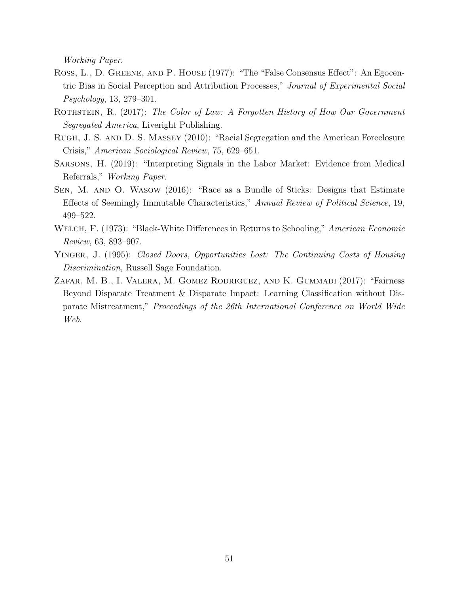Working Paper.

- <span id="page-51-6"></span>Ross, L., D. Greene, and P. House (1977): "The "False Consensus Effect": An Egocentric Bias in Social Perception and Attribution Processes," Journal of Experimental Social Psychology, 13, 279–301.
- <span id="page-51-3"></span>ROTHSTEIN, R. (2017): The Color of Law: A Forgotten History of How Our Government Segregated America, Liveright Publishing.
- <span id="page-51-0"></span>Rugh, J. S. and D. S. Massey (2010): "Racial Segregation and the American Foreclosure Crisis," American Sociological Review, 75, 629–651.
- <span id="page-51-5"></span>Sarsons, H. (2019): "Interpreting Signals in the Labor Market: Evidence from Medical Referrals," Working Paper.
- <span id="page-51-7"></span>Sen, M. and O. Wasow (2016): "Race as a Bundle of Sticks: Designs that Estimate Effects of Seemingly Immutable Characteristics," Annual Review of Political Science, 19, 499–522.
- <span id="page-51-2"></span>WELCH, F. (1973): "Black-White Differences in Returns to Schooling," American Economic Review, 63, 893–907.
- <span id="page-51-1"></span>YINGER, J. (1995): Closed Doors, Opportunities Lost: The Continuing Costs of Housing Discrimination, Russell Sage Foundation.
- <span id="page-51-4"></span>Zafar, M. B., I. Valera, M. Gomez Rodriguez, and K. Gummadi (2017): "Fairness Beyond Disparate Treatment & Disparate Impact: Learning Classification without Disparate Mistreatment," Proceedings of the 26th International Conference on World Wide Web.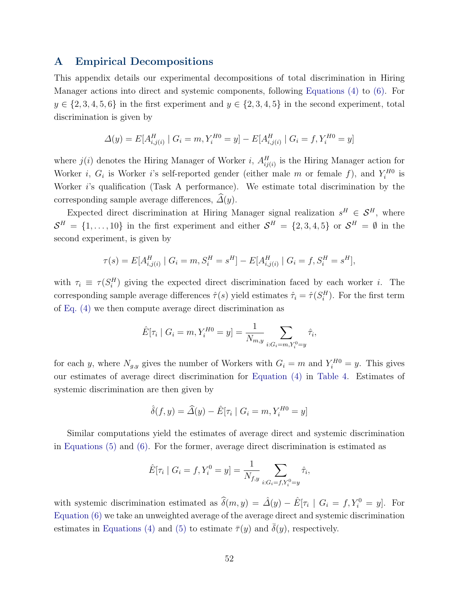# <span id="page-52-0"></span>A Empirical Decompositions

This appendix details our experimental decompositions of total discrimination in Hiring Manager actions into direct and systemic components, following [Equations \(4\)](#page-32-0) to [\(6\).](#page-32-2) For  $y \in \{2, 3, 4, 5, 6\}$  in the first experiment and  $y \in \{2, 3, 4, 5\}$  in the second experiment, total discrimination is given by

$$
\Delta(y) = E[A_{i,j(i)}^H \mid G_i = m, Y_i^{H0} = y] - E[A_{i,j(i)}^H \mid G_i = f, Y_i^{H0} = y]
$$

where  $j(i)$  denotes the Hiring Manager of Worker i,  $A_{ij(i)}^H$  is the Hiring Manager action for Worker *i*,  $G_i$  is Worker *i*'s self-reported gender (either male *m* or female *f*), and  $Y_i^{H0}$  is Worker i's qualification (Task A performance). We estimate total discrimination by the corresponding sample average differences,  $\widehat{\Delta}(y)$ .

Expected direct discrimination at Hiring Manager signal realization  $s^H \in \mathcal{S}^H$ , where  $\mathcal{S}^H = \{1, \ldots, 10\}$  in the first experiment and either  $\mathcal{S}^H = \{2, 3, 4, 5\}$  or  $\mathcal{S}^H = \emptyset$  in the second experiment, is given by

$$
\tau(s) = E[A_{i,j(i)}^H \mid G_i = m, S_i^H = s^H] - E[A_{i,j(i)}^H \mid G_i = f, S_i^H = s^H],
$$

with  $\tau_i \equiv \tau(S_i^H)$  giving the expected direct discrimination faced by each worker *i*. The corresponding sample average differences  $\hat{\tau}(s)$  yield estimates  $\hat{\tau}_i = \hat{\tau}(S_i^H)$ . For the first term of [Eq. \(4\)](#page-32-0) we then compute average direct discrimination as

$$
\hat{E}[\tau_i \mid G_i = m, Y_i^{H0} = y] = \frac{1}{N_{m,y}} \sum_{i: G_i = m, Y_i^0 = y} \hat{\tau}_i,
$$

for each y, where  $N_{g,y}$  gives the number of Workers with  $G_i = m$  and  $Y_i^{H0} = y$ . This gives our estimates of average direct discrimination for [Equation \(4\)](#page-32-0) in [Table 4.](#page-43-0) Estimates of systemic discrimination are then given by

$$
\hat{\delta}(f, y) = \hat{\Delta}(y) - \hat{E}[\tau_i \mid G_i = m, Y_i^{H0} = y]
$$

Similar computations yield the estimates of average direct and systemic discrimination in [Equations \(5\)](#page-32-1) and [\(6\).](#page-32-2) For the former, average direct discrimination is estimated as

$$
\hat{E}[\tau_i \mid G_i = f, Y_i^0 = y] = \frac{1}{N_{f,y}} \sum_{i: G_i = f, Y_i^0 = y} \hat{\tau}_i,
$$

with systemic discrimination estimated as  $\hat{\delta}(m, y) = \hat{\Delta}(y) - \hat{E}[\tau_i \mid G_i = f, Y_i^0 = y]$ . For [Equation \(6\)](#page-32-2) we take an unweighted average of the average direct and systemic discrimination estimates in [Equations \(4\)](#page-32-0) and [\(5\)](#page-32-1) to estimate  $\bar{\tau}(y)$  and  $\delta(y)$ , respectively.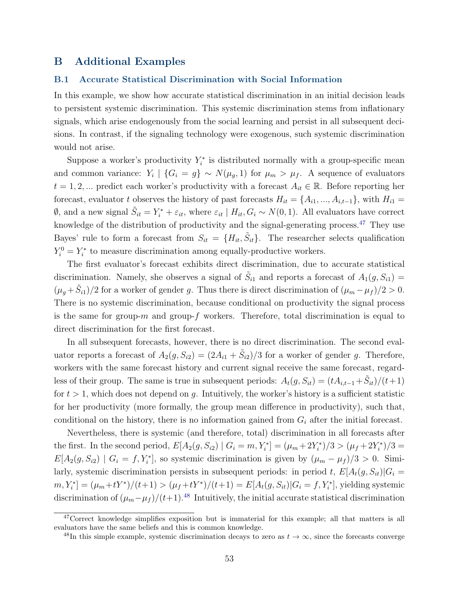# B Additional Examples

#### <span id="page-53-0"></span>B.1 Accurate Statistical Discrimination with Social Information

In this example, we show how accurate statistical discrimination in an initial decision leads to persistent systemic discrimination. This systemic discrimination stems from inflationary signals, which arise endogenously from the social learning and persist in all subsequent decisions. In contrast, if the signaling technology were exogenous, such systemic discrimination would not arise.

Suppose a worker's productivity  $Y_i^*$  is distributed normally with a group-specific mean and common variance:  $Y_i$  |  $\{G_i = g\} \sim N(\mu_g, 1)$  for  $\mu_m > \mu_f$ . A sequence of evaluators  $t = 1, 2, ...$  predict each worker's productivity with a forecast  $A_{it} \in \mathbb{R}$ . Before reporting her forecast, evaluator t observes the history of past forecasts  $H_{it} = \{A_{i1},...,A_{i,t-1}\}\$ , with  $H_{i1} =$  $\emptyset$ , and a new signal  $\tilde{S}_{it} = Y_i^* + \varepsilon_{it}$ , where  $\varepsilon_{it} \mid H_{it}$ ,  $G_i \sim N(0, 1)$ . All evaluators have correct knowledge of the distribution of productivity and the signal-generating process.<sup>[47](#page-53-1)</sup> They use Bayes' rule to form a forecast from  $S_{it} = \{H_{it}, \tilde{S}_{it}\}.$  The researcher selects qualification  $Y_i^0 = Y_i^*$  to measure discrimination among equally-productive workers.

The first evaluator's forecast exhibits direct discrimination, due to accurate statistical discrimination. Namely, she observes a signal of  $\tilde{S}_{i1}$  and reports a forecast of  $A_1(g, S_{i1}) =$  $(\mu_g + \tilde{S}_{i1})/2$  for a worker of gender g. Thus there is direct discrimination of  $(\mu_m - \mu_f)/2 > 0$ . There is no systemic discrimination, because conditional on productivity the signal process is the same for group- $m$  and group- $f$  workers. Therefore, total discrimination is equal to direct discrimination for the first forecast.

In all subsequent forecasts, however, there is no direct discrimination. The second evaluator reports a forecast of  $A_2(g, S_{i2}) = (2A_{i1} + \tilde{S}_{i2})/3$  for a worker of gender g. Therefore, workers with the same forecast history and current signal receive the same forecast, regardless of their group. The same is true in subsequent periods:  $A_t(g, S_{it}) = (tA_{i,t-1} + \tilde{S}_{it})/(t+1)$ for  $t > 1$ , which does not depend on g. Intuitively, the worker's history is a sufficient statistic for her productivity (more formally, the group mean difference in productivity), such that, conditional on the history, there is no information gained from  $G_i$  after the initial forecast.

Nevertheless, there is systemic (and therefore, total) discrimination in all forecasts after the first. In the second period,  $E[A_2(g, S_{i2}) | G_i = m, Y_i^*] = (\mu_m + 2Y_i^*)/3 > (\mu_f + 2Y_i^*)/3 =$  $E[A_2(g, S_{i2}) | G_i = f, Y_i^*],$  so systemic discrimination is given by  $(\mu_m - \mu_f)/3 > 0$ . Similarly, systemic discrimination persists in subsequent periods: in period t,  $E[A_t(g, S_{it})|G_i =$  $[m, Y_i^*] = (\mu_m + tY^*)/(t+1) > (\mu_f + tY^*)/(t+1) = E[A_t(g, S_{it})|G_i = f, Y_i^*]$ , yielding systemic discrimination of  $(\mu_m-\mu_f)/(t+1)$ .<sup>[48](#page-53-2)</sup> Intuitively, the initial accurate statistical discrimination

<span id="page-53-1"></span><sup>&</sup>lt;sup>47</sup>Correct knowledge simplifies exposition but is immaterial for this example; all that matters is all evaluators have the same beliefs and this is common knowledge.

<span id="page-53-2"></span><sup>&</sup>lt;sup>48</sup>In this simple example, systemic discrimination decays to zero as  $t \to \infty$ , since the forecasts converge